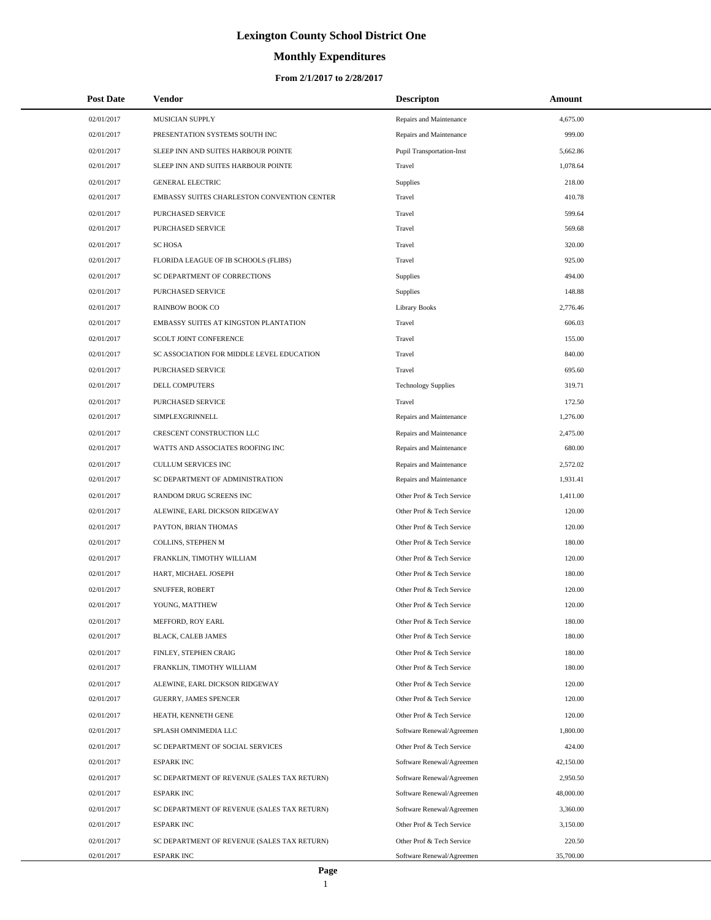# **Monthly Expenditures**

| <b>Post Date</b> | Vendor                                      | <b>Descripton</b>                | Amount    |
|------------------|---------------------------------------------|----------------------------------|-----------|
| 02/01/2017       | MUSICIAN SUPPLY                             | Repairs and Maintenance          | 4,675.00  |
| 02/01/2017       | PRESENTATION SYSTEMS SOUTH INC              | Repairs and Maintenance          | 999.00    |
| 02/01/2017       | SLEEP INN AND SUITES HARBOUR POINTE         | <b>Pupil Transportation-Inst</b> | 5,662.86  |
| 02/01/2017       | SLEEP INN AND SUITES HARBOUR POINTE         | Travel                           | 1,078.64  |
| 02/01/2017       | <b>GENERAL ELECTRIC</b>                     | Supplies                         | 218.00    |
| 02/01/2017       | EMBASSY SUITES CHARLESTON CONVENTION CENTER | Travel                           | 410.78    |
| 02/01/2017       | PURCHASED SERVICE                           | Travel                           | 599.64    |
| 02/01/2017       | PURCHASED SERVICE                           | Travel                           | 569.68    |
| 02/01/2017       | <b>SC HOSA</b>                              | Travel                           | 320.00    |
| 02/01/2017       | FLORIDA LEAGUE OF IB SCHOOLS (FLIBS)        | Travel                           | 925.00    |
| 02/01/2017       | SC DEPARTMENT OF CORRECTIONS                | Supplies                         | 494.00    |
| 02/01/2017       | PURCHASED SERVICE                           | Supplies                         | 148.88    |
| 02/01/2017       | <b>RAINBOW BOOK CO</b>                      | <b>Library Books</b>             | 2,776.46  |
| 02/01/2017       | EMBASSY SUITES AT KINGSTON PLANTATION       | Travel                           | 606.03    |
| 02/01/2017       | SCOLT JOINT CONFERENCE                      | Travel                           | 155.00    |
| 02/01/2017       | SC ASSOCIATION FOR MIDDLE LEVEL EDUCATION   | Travel                           | 840.00    |
| 02/01/2017       | PURCHASED SERVICE                           | Travel                           | 695.60    |
| 02/01/2017       | DELL COMPUTERS                              | <b>Technology Supplies</b>       | 319.71    |
| 02/01/2017       | PURCHASED SERVICE                           | Travel                           | 172.50    |
| 02/01/2017       | <b>SIMPLEXGRINNELL</b>                      | Repairs and Maintenance          | 1,276.00  |
| 02/01/2017       | CRESCENT CONSTRUCTION LLC                   | Repairs and Maintenance          | 2,475.00  |
| 02/01/2017       | WATTS AND ASSOCIATES ROOFING INC            | Repairs and Maintenance          | 680.00    |
| 02/01/2017       | <b>CULLUM SERVICES INC</b>                  | Repairs and Maintenance          | 2,572.02  |
| 02/01/2017       | SC DEPARTMENT OF ADMINISTRATION             | Repairs and Maintenance          | 1,931.41  |
| 02/01/2017       | RANDOM DRUG SCREENS INC                     | Other Prof & Tech Service        | 1,411.00  |
| 02/01/2017       | ALEWINE, EARL DICKSON RIDGEWAY              | Other Prof & Tech Service        | 120.00    |
| 02/01/2017       | PAYTON, BRIAN THOMAS                        | Other Prof & Tech Service        | 120.00    |
| 02/01/2017       | COLLINS, STEPHEN M                          | Other Prof & Tech Service        | 180.00    |
| 02/01/2017       | FRANKLIN, TIMOTHY WILLIAM                   | Other Prof & Tech Service        | 120.00    |
| 02/01/2017       | HART, MICHAEL JOSEPH                        | Other Prof & Tech Service        | 180.00    |
| 02/01/2017       | SNUFFER, ROBERT                             | Other Prof & Tech Service        | 120.00    |
| 02/01/2017       | YOUNG, MATTHEW                              | Other Prof & Tech Service        | 120.00    |
| 02/01/2017       | MEFFORD, ROY EARL                           | Other Prof & Tech Service        | 180.00    |
| 02/01/2017       | BLACK, CALEB JAMES                          | Other Prof & Tech Service        | 180.00    |
| 02/01/2017       | FINLEY, STEPHEN CRAIG                       | Other Prof & Tech Service        | 180.00    |
| 02/01/2017       | FRANKLIN, TIMOTHY WILLIAM                   | Other Prof & Tech Service        | 180.00    |
| 02/01/2017       | ALEWINE, EARL DICKSON RIDGEWAY              | Other Prof & Tech Service        | 120.00    |
| 02/01/2017       | GUERRY, JAMES SPENCER                       | Other Prof & Tech Service        | 120.00    |
| 02/01/2017       | HEATH, KENNETH GENE                         | Other Prof & Tech Service        | 120.00    |
| 02/01/2017       | SPLASH OMNIMEDIA LLC                        | Software Renewal/Agreemen        | 1,800.00  |
| 02/01/2017       | SC DEPARTMENT OF SOCIAL SERVICES            | Other Prof & Tech Service        | 424.00    |
| 02/01/2017       | <b>ESPARK INC</b>                           | Software Renewal/Agreemen        | 42,150.00 |
| 02/01/2017       | SC DEPARTMENT OF REVENUE (SALES TAX RETURN) | Software Renewal/Agreemen        | 2,950.50  |
| 02/01/2017       | <b>ESPARK INC</b>                           | Software Renewal/Agreemen        | 48,000.00 |
| 02/01/2017       | SC DEPARTMENT OF REVENUE (SALES TAX RETURN) | Software Renewal/Agreemen        | 3,360.00  |
| 02/01/2017       | <b>ESPARK INC</b>                           | Other Prof & Tech Service        | 3,150.00  |
| 02/01/2017       | SC DEPARTMENT OF REVENUE (SALES TAX RETURN) | Other Prof & Tech Service        | 220.50    |
| 02/01/2017       | <b>ESPARK INC</b>                           | Software Renewal/Agreemen        | 35,700.00 |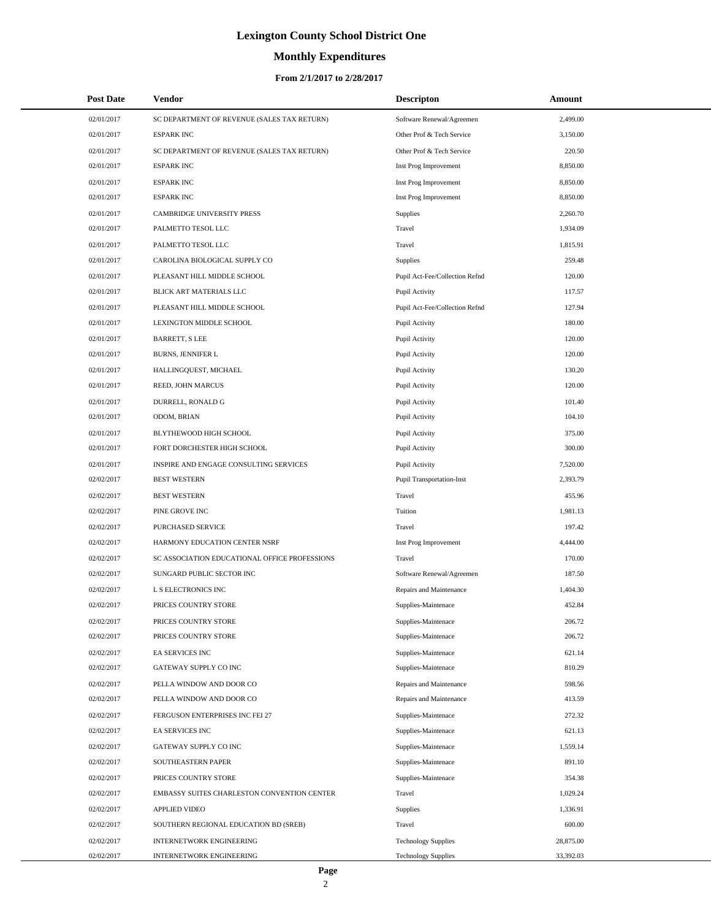# **Monthly Expenditures**

| <b>Post Date</b> | <b>Vendor</b>                                 | <b>Descripton</b>                | Amount    |
|------------------|-----------------------------------------------|----------------------------------|-----------|
| 02/01/2017       | SC DEPARTMENT OF REVENUE (SALES TAX RETURN)   | Software Renewal/Agreemen        | 2,499.00  |
| 02/01/2017       | <b>ESPARK INC</b>                             | Other Prof & Tech Service        | 3,150.00  |
| 02/01/2017       | SC DEPARTMENT OF REVENUE (SALES TAX RETURN)   | Other Prof & Tech Service        | 220.50    |
| 02/01/2017       | <b>ESPARK INC</b>                             | Inst Prog Improvement            | 8,850.00  |
| 02/01/2017       | <b>ESPARK INC</b>                             | Inst Prog Improvement            | 8,850.00  |
| 02/01/2017       | <b>ESPARK INC</b>                             | Inst Prog Improvement            | 8,850.00  |
| 02/01/2017       | CAMBRIDGE UNIVERSITY PRESS                    | <b>Supplies</b>                  | 2,260.70  |
| 02/01/2017       | PALMETTO TESOL LLC                            | Travel                           | 1,934.09  |
| 02/01/2017       | PALMETTO TESOL LLC                            | Travel                           | 1,815.91  |
| 02/01/2017       | CAROLINA BIOLOGICAL SUPPLY CO                 | Supplies                         | 259.48    |
| 02/01/2017       | PLEASANT HILL MIDDLE SCHOOL                   | Pupil Act-Fee/Collection Refnd   | 120.00    |
| 02/01/2017       | BLICK ART MATERIALS LLC                       | Pupil Activity                   | 117.57    |
| 02/01/2017       | PLEASANT HILL MIDDLE SCHOOL                   | Pupil Act-Fee/Collection Refnd   | 127.94    |
| 02/01/2017       | LEXINGTON MIDDLE SCHOOL                       | Pupil Activity                   | 180.00    |
| 02/01/2017       | <b>BARRETT, S LEE</b>                         | Pupil Activity                   | 120.00    |
| 02/01/2017       | BURNS, JENNIFER L                             | Pupil Activity                   | 120.00    |
| 02/01/2017       | HALLINGQUEST, MICHAEL                         | Pupil Activity                   | 130.20    |
| 02/01/2017       | REED, JOHN MARCUS                             | Pupil Activity                   | 120.00    |
| 02/01/2017       | DURRELL, RONALD G                             | Pupil Activity                   | 101.40    |
| 02/01/2017       | ODOM, BRIAN                                   | Pupil Activity                   | 104.10    |
| 02/01/2017       | BLYTHEWOOD HIGH SCHOOL                        | Pupil Activity                   | 375.00    |
| 02/01/2017       | FORT DORCHESTER HIGH SCHOOL                   | Pupil Activity                   | 300.00    |
| 02/01/2017       | INSPIRE AND ENGAGE CONSULTING SERVICES        | Pupil Activity                   | 7,520.00  |
| 02/02/2017       | <b>BEST WESTERN</b>                           | <b>Pupil Transportation-Inst</b> | 2,393.79  |
| 02/02/2017       | <b>BEST WESTERN</b>                           | Travel                           | 455.96    |
| 02/02/2017       | PINE GROVE INC                                | Tuition                          | 1,981.13  |
| 02/02/2017       | PURCHASED SERVICE                             | Travel                           | 197.42    |
| 02/02/2017       | HARMONY EDUCATION CENTER NSRF                 | Inst Prog Improvement            | 4,444.00  |
| 02/02/2017       | SC ASSOCIATION EDUCATIONAL OFFICE PROFESSIONS | Travel                           | 170.00    |
| 02/02/2017       | SUNGARD PUBLIC SECTOR INC                     | Software Renewal/Agreemen        | 187.50    |
| 02/02/2017       | L S ELECTRONICS INC                           | Repairs and Maintenance          | 1,404.30  |
| 02/02/2017       | PRICES COUNTRY STORE                          | Supplies-Maintenace              | 452.84    |
| 02/02/2017       | PRICES COUNTRY STORE                          | Supplies-Maintenace              | 206.72    |
| 02/02/2017       | PRICES COUNTRY STORE                          | Supplies-Maintenace              | 206.72    |
| 02/02/2017       | EA SERVICES INC                               | Supplies-Maintenace              | 621.14    |
| 02/02/2017       | GATEWAY SUPPLY CO INC                         | Supplies-Maintenace              | 810.29    |
| 02/02/2017       | PELLA WINDOW AND DOOR CO                      | Repairs and Maintenance          | 598.56    |
| 02/02/2017       | PELLA WINDOW AND DOOR CO                      | Repairs and Maintenance          | 413.59    |
| 02/02/2017       | FERGUSON ENTERPRISES INC FEI 27               | Supplies-Maintenace              | 272.32    |
| 02/02/2017       | EA SERVICES INC                               | Supplies-Maintenace              | 621.13    |
| 02/02/2017       | GATEWAY SUPPLY CO INC                         | Supplies-Maintenace              | 1,559.14  |
| 02/02/2017       | SOUTHEASTERN PAPER                            | Supplies-Maintenace              | 891.10    |
| 02/02/2017       | PRICES COUNTRY STORE                          | Supplies-Maintenace              | 354.38    |
| 02/02/2017       | EMBASSY SUITES CHARLESTON CONVENTION CENTER   | Travel                           | 1,029.24  |
| 02/02/2017       | <b>APPLIED VIDEO</b>                          | Supplies                         | 1,336.91  |
| 02/02/2017       | SOUTHERN REGIONAL EDUCATION BD (SREB)         | Travel                           | 600.00    |
| 02/02/2017       | <b>INTERNETWORK ENGINEERING</b>               | <b>Technology Supplies</b>       | 28,875.00 |
| 02/02/2017       | INTERNETWORK ENGINEERING                      | <b>Technology Supplies</b>       | 33,392.03 |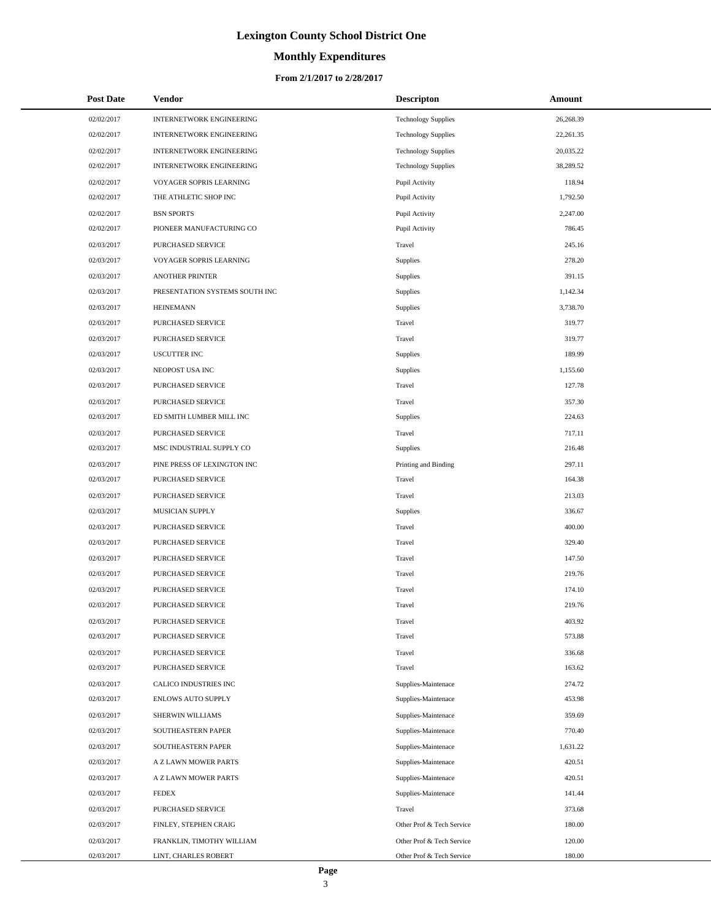# **Monthly Expenditures**

#### **From 2/1/2017 to 2/28/2017**

| <b>Post Date</b> | Vendor                         | <b>Descripton</b>          | Amount    |
|------------------|--------------------------------|----------------------------|-----------|
| 02/02/2017       | INTERNETWORK ENGINEERING       | <b>Technology Supplies</b> | 26,268.39 |
| 02/02/2017       | INTERNETWORK ENGINEERING       | <b>Technology Supplies</b> | 22,261.35 |
| 02/02/2017       | INTERNETWORK ENGINEERING       | <b>Technology Supplies</b> | 20,035.22 |
| 02/02/2017       | INTERNETWORK ENGINEERING       | <b>Technology Supplies</b> | 38,289.52 |
| 02/02/2017       | VOYAGER SOPRIS LEARNING        | Pupil Activity             | 118.94    |
| 02/02/2017       | THE ATHLETIC SHOP INC          | Pupil Activity             | 1,792.50  |
| 02/02/2017       | <b>BSN SPORTS</b>              | Pupil Activity             | 2,247.00  |
| 02/02/2017       | PIONEER MANUFACTURING CO       | Pupil Activity             | 786.45    |
| 02/03/2017       | PURCHASED SERVICE              | Travel                     | 245.16    |
| 02/03/2017       | VOYAGER SOPRIS LEARNING        | Supplies                   | 278.20    |
| 02/03/2017       | <b>ANOTHER PRINTER</b>         | Supplies                   | 391.15    |
| 02/03/2017       | PRESENTATION SYSTEMS SOUTH INC | Supplies                   | 1,142.34  |
| 02/03/2017       | <b>HEINEMANN</b>               | Supplies                   | 3,738.70  |
| 02/03/2017       | PURCHASED SERVICE              | Travel                     | 319.77    |
| 02/03/2017       | PURCHASED SERVICE              | Travel                     | 319.77    |
| 02/03/2017       | <b>USCUTTER INC</b>            | Supplies                   | 189.99    |
| 02/03/2017       | NEOPOST USA INC                | Supplies                   | 1.155.60  |
| 02/03/2017       | PURCHASED SERVICE              | Travel                     | 127.78    |
| 02/03/2017       | PURCHASED SERVICE              | Travel                     | 357.30    |
| 02/03/2017       | ED SMITH LUMBER MILL INC       | Supplies                   | 224.63    |
| 02/03/2017       | PURCHASED SERVICE              | Travel                     | 717.11    |
| 02/03/2017       | MSC INDUSTRIAL SUPPLY CO       | Supplies                   | 216.48    |
| 02/03/2017       | PINE PRESS OF LEXINGTON INC    | Printing and Binding       | 297.11    |
| 02/03/2017       | PURCHASED SERVICE              | Travel                     | 164.38    |
| 02/03/2017       | PURCHASED SERVICE              | Travel                     | 213.03    |
| 02/03/2017       | MUSICIAN SUPPLY                | Supplies                   | 336.67    |
| 02/03/2017       | PURCHASED SERVICE              | Travel                     | 400.00    |
| 02/03/2017       | PURCHASED SERVICE              | Travel                     | 329.40    |
| 02/03/2017       | PURCHASED SERVICE              | Travel                     | 147.50    |
| 02/03/2017       | PURCHASED SERVICE              | Travel                     | 219.76    |
| 02/03/2017       | PURCHASED SERVICE              | Travel                     | 174.10    |
| 02/03/2017       | <b>PURCHASED SERVICE</b>       | Travel                     | 219.76    |
| 02/03/2017       | PURCHASED SERVICE              | Travel                     | 403.92    |
| 02/03/2017       | PURCHASED SERVICE              | Travel                     | 573.88    |
| 02/03/2017       | PURCHASED SERVICE              | Travel                     | 336.68    |
| 02/03/2017       | PURCHASED SERVICE              | Travel                     | 163.62    |
| 02/03/2017       | CALICO INDUSTRIES INC          | Supplies-Maintenace        | 274.72    |
| 02/03/2017       | <b>ENLOWS AUTO SUPPLY</b>      | Supplies-Maintenace        | 453.98    |
| 02/03/2017       | SHERWIN WILLIAMS               | Supplies-Maintenace        | 359.69    |
| 02/03/2017       | SOUTHEASTERN PAPER             | Supplies-Maintenace        | 770.40    |
| 02/03/2017       | SOUTHEASTERN PAPER             | Supplies-Maintenace        | 1,631.22  |
| 02/03/2017       | A Z LAWN MOWER PARTS           | Supplies-Maintenace        | 420.51    |
| 02/03/2017       | A Z LAWN MOWER PARTS           | Supplies-Maintenace        | 420.51    |
| 02/03/2017       | <b>FEDEX</b>                   | Supplies-Maintenace        | 141.44    |
| 02/03/2017       | PURCHASED SERVICE              | Travel                     | 373.68    |
| 02/03/2017       | FINLEY, STEPHEN CRAIG          | Other Prof & Tech Service  | 180.00    |
| 02/03/2017       | FRANKLIN, TIMOTHY WILLIAM      | Other Prof & Tech Service  | 120.00    |
| 02/03/2017       | LINT, CHARLES ROBERT           | Other Prof & Tech Service  | 180.00    |

L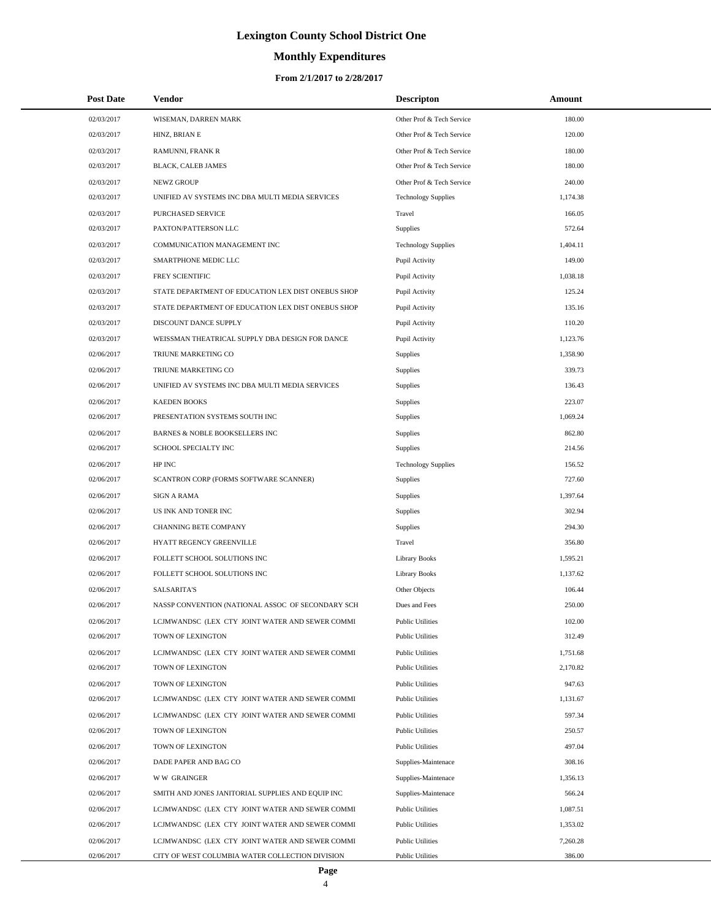# **Monthly Expenditures**

| <b>Post Date</b> | <b>Vendor</b>                                      | <b>Descripton</b>          | Amount   |  |
|------------------|----------------------------------------------------|----------------------------|----------|--|
| 02/03/2017       | WISEMAN, DARREN MARK                               | Other Prof & Tech Service  | 180.00   |  |
| 02/03/2017       | HINZ, BRIAN E                                      | Other Prof & Tech Service  | 120.00   |  |
| 02/03/2017       | RAMUNNI, FRANK R                                   | Other Prof & Tech Service  | 180.00   |  |
| 02/03/2017       | BLACK, CALEB JAMES                                 | Other Prof & Tech Service  | 180.00   |  |
| 02/03/2017       | <b>NEWZ GROUP</b>                                  | Other Prof & Tech Service  | 240.00   |  |
| 02/03/2017       | UNIFIED AV SYSTEMS INC DBA MULTI MEDIA SERVICES    | <b>Technology Supplies</b> | 1,174.38 |  |
| 02/03/2017       | PURCHASED SERVICE                                  | Travel                     | 166.05   |  |
| 02/03/2017       | PAXTON/PATTERSON LLC                               | Supplies                   | 572.64   |  |
| 02/03/2017       | COMMUNICATION MANAGEMENT INC                       | <b>Technology Supplies</b> | 1,404.11 |  |
| 02/03/2017       | SMARTPHONE MEDIC LLC                               | Pupil Activity             | 149.00   |  |
| 02/03/2017       | FREY SCIENTIFIC                                    | Pupil Activity             | 1,038.18 |  |
| 02/03/2017       | STATE DEPARTMENT OF EDUCATION LEX DIST ONEBUS SHOP | Pupil Activity             | 125.24   |  |
| 02/03/2017       | STATE DEPARTMENT OF EDUCATION LEX DIST ONEBUS SHOP | Pupil Activity             | 135.16   |  |
| 02/03/2017       | DISCOUNT DANCE SUPPLY                              | Pupil Activity             | 110.20   |  |
| 02/03/2017       | WEISSMAN THEATRICAL SUPPLY DBA DESIGN FOR DANCE    | Pupil Activity             | 1,123.76 |  |
| 02/06/2017       | TRIUNE MARKETING CO                                | Supplies                   | 1.358.90 |  |
| 02/06/2017       | TRIUNE MARKETING CO                                | Supplies                   | 339.73   |  |
| 02/06/2017       | UNIFIED AV SYSTEMS INC DBA MULTI MEDIA SERVICES    | Supplies                   | 136.43   |  |
| 02/06/2017       | <b>KAEDEN BOOKS</b>                                | Supplies                   | 223.07   |  |
| 02/06/2017       | PRESENTATION SYSTEMS SOUTH INC                     | Supplies                   | 1,069.24 |  |
| 02/06/2017       | BARNES & NOBLE BOOKSELLERS INC                     | Supplies                   | 862.80   |  |
| 02/06/2017       | SCHOOL SPECIALTY INC                               | Supplies                   | 214.56   |  |
| 02/06/2017       | HP INC                                             | <b>Technology Supplies</b> | 156.52   |  |
| 02/06/2017       | SCANTRON CORP (FORMS SOFTWARE SCANNER)             | Supplies                   | 727.60   |  |
| 02/06/2017       | <b>SIGN A RAMA</b>                                 | Supplies                   | 1,397.64 |  |
| 02/06/2017       | US INK AND TONER INC                               | Supplies                   | 302.94   |  |
| 02/06/2017       | CHANNING BETE COMPANY                              | Supplies                   | 294.30   |  |
| 02/06/2017       | HYATT REGENCY GREENVILLE                           | Travel                     | 356.80   |  |
| 02/06/2017       | FOLLETT SCHOOL SOLUTIONS INC                       | <b>Library Books</b>       | 1,595.21 |  |
| 02/06/2017       | FOLLETT SCHOOL SOLUTIONS INC                       | <b>Library Books</b>       | 1,137.62 |  |
| 02/06/2017       | <b>SALSARITA'S</b>                                 | Other Objects              | 106.44   |  |
| 02/06/2017       | NASSP CONVENTION (NATIONAL ASSOC OF SECONDARY SCH  | Dues and Fees              | 250.00   |  |
| 02/06/2017       | LCJMWANDSC (LEX CTY JOINT WATER AND SEWER COMMI    | <b>Public Utilities</b>    | 102.00   |  |
| 02/06/2017       | TOWN OF LEXINGTON                                  | <b>Public Utilities</b>    | 312.49   |  |
| 02/06/2017       | LCJMWANDSC (LEX CTY JOINT WATER AND SEWER COMMI    | <b>Public Utilities</b>    | 1,751.68 |  |
| 02/06/2017       | TOWN OF LEXINGTON                                  | <b>Public Utilities</b>    | 2,170.82 |  |
| 02/06/2017       | TOWN OF LEXINGTON                                  | <b>Public Utilities</b>    | 947.63   |  |
| 02/06/2017       | LCJMWANDSC (LEX CTY JOINT WATER AND SEWER COMMI    | <b>Public Utilities</b>    | 1,131.67 |  |
| 02/06/2017       | LCJMWANDSC (LEX CTY JOINT WATER AND SEWER COMMI    | <b>Public Utilities</b>    | 597.34   |  |
| 02/06/2017       | TOWN OF LEXINGTON                                  | <b>Public Utilities</b>    | 250.57   |  |
| 02/06/2017       | TOWN OF LEXINGTON                                  | <b>Public Utilities</b>    | 497.04   |  |
| 02/06/2017       | DADE PAPER AND BAG CO                              | Supplies-Maintenace        | 308.16   |  |
| 02/06/2017       | <b>WW GRAINGER</b>                                 | Supplies-Maintenace        | 1,356.13 |  |
| 02/06/2017       | SMITH AND JONES JANITORIAL SUPPLIES AND EQUIP INC  | Supplies-Maintenace        | 566.24   |  |
| 02/06/2017       | LCJMWANDSC (LEX CTY JOINT WATER AND SEWER COMMI    | <b>Public Utilities</b>    | 1,087.51 |  |
| 02/06/2017       | LCJMWANDSC (LEX CTY JOINT WATER AND SEWER COMMI    | <b>Public Utilities</b>    | 1,353.02 |  |
| 02/06/2017       | LCJMWANDSC (LEX CTY JOINT WATER AND SEWER COMMI    | <b>Public Utilities</b>    | 7,260.28 |  |
| 02/06/2017       | CITY OF WEST COLUMBIA WATER COLLECTION DIVISION    | <b>Public Utilities</b>    | 386.00   |  |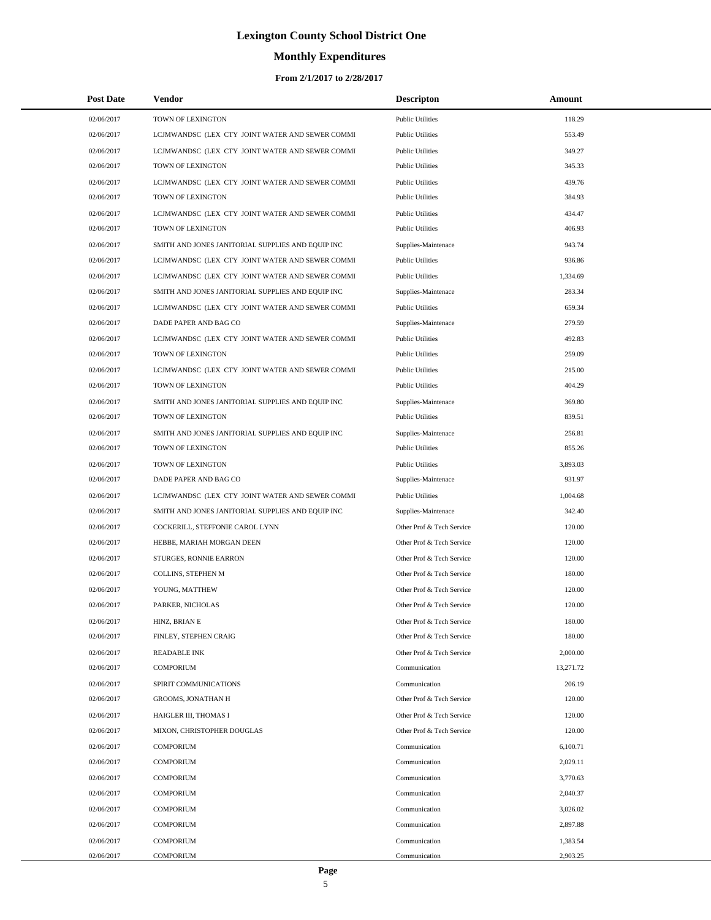# **Monthly Expenditures**

| <b>Post Date</b> | Vendor                                            | <b>Descripton</b>         | Amount    |
|------------------|---------------------------------------------------|---------------------------|-----------|
| 02/06/2017       | TOWN OF LEXINGTON                                 | <b>Public Utilities</b>   | 118.29    |
| 02/06/2017       | LCJMWANDSC (LEX CTY JOINT WATER AND SEWER COMMI   | <b>Public Utilities</b>   | 553.49    |
| 02/06/2017       | LCJMWANDSC (LEX CTY JOINT WATER AND SEWER COMMI   | <b>Public Utilities</b>   | 349.27    |
| 02/06/2017       | TOWN OF LEXINGTON                                 | <b>Public Utilities</b>   | 345.33    |
| 02/06/2017       | LCJMWANDSC (LEX CTY JOINT WATER AND SEWER COMMI   | <b>Public Utilities</b>   | 439.76    |
| 02/06/2017       | TOWN OF LEXINGTON                                 | <b>Public Utilities</b>   | 384.93    |
| 02/06/2017       | LCJMWANDSC (LEX CTY JOINT WATER AND SEWER COMMI   | <b>Public Utilities</b>   | 434.47    |
| 02/06/2017       | TOWN OF LEXINGTON                                 | <b>Public Utilities</b>   | 406.93    |
| 02/06/2017       | SMITH AND JONES JANITORIAL SUPPLIES AND EQUIP INC | Supplies-Maintenace       | 943.74    |
| 02/06/2017       | LCJMWANDSC (LEX CTY JOINT WATER AND SEWER COMMI   | <b>Public Utilities</b>   | 936.86    |
| 02/06/2017       | LCJMWANDSC (LEX CTY JOINT WATER AND SEWER COMMI   | <b>Public Utilities</b>   | 1,334.69  |
| 02/06/2017       | SMITH AND JONES JANITORIAL SUPPLIES AND EQUIP INC | Supplies-Maintenace       | 283.34    |
| 02/06/2017       | LCJMWANDSC (LEX CTY JOINT WATER AND SEWER COMMI   | <b>Public Utilities</b>   | 659.34    |
| 02/06/2017       | DADE PAPER AND BAG CO                             | Supplies-Maintenace       | 279.59    |
| 02/06/2017       | LCJMWANDSC (LEX CTY JOINT WATER AND SEWER COMMI   | <b>Public Utilities</b>   | 492.83    |
| 02/06/2017       | TOWN OF LEXINGTON                                 | <b>Public Utilities</b>   | 259.09    |
| 02/06/2017       | LCJMWANDSC (LEX CTY JOINT WATER AND SEWER COMMI   | <b>Public Utilities</b>   | 215.00    |
| 02/06/2017       | TOWN OF LEXINGTON                                 | <b>Public Utilities</b>   | 404.29    |
| 02/06/2017       | SMITH AND JONES JANITORIAL SUPPLIES AND EQUIP INC | Supplies-Maintenace       | 369.80    |
| 02/06/2017       | TOWN OF LEXINGTON                                 | <b>Public Utilities</b>   | 839.51    |
| 02/06/2017       | SMITH AND JONES JANITORIAL SUPPLIES AND EQUIP INC | Supplies-Maintenace       | 256.81    |
| 02/06/2017       | TOWN OF LEXINGTON                                 | <b>Public Utilities</b>   | 855.26    |
| 02/06/2017       | TOWN OF LEXINGTON                                 | <b>Public Utilities</b>   | 3,893.03  |
| 02/06/2017       | DADE PAPER AND BAG CO                             | Supplies-Maintenace       | 931.97    |
| 02/06/2017       | LCJMWANDSC (LEX CTY JOINT WATER AND SEWER COMMI   | <b>Public Utilities</b>   | 1,004.68  |
| 02/06/2017       | SMITH AND JONES JANITORIAL SUPPLIES AND EQUIP INC | Supplies-Maintenace       | 342.40    |
| 02/06/2017       | COCKERILL, STEFFONIE CAROL LYNN                   | Other Prof & Tech Service | 120.00    |
| 02/06/2017       | HEBBE, MARIAH MORGAN DEEN                         | Other Prof & Tech Service | 120.00    |
| 02/06/2017       | STURGES, RONNIE EARRON                            | Other Prof & Tech Service | 120.00    |
| 02/06/2017       | COLLINS, STEPHEN M                                | Other Prof & Tech Service | 180.00    |
| 02/06/2017       | YOUNG, MATTHEW                                    | Other Prof & Tech Service | 120.00    |
| 02/06/2017       | PARKER, NICHOLAS                                  | Other Prof & Tech Service | 120.00    |
| 02/06/2017       | HINZ, BRIAN E                                     | Other Prof & Tech Service | 180.00    |
| 02/06/2017       | FINLEY, STEPHEN CRAIG                             | Other Prof & Tech Service | 180.00    |
| 02/06/2017       | <b>READABLE INK</b>                               | Other Prof & Tech Service | 2,000.00  |
| 02/06/2017       | <b>COMPORIUM</b>                                  | Communication             | 13,271.72 |
| 02/06/2017       | SPIRIT COMMUNICATIONS                             | Communication             | 206.19    |
| 02/06/2017       | GROOMS, JONATHAN H                                | Other Prof & Tech Service | 120.00    |
| 02/06/2017       | HAIGLER III, THOMAS I                             | Other Prof & Tech Service | 120.00    |
| 02/06/2017       | MIXON, CHRISTOPHER DOUGLAS                        | Other Prof & Tech Service | 120.00    |
| 02/06/2017       | <b>COMPORIUM</b>                                  | Communication             | 6,100.71  |
| 02/06/2017       | <b>COMPORIUM</b>                                  | Communication             | 2,029.11  |
| 02/06/2017       | <b>COMPORIUM</b>                                  | Communication             | 3,770.63  |
| 02/06/2017       | <b>COMPORIUM</b>                                  | Communication             | 2,040.37  |
| 02/06/2017       | <b>COMPORIUM</b>                                  | Communication             | 3,026.02  |
| 02/06/2017       | <b>COMPORIUM</b>                                  | Communication             | 2,897.88  |
| 02/06/2017       | <b>COMPORIUM</b>                                  | Communication             | 1,383.54  |
| 02/06/2017       | <b>COMPORIUM</b>                                  | Communication             | 2,903.25  |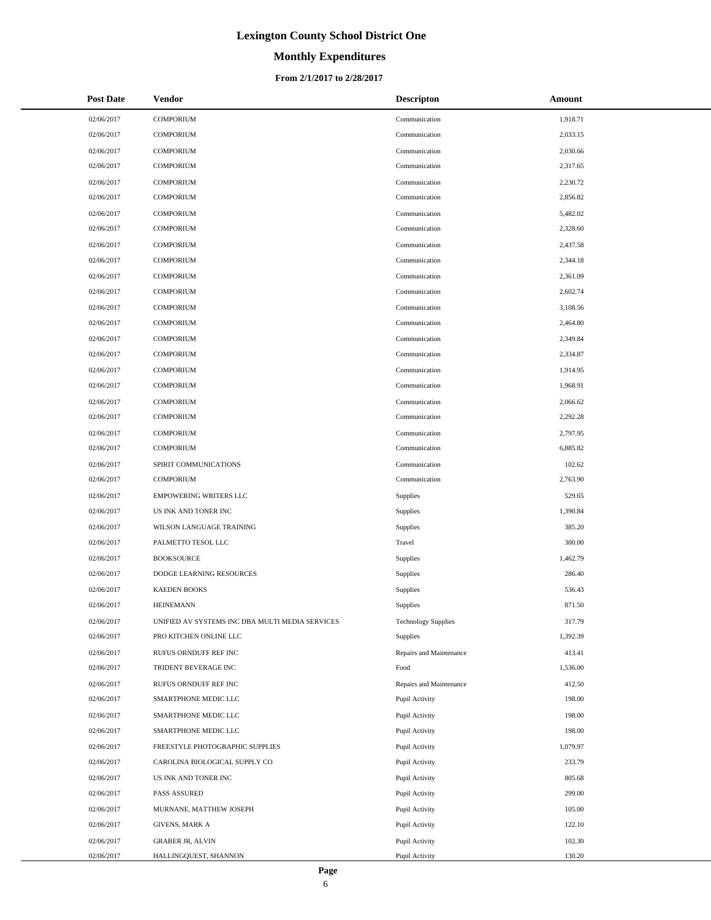# **Monthly Expenditures**

| <b>Post Date</b> | Vendor                                          | <b>Descripton</b>          | Amount   |
|------------------|-------------------------------------------------|----------------------------|----------|
| 02/06/2017       | <b>COMPORIUM</b>                                | Communication              | 1,918.71 |
| 02/06/2017       | <b>COMPORIUM</b>                                | Communication              | 2,033.15 |
| 02/06/2017       | <b>COMPORIUM</b>                                | Communication              | 2,030.66 |
| 02/06/2017       | <b>COMPORIUM</b>                                | Communication              | 2,317.65 |
| 02/06/2017       | <b>COMPORIUM</b>                                | Communication              | 2,230.72 |
| 02/06/2017       | <b>COMPORIUM</b>                                | Communication              | 2,856.82 |
| 02/06/2017       | <b>COMPORIUM</b>                                | Communication              | 5,482.02 |
| 02/06/2017       | <b>COMPORIUM</b>                                | Communication              | 2,328.60 |
| 02/06/2017       | <b>COMPORIUM</b>                                | Communication              | 2,437.58 |
| 02/06/2017       | <b>COMPORIUM</b>                                | Communication              | 2,344.18 |
| 02/06/2017       | <b>COMPORIUM</b>                                | Communication              | 2,361.09 |
| 02/06/2017       | <b>COMPORIUM</b>                                | Communication              | 2,602.74 |
| 02/06/2017       | <b>COMPORIUM</b>                                | Communication              | 3,108.56 |
| 02/06/2017       | <b>COMPORIUM</b>                                | Communication              | 2,464.80 |
| 02/06/2017       | <b>COMPORIUM</b>                                | Communication              | 2.349.84 |
| 02/06/2017       | <b>COMPORIUM</b>                                | Communication              | 2,334.87 |
| 02/06/2017       | <b>COMPORIUM</b>                                | Communication              | 1.914.95 |
| 02/06/2017       | <b>COMPORIUM</b>                                | Communication              | 1,968.91 |
| 02/06/2017       | <b>COMPORIUM</b>                                | Communication              | 2,066.62 |
| 02/06/2017       | <b>COMPORIUM</b>                                | Communication              | 2,292.28 |
| 02/06/2017       | <b>COMPORIUM</b>                                | Communication              | 2,797.95 |
| 02/06/2017       | <b>COMPORIUM</b>                                | Communication              | 6,885.82 |
| 02/06/2017       | SPIRIT COMMUNICATIONS                           | Communication              | 102.62   |
| 02/06/2017       | <b>COMPORIUM</b>                                | Communication              | 2,763.90 |
| 02/06/2017       | <b>EMPOWERING WRITERS LLC</b>                   | Supplies                   | 529.65   |
| 02/06/2017       | US INK AND TONER INC                            | Supplies                   | 1,390.84 |
| 02/06/2017       | WILSON LANGUAGE TRAINING                        | Supplies                   | 385.20   |
| 02/06/2017       | PALMETTO TESOL LLC                              | Travel                     | 300.00   |
| 02/06/2017       | <b>BOOKSOURCE</b>                               | Supplies                   | 1,462.79 |
| 02/06/2017       | DODGE LEARNING RESOURCES                        | Supplies                   | 286.40   |
| 02/06/2017       | <b>KAEDEN BOOKS</b>                             | Supplies                   | 536.43   |
| 02/06/2017       | <b>HEINEMANN</b>                                | Supplies                   | 871.50   |
| 02/06/2017       | UNIFIED AV SYSTEMS INC DBA MULTI MEDIA SERVICES | <b>Technology Supplies</b> | 317.79   |
| 02/06/2017       | PRO KITCHEN ONLINE LLC                          | Supplies                   | 1,392.39 |
| 02/06/2017       | RUFUS ORNDUFF REF INC                           | Repairs and Maintenance    | 413.41   |
| 02/06/2017       | TRIDENT BEVERAGE INC                            | Food                       | 1,536.00 |
| 02/06/2017       | RUFUS ORNDUFF REF INC                           | Repairs and Maintenance    | 412.50   |
| 02/06/2017       | SMARTPHONE MEDIC LLC                            | Pupil Activity             | 198.00   |
| 02/06/2017       | SMARTPHONE MEDIC LLC                            | Pupil Activity             | 198.00   |
| 02/06/2017       | SMARTPHONE MEDIC LLC                            | Pupil Activity             | 198.00   |
| 02/06/2017       | FREESTYLE PHOTOGRAPHIC SUPPLIES                 | Pupil Activity             | 1,079.97 |
| 02/06/2017       | CAROLINA BIOLOGICAL SUPPLY CO                   | Pupil Activity             | 233.79   |
| 02/06/2017       | US INK AND TONER INC                            | Pupil Activity             | 805.68   |
| 02/06/2017       | PASS ASSURED                                    | Pupil Activity             | 299.00   |
| 02/06/2017       | MURNANE, MATTHEW JOSEPH                         | Pupil Activity             | 105.00   |
| 02/06/2017       | GIVENS, MARK A                                  | Pupil Activity             | 122.10   |
| 02/06/2017       | <b>GRABER JR, ALVIN</b>                         | Pupil Activity             | 102.30   |
| 02/06/2017       | HALLINGQUEST, SHANNON                           | Pupil Activity             | 130.20   |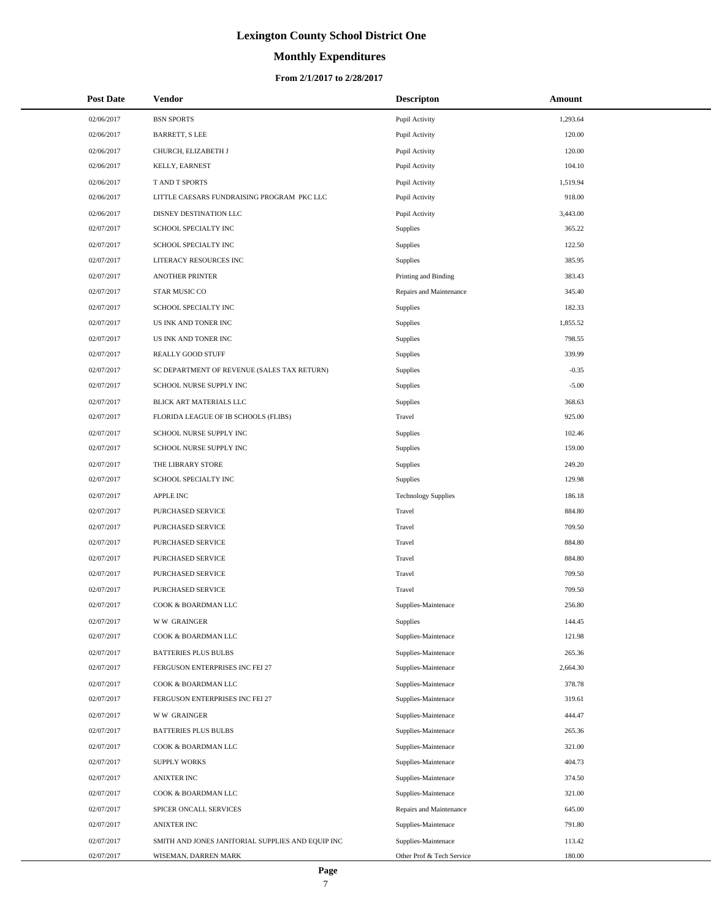# **Monthly Expenditures**

#### **From 2/1/2017 to 2/28/2017**

| <b>Post Date</b> | Vendor                                            | <b>Descripton</b>          | Amount   |
|------------------|---------------------------------------------------|----------------------------|----------|
| 02/06/2017       | <b>BSN SPORTS</b>                                 | Pupil Activity             | 1,293.64 |
| 02/06/2017       | <b>BARRETT, S LEE</b>                             | Pupil Activity             | 120.00   |
| 02/06/2017       | CHURCH, ELIZABETH J                               | Pupil Activity             | 120.00   |
| 02/06/2017       | KELLY, EARNEST                                    | Pupil Activity             | 104.10   |
| 02/06/2017       | T AND T SPORTS                                    | Pupil Activity             | 1,519.94 |
| 02/06/2017       | LITTLE CAESARS FUNDRAISING PROGRAM PKC LLC        | Pupil Activity             | 918.00   |
| 02/06/2017       | DISNEY DESTINATION LLC                            | Pupil Activity             | 3,443.00 |
| 02/07/2017       | SCHOOL SPECIALTY INC                              | Supplies                   | 365.22   |
| 02/07/2017       | SCHOOL SPECIALTY INC                              | Supplies                   | 122.50   |
| 02/07/2017       | LITERACY RESOURCES INC                            | Supplies                   | 385.95   |
| 02/07/2017       | <b>ANOTHER PRINTER</b>                            | Printing and Binding       | 383.43   |
| 02/07/2017       | STAR MUSIC CO                                     | Repairs and Maintenance    | 345.40   |
| 02/07/2017       | SCHOOL SPECIALTY INC                              | Supplies                   | 182.33   |
| 02/07/2017       | US INK AND TONER INC                              | <b>Supplies</b>            | 1,855.52 |
| 02/07/2017       | US INK AND TONER INC                              | <b>Supplies</b>            | 798.55   |
| 02/07/2017       | REALLY GOOD STUFF                                 | <b>Supplies</b>            | 339.99   |
| 02/07/2017       | SC DEPARTMENT OF REVENUE (SALES TAX RETURN)       | Supplies                   | $-0.35$  |
| 02/07/2017       | SCHOOL NURSE SUPPLY INC                           | Supplies                   | $-5.00$  |
| 02/07/2017       | BLICK ART MATERIALS LLC                           | <b>Supplies</b>            | 368.63   |
| 02/07/2017       | FLORIDA LEAGUE OF IB SCHOOLS (FLIBS)              | Travel                     | 925.00   |
| 02/07/2017       | SCHOOL NURSE SUPPLY INC                           | <b>Supplies</b>            | 102.46   |
| 02/07/2017       | SCHOOL NURSE SUPPLY INC                           | Supplies                   | 159.00   |
| 02/07/2017       | THE LIBRARY STORE                                 | <b>Supplies</b>            | 249.20   |
| 02/07/2017       | SCHOOL SPECIALTY INC                              | <b>Supplies</b>            | 129.98   |
| 02/07/2017       | <b>APPLE INC</b>                                  | <b>Technology Supplies</b> | 186.18   |
| 02/07/2017       | PURCHASED SERVICE                                 | Travel                     | 884.80   |
| 02/07/2017       | PURCHASED SERVICE                                 | Travel                     | 709.50   |
| 02/07/2017       | PURCHASED SERVICE                                 | Travel                     | 884.80   |
| 02/07/2017       | PURCHASED SERVICE                                 | Travel                     | 884.80   |
| 02/07/2017       | PURCHASED SERVICE                                 | Travel                     | 709.50   |
| 02/07/2017       | PURCHASED SERVICE                                 | Travel                     | 709.50   |
| 02/07/2017       | COOK & BOARDMAN LLC                               | Supplies-Maintenace        | 256.80   |
| 02/07/2017       | <b>WW GRAINGER</b>                                | Supplies                   | 144.45   |
| 02/07/2017       | COOK & BOARDMAN LLC                               | Supplies-Maintenace        | 121.98   |
| 02/07/2017       | <b>BATTERIES PLUS BULBS</b>                       | Supplies-Maintenace        | 265.36   |
| 02/07/2017       | FERGUSON ENTERPRISES INC FEI 27                   | Supplies-Maintenace        | 2,664.30 |
| 02/07/2017       | COOK & BOARDMAN LLC                               | Supplies-Maintenace        | 378.78   |
| 02/07/2017       | FERGUSON ENTERPRISES INC FEI 27                   | Supplies-Maintenace        | 319.61   |
| 02/07/2017       | <b>WW GRAINGER</b>                                | Supplies-Maintenace        | 444.47   |
| 02/07/2017       | <b>BATTERIES PLUS BULBS</b>                       | Supplies-Maintenace        | 265.36   |
| 02/07/2017       | COOK & BOARDMAN LLC                               | Supplies-Maintenace        | 321.00   |
| 02/07/2017       | <b>SUPPLY WORKS</b>                               | Supplies-Maintenace        | 404.73   |
| 02/07/2017       | <b>ANIXTER INC</b>                                | Supplies-Maintenace        | 374.50   |
| 02/07/2017       | COOK & BOARDMAN LLC                               | Supplies-Maintenace        | 321.00   |
| 02/07/2017       | SPICER ONCALL SERVICES                            | Repairs and Maintenance    | 645.00   |
| 02/07/2017       | <b>ANIXTER INC</b>                                | Supplies-Maintenace        | 791.80   |
| 02/07/2017       | SMITH AND JONES JANITORIAL SUPPLIES AND EQUIP INC | Supplies-Maintenace        | 113.42   |
| 02/07/2017       | WISEMAN, DARREN MARK                              | Other Prof & Tech Service  | 180.00   |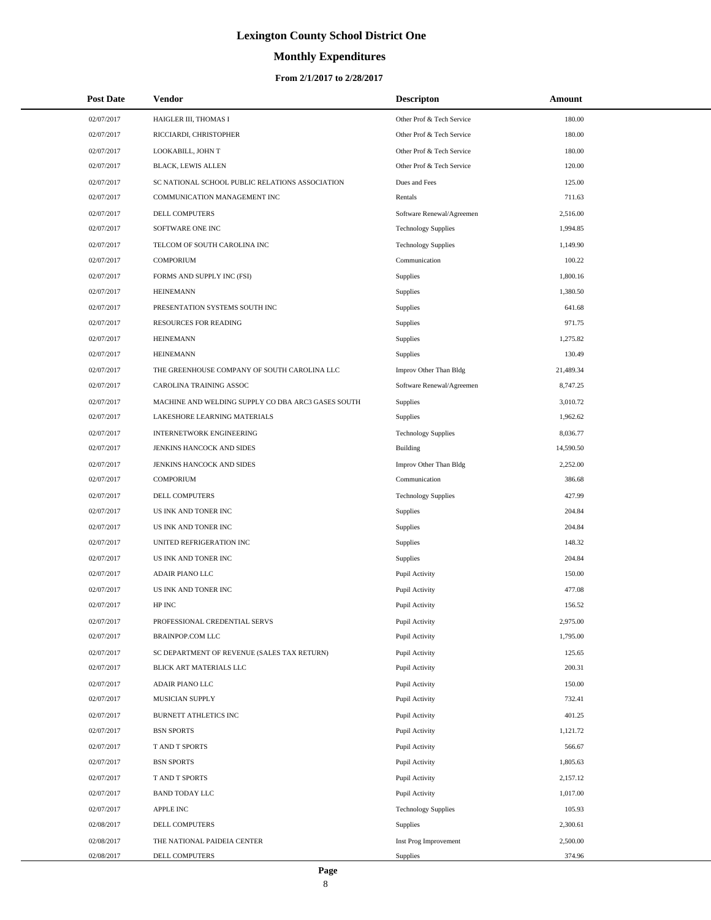# **Monthly Expenditures**

| <b>Post Date</b> | Vendor                                             | <b>Descripton</b>          | Amount    |  |
|------------------|----------------------------------------------------|----------------------------|-----------|--|
| 02/07/2017       | HAIGLER III, THOMAS I                              | Other Prof & Tech Service  | 180.00    |  |
| 02/07/2017       | RICCIARDI, CHRISTOPHER                             | Other Prof & Tech Service  | 180.00    |  |
| 02/07/2017       | LOOKABILL, JOHN T                                  | Other Prof & Tech Service  | 180.00    |  |
| 02/07/2017       | <b>BLACK, LEWIS ALLEN</b>                          | Other Prof & Tech Service  | 120.00    |  |
| 02/07/2017       | SC NATIONAL SCHOOL PUBLIC RELATIONS ASSOCIATION    | Dues and Fees              | 125.00    |  |
| 02/07/2017       | COMMUNICATION MANAGEMENT INC                       | Rentals                    | 711.63    |  |
| 02/07/2017       | DELL COMPUTERS                                     | Software Renewal/Agreemen  | 2,516.00  |  |
| 02/07/2017       | SOFTWARE ONE INC                                   | <b>Technology Supplies</b> | 1,994.85  |  |
| 02/07/2017       | TELCOM OF SOUTH CAROLINA INC                       | <b>Technology Supplies</b> | 1,149.90  |  |
| 02/07/2017       | <b>COMPORIUM</b>                                   | Communication              | 100.22    |  |
| 02/07/2017       | FORMS AND SUPPLY INC (FSI)                         | <b>Supplies</b>            | 1,800.16  |  |
| 02/07/2017       | <b>HEINEMANN</b>                                   | Supplies                   | 1,380.50  |  |
| 02/07/2017       | PRESENTATION SYSTEMS SOUTH INC                     | <b>Supplies</b>            | 641.68    |  |
| 02/07/2017       | <b>RESOURCES FOR READING</b>                       | Supplies                   | 971.75    |  |
| 02/07/2017       | <b>HEINEMANN</b>                                   | Supplies                   | 1,275.82  |  |
| 02/07/2017       | <b>HEINEMANN</b>                                   | <b>Supplies</b>            | 130.49    |  |
| 02/07/2017       | THE GREENHOUSE COMPANY OF SOUTH CAROLINA LLC       | Improv Other Than Bldg     | 21,489.34 |  |
| 02/07/2017       | CAROLINA TRAINING ASSOC                            | Software Renewal/Agreemen  | 8,747.25  |  |
| 02/07/2017       | MACHINE AND WELDING SUPPLY CO DBA ARC3 GASES SOUTH | <b>Supplies</b>            | 3,010.72  |  |
| 02/07/2017       | LAKESHORE LEARNING MATERIALS                       | <b>Supplies</b>            | 1,962.62  |  |
| 02/07/2017       | INTERNETWORK ENGINEERING                           | <b>Technology Supplies</b> | 8,036.77  |  |
| 02/07/2017       | JENKINS HANCOCK AND SIDES                          | Building                   | 14,590.50 |  |
| 02/07/2017       | JENKINS HANCOCK AND SIDES                          | Improv Other Than Bldg     | 2,252.00  |  |
| 02/07/2017       | <b>COMPORIUM</b>                                   | Communication              | 386.68    |  |
| 02/07/2017       | DELL COMPUTERS                                     | <b>Technology Supplies</b> | 427.99    |  |
| 02/07/2017       | US INK AND TONER INC                               | <b>Supplies</b>            | 204.84    |  |
| 02/07/2017       | US INK AND TONER INC                               | Supplies                   | 204.84    |  |
| 02/07/2017       | UNITED REFRIGERATION INC                           | <b>Supplies</b>            | 148.32    |  |
| 02/07/2017       | US INK AND TONER INC                               | Supplies                   | 204.84    |  |
| 02/07/2017       | ADAIR PIANO LLC                                    | Pupil Activity             | 150.00    |  |
| 02/07/2017       | US INK AND TONER INC                               | Pupil Activity             | 477.08    |  |
| 02/07/2017       | HP INC                                             | Pupil Activity             | 156.52    |  |
| 02/07/2017       | PROFESSIONAL CREDENTIAL SERVS                      | Pupil Activity             | 2,975.00  |  |
| 02/07/2017       | <b>BRAINPOP.COM LLC</b>                            | Pupil Activity             | 1,795.00  |  |
| 02/07/2017       | SC DEPARTMENT OF REVENUE (SALES TAX RETURN)        | Pupil Activity             | 125.65    |  |
| 02/07/2017       | BLICK ART MATERIALS LLC                            | Pupil Activity             | 200.31    |  |
| 02/07/2017       | ADAIR PIANO LLC                                    | Pupil Activity             | 150.00    |  |
| 02/07/2017       | MUSICIAN SUPPLY                                    | Pupil Activity             | 732.41    |  |
| 02/07/2017       | BURNETT ATHLETICS INC                              | Pupil Activity             | 401.25    |  |
| 02/07/2017       | <b>BSN SPORTS</b>                                  | Pupil Activity             | 1,121.72  |  |
| 02/07/2017       | T AND T SPORTS                                     | Pupil Activity             | 566.67    |  |
| 02/07/2017       | <b>BSN SPORTS</b>                                  | Pupil Activity             | 1,805.63  |  |
| 02/07/2017       | T AND T SPORTS                                     | Pupil Activity             | 2,157.12  |  |
| 02/07/2017       | <b>BAND TODAY LLC</b>                              | Pupil Activity             | 1,017.00  |  |
| 02/07/2017       | APPLE INC                                          | <b>Technology Supplies</b> | 105.93    |  |
| 02/08/2017       | DELL COMPUTERS                                     | Supplies                   | 2,300.61  |  |
| 02/08/2017       | THE NATIONAL PAIDEIA CENTER                        | Inst Prog Improvement      | 2,500.00  |  |
| 02/08/2017       | DELL COMPUTERS                                     | Supplies                   | 374.96    |  |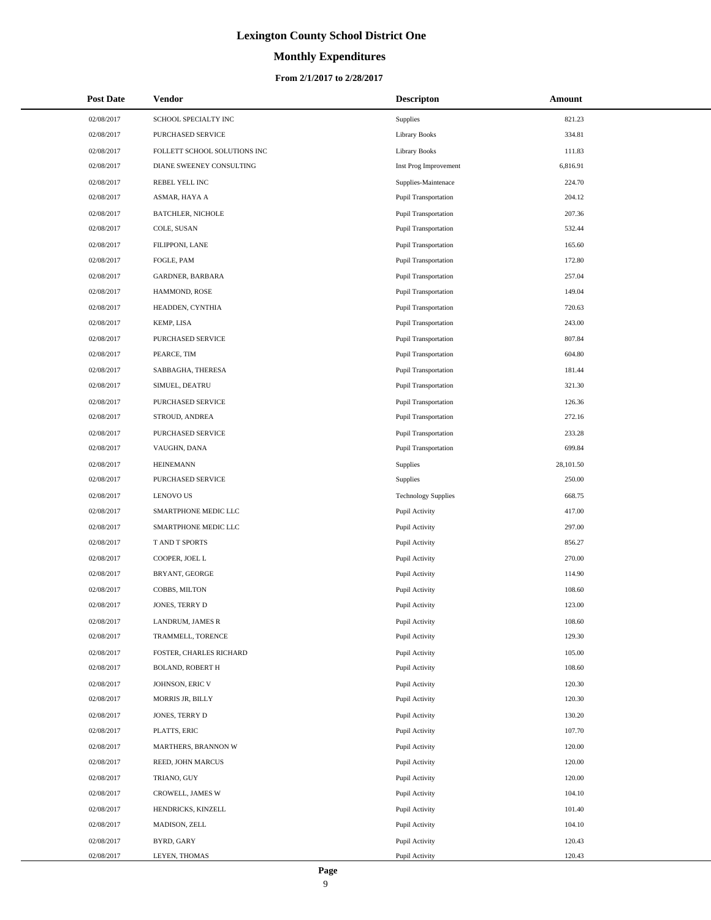#### **Monthly Expenditures**

| <b>Post Date</b> | Vendor                       | <b>Descripton</b>           | Amount    |
|------------------|------------------------------|-----------------------------|-----------|
| 02/08/2017       | SCHOOL SPECIALTY INC         | <b>Supplies</b>             | 821.23    |
| 02/08/2017       | PURCHASED SERVICE            | <b>Library Books</b>        | 334.81    |
| 02/08/2017       | FOLLETT SCHOOL SOLUTIONS INC | <b>Library Books</b>        | 111.83    |
| 02/08/2017       | DIANE SWEENEY CONSULTING     | Inst Prog Improvement       | 6,816.91  |
| 02/08/2017       | REBEL YELL INC               | Supplies-Maintenace         | 224.70    |
| 02/08/2017       | ASMAR, HAYA A                | <b>Pupil Transportation</b> | 204.12    |
| 02/08/2017       | <b>BATCHLER, NICHOLE</b>     | <b>Pupil Transportation</b> | 207.36    |
| 02/08/2017       | COLE, SUSAN                  | <b>Pupil Transportation</b> | 532.44    |
| 02/08/2017       | FILIPPONI, LANE              | <b>Pupil Transportation</b> | 165.60    |
| 02/08/2017       | FOGLE, PAM                   | Pupil Transportation        | 172.80    |
| 02/08/2017       | GARDNER, BARBARA             | <b>Pupil Transportation</b> | 257.04    |
| 02/08/2017       | HAMMOND, ROSE                | <b>Pupil Transportation</b> | 149.04    |
| 02/08/2017       | HEADDEN, CYNTHIA             | <b>Pupil Transportation</b> | 720.63    |
| 02/08/2017       | KEMP, LISA                   | Pupil Transportation        | 243.00    |
| 02/08/2017       | PURCHASED SERVICE            | <b>Pupil Transportation</b> | 807.84    |
| 02/08/2017       | PEARCE, TIM                  | Pupil Transportation        | 604.80    |
| 02/08/2017       | SABBAGHA, THERESA            | <b>Pupil Transportation</b> | 181.44    |
| 02/08/2017       | SIMUEL, DEATRU               | <b>Pupil Transportation</b> | 321.30    |
| 02/08/2017       | <b>PURCHASED SERVICE</b>     | <b>Pupil Transportation</b> | 126.36    |
| 02/08/2017       | STROUD, ANDREA               | Pupil Transportation        | 272.16    |
| 02/08/2017       | PURCHASED SERVICE            | <b>Pupil Transportation</b> | 233.28    |
| 02/08/2017       | VAUGHN, DANA                 | Pupil Transportation        | 699.84    |
| 02/08/2017       | <b>HEINEMANN</b>             | Supplies                    | 28,101.50 |
| 02/08/2017       | PURCHASED SERVICE            | <b>Supplies</b>             | 250.00    |
| 02/08/2017       | <b>LENOVO US</b>             | <b>Technology Supplies</b>  | 668.75    |
| 02/08/2017       | SMARTPHONE MEDIC LLC         | Pupil Activity              | 417.00    |
| 02/08/2017       | SMARTPHONE MEDIC LLC         | Pupil Activity              | 297.00    |
| 02/08/2017       | T AND T SPORTS               | Pupil Activity              | 856.27    |
| 02/08/2017       | COOPER, JOEL L               | Pupil Activity              | 270.00    |
| 02/08/2017       | BRYANT, GEORGE               | Pupil Activity              | 114.90    |
| 02/08/2017       | COBBS, MILTON                | Pupil Activity              | 108.60    |
| 02/08/2017       | JONES, TERRY D               | Pupil Activity              | 123.00    |
| 02/08/2017       | LANDRUM, JAMES R             | Pupil Activity              | 108.60    |
| 02/08/2017       | TRAMMELL, TORENCE            | Pupil Activity              | 129.30    |
| 02/08/2017       | FOSTER, CHARLES RICHARD      | Pupil Activity              | 105.00    |
| 02/08/2017       | <b>BOLAND, ROBERT H</b>      | Pupil Activity              | 108.60    |
| 02/08/2017       | JOHNSON, ERIC V              | Pupil Activity              | 120.30    |
| 02/08/2017       | MORRIS JR, BILLY             | Pupil Activity              | 120.30    |
| 02/08/2017       | JONES, TERRY D               | Pupil Activity              | 130.20    |
| 02/08/2017       | PLATTS, ERIC                 | Pupil Activity              | 107.70    |
| 02/08/2017       | MARTHERS, BRANNON W          | Pupil Activity              | 120.00    |
| 02/08/2017       | REED, JOHN MARCUS            | Pupil Activity              | 120.00    |
| 02/08/2017       | TRIANO, GUY                  | Pupil Activity              | 120.00    |
| 02/08/2017       | CROWELL, JAMES W             | Pupil Activity              | 104.10    |
| 02/08/2017       | HENDRICKS, KINZELL           | Pupil Activity              | 101.40    |
| 02/08/2017       | MADISON, ZELL                | Pupil Activity              | 104.10    |
| 02/08/2017       | BYRD, GARY                   | Pupil Activity              | 120.43    |
| 02/08/2017       | LEYEN, THOMAS                | Pupil Activity              | 120.43    |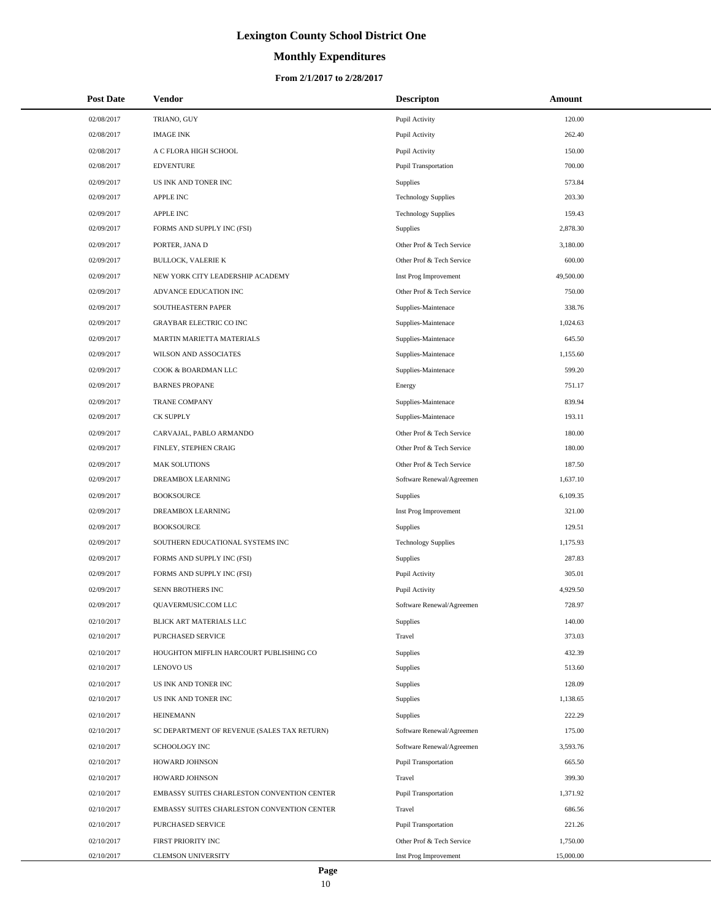# **Monthly Expenditures**

| <b>Post Date</b> | <b>Vendor</b>                               | <b>Descripton</b>           | Amount    |
|------------------|---------------------------------------------|-----------------------------|-----------|
| 02/08/2017       | TRIANO, GUY                                 | Pupil Activity              | 120.00    |
| 02/08/2017       | <b>IMAGE INK</b>                            | Pupil Activity              | 262.40    |
| 02/08/2017       | A C FLORA HIGH SCHOOL                       | Pupil Activity              | 150.00    |
| 02/08/2017       | <b>EDVENTURE</b>                            | Pupil Transportation        | 700.00    |
| 02/09/2017       | US INK AND TONER INC                        | Supplies                    | 573.84    |
| 02/09/2017       | <b>APPLE INC</b>                            | <b>Technology Supplies</b>  | 203.30    |
| 02/09/2017       | <b>APPLE INC</b>                            | <b>Technology Supplies</b>  | 159.43    |
| 02/09/2017       | FORMS AND SUPPLY INC (FSI)                  | Supplies                    | 2,878.30  |
| 02/09/2017       | PORTER, JANA D                              | Other Prof & Tech Service   | 3,180.00  |
| 02/09/2017       | <b>BULLOCK, VALERIE K</b>                   | Other Prof & Tech Service   | 600.00    |
| 02/09/2017       | NEW YORK CITY LEADERSHIP ACADEMY            | Inst Prog Improvement       | 49,500.00 |
| 02/09/2017       | ADVANCE EDUCATION INC                       | Other Prof & Tech Service   | 750.00    |
| 02/09/2017       | SOUTHEASTERN PAPER                          | Supplies-Maintenace         | 338.76    |
| 02/09/2017       | <b>GRAYBAR ELECTRIC CO INC</b>              | Supplies-Maintenace         | 1,024.63  |
| 02/09/2017       | MARTIN MARIETTA MATERIALS                   | Supplies-Maintenace         | 645.50    |
| 02/09/2017       | WILSON AND ASSOCIATES                       | Supplies-Maintenace         | 1.155.60  |
| 02/09/2017       | COOK & BOARDMAN LLC                         | Supplies-Maintenace         | 599.20    |
| 02/09/2017       | <b>BARNES PROPANE</b>                       | Energy                      | 751.17    |
| 02/09/2017       | <b>TRANE COMPANY</b>                        | Supplies-Maintenace         | 839.94    |
| 02/09/2017       | <b>CK SUPPLY</b>                            | Supplies-Maintenace         | 193.11    |
| 02/09/2017       | CARVAJAL, PABLO ARMANDO                     | Other Prof & Tech Service   | 180.00    |
| 02/09/2017       | FINLEY, STEPHEN CRAIG                       | Other Prof & Tech Service   | 180.00    |
| 02/09/2017       | <b>MAK SOLUTIONS</b>                        | Other Prof & Tech Service   | 187.50    |
| 02/09/2017       | DREAMBOX LEARNING                           | Software Renewal/Agreemen   | 1,637.10  |
| 02/09/2017       | <b>BOOKSOURCE</b>                           | Supplies                    | 6,109.35  |
| 02/09/2017       | DREAMBOX LEARNING                           | Inst Prog Improvement       | 321.00    |
| 02/09/2017       | <b>BOOKSOURCE</b>                           | Supplies                    | 129.51    |
| 02/09/2017       | SOUTHERN EDUCATIONAL SYSTEMS INC            | <b>Technology Supplies</b>  | 1,175.93  |
| 02/09/2017       | FORMS AND SUPPLY INC (FSI)                  | Supplies                    | 287.83    |
| 02/09/2017       | FORMS AND SUPPLY INC (FSI)                  | Pupil Activity              | 305.01    |
| 02/09/2017       | SENN BROTHERS INC                           | Pupil Activity              | 4,929.50  |
| 02/09/2017       | QUAVERMUSIC.COM LLC                         | Software Renewal/Agreemen   | 728.97    |
| 02/10/2017       | BLICK ART MATERIALS LLC                     | Supplies                    | 140.00    |
| 02/10/2017       | PURCHASED SERVICE                           | Travel                      | 373.03    |
| 02/10/2017       | HOUGHTON MIFFLIN HARCOURT PUBLISHING CO     | Supplies                    | 432.39    |
| 02/10/2017       | <b>LENOVO US</b>                            | Supplies                    | 513.60    |
| 02/10/2017       | US INK AND TONER INC                        | Supplies                    | 128.09    |
| 02/10/2017       | US INK AND TONER INC                        | Supplies                    | 1,138.65  |
| 02/10/2017       | <b>HEINEMANN</b>                            | Supplies                    | 222.29    |
| 02/10/2017       | SC DEPARTMENT OF REVENUE (SALES TAX RETURN) | Software Renewal/Agreemen   | 175.00    |
| 02/10/2017       | <b>SCHOOLOGY INC</b>                        | Software Renewal/Agreemen   | 3,593.76  |
| 02/10/2017       | HOWARD JOHNSON                              | Pupil Transportation        | 665.50    |
| 02/10/2017       | HOWARD JOHNSON                              | Travel                      | 399.30    |
| 02/10/2017       | EMBASSY SUITES CHARLESTON CONVENTION CENTER | Pupil Transportation        | 1,371.92  |
| 02/10/2017       | EMBASSY SUITES CHARLESTON CONVENTION CENTER | Travel                      | 686.56    |
| 02/10/2017       | PURCHASED SERVICE                           | <b>Pupil Transportation</b> | 221.26    |
| 02/10/2017       | FIRST PRIORITY INC                          | Other Prof & Tech Service   | 1,750.00  |
| 02/10/2017       | CLEMSON UNIVERSITY                          | Inst Prog Improvement       | 15,000.00 |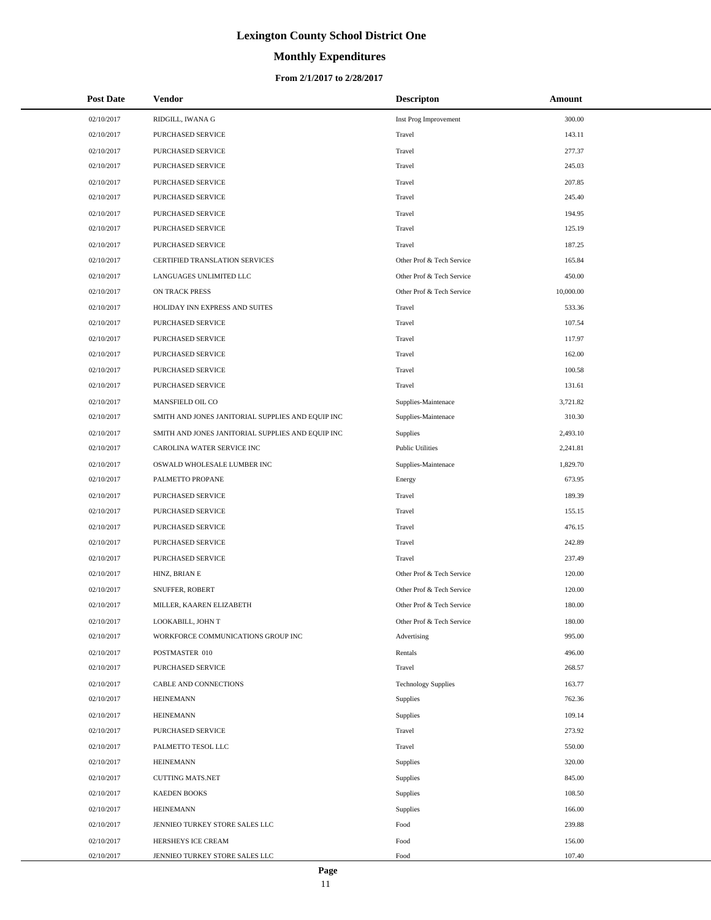# **Monthly Expenditures**

#### **From 2/1/2017 to 2/28/2017**

| <b>Post Date</b> | <b>Vendor</b>                                     | <b>Descripton</b>          | Amount    |  |
|------------------|---------------------------------------------------|----------------------------|-----------|--|
| 02/10/2017       | RIDGILL, IWANA G                                  | Inst Prog Improvement      | 300.00    |  |
| 02/10/2017       | PURCHASED SERVICE                                 | Travel                     | 143.11    |  |
| 02/10/2017       | PURCHASED SERVICE                                 | Travel                     | 277.37    |  |
| 02/10/2017       | PURCHASED SERVICE                                 | Travel                     | 245.03    |  |
| 02/10/2017       | PURCHASED SERVICE                                 | Travel                     | 207.85    |  |
| 02/10/2017       | PURCHASED SERVICE                                 | Travel                     | 245.40    |  |
| 02/10/2017       | PURCHASED SERVICE                                 | Travel                     | 194.95    |  |
| 02/10/2017       | PURCHASED SERVICE                                 | Travel                     | 125.19    |  |
| 02/10/2017       | PURCHASED SERVICE                                 | Travel                     | 187.25    |  |
| 02/10/2017       | CERTIFIED TRANSLATION SERVICES                    | Other Prof & Tech Service  | 165.84    |  |
| 02/10/2017       | LANGUAGES UNLIMITED LLC                           | Other Prof & Tech Service  | 450.00    |  |
| 02/10/2017       | ON TRACK PRESS                                    | Other Prof & Tech Service  | 10,000.00 |  |
| 02/10/2017       | HOLIDAY INN EXPRESS AND SUITES                    | Travel                     | 533.36    |  |
| 02/10/2017       | PURCHASED SERVICE                                 | Travel                     | 107.54    |  |
| 02/10/2017       | PURCHASED SERVICE                                 | Travel                     | 117.97    |  |
| 02/10/2017       | <b>PURCHASED SERVICE</b>                          | Travel                     | 162.00    |  |
| 02/10/2017       | PURCHASED SERVICE                                 | Travel                     | 100.58    |  |
| 02/10/2017       | <b>PURCHASED SERVICE</b>                          | Travel                     | 131.61    |  |
| 02/10/2017       | MANSFIELD OIL CO                                  | Supplies-Maintenace        | 3,721.82  |  |
| 02/10/2017       | SMITH AND JONES JANITORIAL SUPPLIES AND EQUIP INC | Supplies-Maintenace        | 310.30    |  |
| 02/10/2017       | SMITH AND JONES JANITORIAL SUPPLIES AND EQUIP INC | <b>Supplies</b>            | 2,493.10  |  |
| 02/10/2017       | CAROLINA WATER SERVICE INC                        | <b>Public Utilities</b>    | 2,241.81  |  |
| 02/10/2017       | OSWALD WHOLESALE LUMBER INC                       | Supplies-Maintenace        | 1,829.70  |  |
| 02/10/2017       | PALMETTO PROPANE                                  | Energy                     | 673.95    |  |
| 02/10/2017       | PURCHASED SERVICE                                 | Travel                     | 189.39    |  |
| 02/10/2017       | PURCHASED SERVICE                                 | Travel                     | 155.15    |  |
| 02/10/2017       | PURCHASED SERVICE                                 | Travel                     | 476.15    |  |
| 02/10/2017       | PURCHASED SERVICE                                 | Travel                     | 242.89    |  |
| 02/10/2017       | <b>PURCHASED SERVICE</b>                          | Travel                     | 237.49    |  |
| 02/10/2017       | HINZ, BRIAN E                                     | Other Prof & Tech Service  | 120.00    |  |
| 02/10/2017       | SNUFFER, ROBERT                                   | Other Prof & Tech Service  | 120.00    |  |
| 02/10/2017       | MILLER, KAAREN ELIZABETH                          | Other Prof & Tech Service  | 180.00    |  |
| 02/10/2017       | LOOKABILL, JOHN T                                 | Other Prof & Tech Service  | 180.00    |  |
| 02/10/2017       | WORKFORCE COMMUNICATIONS GROUP INC                | Advertising                | 995.00    |  |
| 02/10/2017       | POSTMASTER 010                                    | Rentals                    | 496.00    |  |
| 02/10/2017       | PURCHASED SERVICE                                 | Travel                     | 268.57    |  |
| 02/10/2017       | CABLE AND CONNECTIONS                             | <b>Technology Supplies</b> | 163.77    |  |
| 02/10/2017       | <b>HEINEMANN</b>                                  | Supplies                   | 762.36    |  |
| 02/10/2017       | <b>HEINEMANN</b>                                  | Supplies                   | 109.14    |  |
| 02/10/2017       | PURCHASED SERVICE                                 | Travel                     | 273.92    |  |
| 02/10/2017       | PALMETTO TESOL LLC                                | Travel                     | 550.00    |  |
| 02/10/2017       | <b>HEINEMANN</b>                                  | Supplies                   | 320.00    |  |
| 02/10/2017       | <b>CUTTING MATS.NET</b>                           | Supplies                   | 845.00    |  |
| 02/10/2017       | <b>KAEDEN BOOKS</b>                               | Supplies                   | 108.50    |  |
| 02/10/2017       | <b>HEINEMANN</b>                                  | Supplies                   | 166.00    |  |
| 02/10/2017       | JENNIEO TURKEY STORE SALES LLC                    | Food                       | 239.88    |  |
| 02/10/2017       | HERSHEYS ICE CREAM                                | Food                       | 156.00    |  |
| 02/10/2017       | JENNIEO TURKEY STORE SALES LLC                    | Food                       | 107.40    |  |

 $\overline{a}$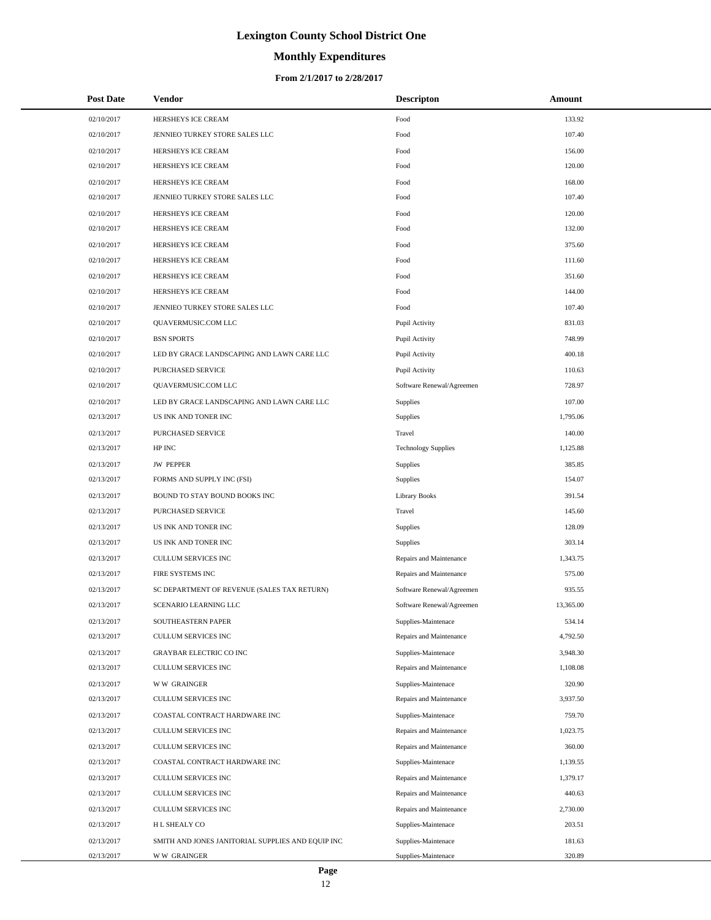# **Monthly Expenditures**

#### **From 2/1/2017 to 2/28/2017**

| <b>Post Date</b> | Vendor                                            | <b>Descripton</b>          | Amount    |
|------------------|---------------------------------------------------|----------------------------|-----------|
| 02/10/2017       | HERSHEYS ICE CREAM                                | Food                       | 133.92    |
| 02/10/2017       | JENNIEO TURKEY STORE SALES LLC                    | Food                       | 107.40    |
| 02/10/2017       | HERSHEYS ICE CREAM                                | Food                       | 156.00    |
| 02/10/2017       | HERSHEYS ICE CREAM                                | Food                       | 120.00    |
| 02/10/2017       | HERSHEYS ICE CREAM                                | Food                       | 168.00    |
| 02/10/2017       | JENNIEO TURKEY STORE SALES LLC                    | Food                       | 107.40    |
| 02/10/2017       | HERSHEYS ICE CREAM                                | Food                       | 120.00    |
| 02/10/2017       | HERSHEYS ICE CREAM                                | Food                       | 132.00    |
| 02/10/2017       | HERSHEYS ICE CREAM                                | Food                       | 375.60    |
| 02/10/2017       | HERSHEYS ICE CREAM                                | Food                       | 111.60    |
| 02/10/2017       | HERSHEYS ICE CREAM                                | Food                       | 351.60    |
| 02/10/2017       | HERSHEYS ICE CREAM                                | Food                       | 144.00    |
| 02/10/2017       | JENNIEO TURKEY STORE SALES LLC                    | Food                       | 107.40    |
| 02/10/2017       | QUAVERMUSIC.COM LLC                               | Pupil Activity             | 831.03    |
| 02/10/2017       | <b>BSN SPORTS</b>                                 | Pupil Activity             | 748.99    |
| 02/10/2017       | LED BY GRACE LANDSCAPING AND LAWN CARE LLC        | Pupil Activity             | 400.18    |
| 02/10/2017       | PURCHASED SERVICE                                 | Pupil Activity             | 110.63    |
| 02/10/2017       | QUAVERMUSIC.COM LLC                               | Software Renewal/Agreemen  | 728.97    |
| 02/10/2017       | LED BY GRACE LANDSCAPING AND LAWN CARE LLC        | Supplies                   | 107.00    |
| 02/13/2017       | US INK AND TONER INC                              | Supplies                   | 1,795.06  |
| 02/13/2017       | PURCHASED SERVICE                                 | Travel                     | 140.00    |
| 02/13/2017       | HP INC                                            | <b>Technology Supplies</b> | 1,125.88  |
| 02/13/2017       | <b>JW PEPPER</b>                                  | Supplies                   | 385.85    |
| 02/13/2017       | FORMS AND SUPPLY INC (FSI)                        | Supplies                   | 154.07    |
| 02/13/2017       | BOUND TO STAY BOUND BOOKS INC                     | <b>Library Books</b>       | 391.54    |
| 02/13/2017       | PURCHASED SERVICE                                 | Travel                     | 145.60    |
| 02/13/2017       | US INK AND TONER INC                              | Supplies                   | 128.09    |
| 02/13/2017       | US INK AND TONER INC                              | Supplies                   | 303.14    |
| 02/13/2017       | CULLUM SERVICES INC                               | Repairs and Maintenance    | 1,343.75  |
| 02/13/2017       | FIRE SYSTEMS INC                                  | Repairs and Maintenance    | 575.00    |
| 02/13/2017       | SC DEPARTMENT OF REVENUE (SALES TAX RETURN)       | Software Renewal/Agreemen  | 935.55    |
| 02/13/2017       | SCENARIO LEARNING LLC                             | Software Renewal/Agreemen  | 13,365.00 |
| 02/13/2017       | SOUTHEASTERN PAPER                                | Supplies-Maintenace        | 534.14    |
| 02/13/2017       | <b>CULLUM SERVICES INC</b>                        | Repairs and Maintenance    | 4,792.50  |
| 02/13/2017       | <b>GRAYBAR ELECTRIC CO INC</b>                    | Supplies-Maintenace        | 3,948.30  |
| 02/13/2017       | CULLUM SERVICES INC                               | Repairs and Maintenance    | 1,108.08  |
| 02/13/2017       | <b>WW GRAINGER</b>                                | Supplies-Maintenace        | 320.90    |
| 02/13/2017       | CULLUM SERVICES INC                               | Repairs and Maintenance    | 3,937.50  |
| 02/13/2017       | COASTAL CONTRACT HARDWARE INC                     | Supplies-Maintenace        | 759.70    |
| 02/13/2017       | CULLUM SERVICES INC                               | Repairs and Maintenance    | 1,023.75  |
| 02/13/2017       | CULLUM SERVICES INC                               | Repairs and Maintenance    | 360.00    |
| 02/13/2017       | COASTAL CONTRACT HARDWARE INC                     | Supplies-Maintenace        | 1,139.55  |
| 02/13/2017       | CULLUM SERVICES INC                               | Repairs and Maintenance    | 1,379.17  |
| 02/13/2017       | CULLUM SERVICES INC                               | Repairs and Maintenance    | 440.63    |
| 02/13/2017       | CULLUM SERVICES INC                               | Repairs and Maintenance    | 2,730.00  |
| 02/13/2017       | H L SHEALY CO                                     | Supplies-Maintenace        | 203.51    |
| 02/13/2017       | SMITH AND JONES JANITORIAL SUPPLIES AND EQUIP INC | Supplies-Maintenace        | 181.63    |
| 02/13/2017       | <b>WW GRAINGER</b>                                | Supplies-Maintenace        | 320.89    |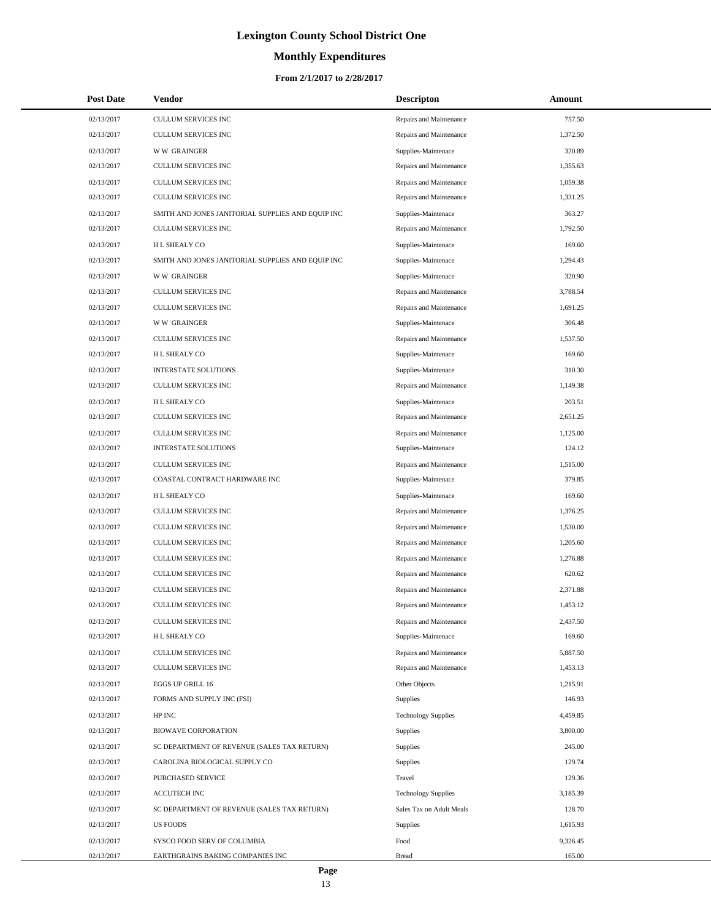# **Monthly Expenditures**

| <b>Post Date</b> | Vendor                                            | <b>Descripton</b>          | Amount   |
|------------------|---------------------------------------------------|----------------------------|----------|
| 02/13/2017       | CULLUM SERVICES INC                               | Repairs and Maintenance    | 757.50   |
| 02/13/2017       | CULLUM SERVICES INC                               | Repairs and Maintenance    | 1,372.50 |
| 02/13/2017       | <b>WW GRAINGER</b>                                | Supplies-Maintenace        | 320.89   |
| 02/13/2017       | CULLUM SERVICES INC                               | Repairs and Maintenance    | 1,355.63 |
| 02/13/2017       | CULLUM SERVICES INC                               | Repairs and Maintenance    | 1,059.38 |
| 02/13/2017       | CULLUM SERVICES INC                               | Repairs and Maintenance    | 1,331.25 |
| 02/13/2017       | SMITH AND JONES JANITORIAL SUPPLIES AND EQUIP INC | Supplies-Maintenace        | 363.27   |
| 02/13/2017       | CULLUM SERVICES INC                               | Repairs and Maintenance    | 1,792.50 |
| 02/13/2017       | H L SHEALY CO                                     | Supplies-Maintenace        | 169.60   |
| 02/13/2017       | SMITH AND JONES JANITORIAL SUPPLIES AND EQUIP INC | Supplies-Maintenace        | 1,294.43 |
| 02/13/2017       | <b>WW GRAINGER</b>                                | Supplies-Maintenace        | 320.90   |
| 02/13/2017       | CULLUM SERVICES INC                               | Repairs and Maintenance    | 3,788.54 |
| 02/13/2017       | CULLUM SERVICES INC                               | Repairs and Maintenance    | 1,691.25 |
| 02/13/2017       | <b>WW GRAINGER</b>                                | Supplies-Maintenace        | 306.48   |
| 02/13/2017       | CULLUM SERVICES INC                               | Repairs and Maintenance    | 1,537.50 |
| 02/13/2017       | H L SHEALY CO                                     | Supplies-Maintenace        | 169.60   |
| 02/13/2017       | <b>INTERSTATE SOLUTIONS</b>                       | Supplies-Maintenace        | 310.30   |
| 02/13/2017       | <b>CULLUM SERVICES INC</b>                        | Repairs and Maintenance    | 1,149.38 |
| 02/13/2017       | H L SHEALY CO                                     | Supplies-Maintenace        | 203.51   |
| 02/13/2017       | CULLUM SERVICES INC                               | Repairs and Maintenance    | 2,651.25 |
| 02/13/2017       | CULLUM SERVICES INC                               | Repairs and Maintenance    | 1,125.00 |
| 02/13/2017       | <b>INTERSTATE SOLUTIONS</b>                       | Supplies-Maintenace        | 124.12   |
| 02/13/2017       | CULLUM SERVICES INC                               | Repairs and Maintenance    | 1,515.00 |
| 02/13/2017       | COASTAL CONTRACT HARDWARE INC                     | Supplies-Maintenace        | 379.85   |
| 02/13/2017       | H L SHEALY CO                                     | Supplies-Maintenace        | 169.60   |
| 02/13/2017       | CULLUM SERVICES INC                               | Repairs and Maintenance    | 1,376.25 |
| 02/13/2017       | CULLUM SERVICES INC                               | Repairs and Maintenance    | 1,530.00 |
| 02/13/2017       | <b>CULLUM SERVICES INC</b>                        | Repairs and Maintenance    | 1,205.60 |
| 02/13/2017       | CULLUM SERVICES INC                               | Repairs and Maintenance    | 1,276.88 |
| 02/13/2017       | CULLUM SERVICES INC                               | Repairs and Maintenance    | 620.62   |
| 02/13/2017       | CULLUM SERVICES INC                               | Repairs and Maintenance    | 2,371.88 |
| 02/13/2017       | CULLUM SERVICES INC                               | Repairs and Maintenance    | 1,453.12 |
| 02/13/2017       | CULLUM SERVICES INC                               | Repairs and Maintenance    | 2,437.50 |
| 02/13/2017       | H L SHEALY CO                                     | Supplies-Maintenace        | 169.60   |
| 02/13/2017       | CULLUM SERVICES INC                               | Repairs and Maintenance    | 5,887.50 |
| 02/13/2017       | CULLUM SERVICES INC                               | Repairs and Maintenance    | 1,453.13 |
| 02/13/2017       | EGGS UP GRILL 16                                  | Other Objects              | 1,215.91 |
| 02/13/2017       | FORMS AND SUPPLY INC (FSI)                        | Supplies                   | 146.93   |
| 02/13/2017       | HP INC                                            | <b>Technology Supplies</b> | 4,459.85 |
| 02/13/2017       | <b>BIOWAVE CORPORATION</b>                        | Supplies                   | 3,800.00 |
| 02/13/2017       | SC DEPARTMENT OF REVENUE (SALES TAX RETURN)       | Supplies                   | 245.00   |
| 02/13/2017       | CAROLINA BIOLOGICAL SUPPLY CO                     | Supplies                   | 129.74   |
| 02/13/2017       | PURCHASED SERVICE                                 | Travel                     | 129.36   |
| 02/13/2017       | <b>ACCUTECH INC</b>                               | <b>Technology Supplies</b> | 3,185.39 |
| 02/13/2017       | SC DEPARTMENT OF REVENUE (SALES TAX RETURN)       | Sales Tax on Adult Meals   | 128.70   |
| 02/13/2017       | <b>US FOODS</b>                                   | Supplies                   | 1,615.93 |
| 02/13/2017       | SYSCO FOOD SERV OF COLUMBIA                       | Food                       | 9,326.45 |
| 02/13/2017       | EARTHGRAINS BAKING COMPANIES INC                  | <b>Bread</b>               | 165.00   |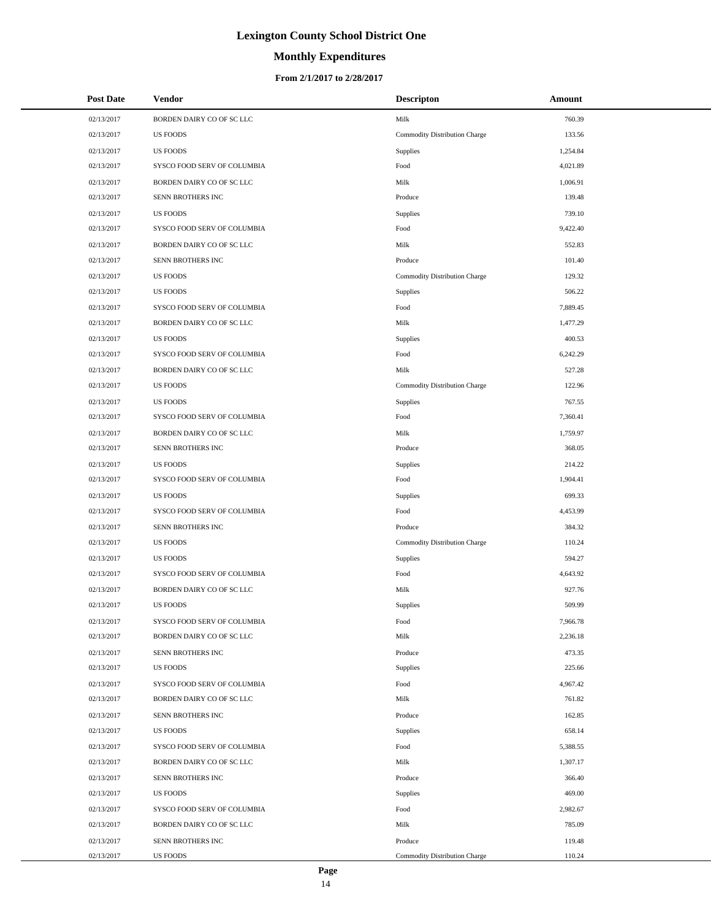# **Monthly Expenditures**

#### **From 2/1/2017 to 2/28/2017**

| <b>Post Date</b> | Vendor                      | <b>Descripton</b>             | Amount   |
|------------------|-----------------------------|-------------------------------|----------|
| 02/13/2017       | BORDEN DAIRY CO OF SC LLC   | Milk                          | 760.39   |
| 02/13/2017       | <b>US FOODS</b>             | Commodity Distribution Charge | 133.56   |
| 02/13/2017       | <b>US FOODS</b>             | Supplies                      | 1,254.84 |
| 02/13/2017       | SYSCO FOOD SERV OF COLUMBIA | Food                          | 4,021.89 |
| 02/13/2017       | BORDEN DAIRY CO OF SC LLC   | Milk                          | 1,006.91 |
| 02/13/2017       | SENN BROTHERS INC           | Produce                       | 139.48   |
| 02/13/2017       | <b>US FOODS</b>             | Supplies                      | 739.10   |
| 02/13/2017       | SYSCO FOOD SERV OF COLUMBIA | Food                          | 9,422.40 |
| 02/13/2017       | BORDEN DAIRY CO OF SC LLC   | Milk                          | 552.83   |
| 02/13/2017       | SENN BROTHERS INC           | Produce                       | 101.40   |
| 02/13/2017       | <b>US FOODS</b>             | Commodity Distribution Charge | 129.32   |
| 02/13/2017       | <b>US FOODS</b>             | Supplies                      | 506.22   |
| 02/13/2017       | SYSCO FOOD SERV OF COLUMBIA | Food                          | 7,889.45 |
| 02/13/2017       | BORDEN DAIRY CO OF SC LLC   | Milk                          | 1,477.29 |
| 02/13/2017       | <b>US FOODS</b>             | Supplies                      | 400.53   |
| 02/13/2017       | SYSCO FOOD SERV OF COLUMBIA | Food                          | 6,242.29 |
| 02/13/2017       | BORDEN DAIRY CO OF SC LLC   | Milk                          | 527.28   |
| 02/13/2017       | <b>US FOODS</b>             | Commodity Distribution Charge | 122.96   |
| 02/13/2017       | <b>US FOODS</b>             | Supplies                      | 767.55   |
| 02/13/2017       | SYSCO FOOD SERV OF COLUMBIA | Food                          | 7,360.41 |
| 02/13/2017       | BORDEN DAIRY CO OF SC LLC   | Milk                          | 1,759.97 |
| 02/13/2017       | SENN BROTHERS INC           | Produce                       | 368.05   |
| 02/13/2017       | <b>US FOODS</b>             | Supplies                      | 214.22   |
| 02/13/2017       | SYSCO FOOD SERV OF COLUMBIA | Food                          | 1,904.41 |
| 02/13/2017       | <b>US FOODS</b>             | Supplies                      | 699.33   |
| 02/13/2017       | SYSCO FOOD SERV OF COLUMBIA | Food                          | 4,453.99 |
| 02/13/2017       | SENN BROTHERS INC           | Produce                       | 384.32   |
| 02/13/2017       | <b>US FOODS</b>             | Commodity Distribution Charge | 110.24   |
| 02/13/2017       | <b>US FOODS</b>             | Supplies                      | 594.27   |
| 02/13/2017       | SYSCO FOOD SERV OF COLUMBIA | Food                          | 4,643.92 |
| 02/13/2017       | BORDEN DAIRY CO OF SC LLC   | Milk                          | 927.76   |
| 02/13/2017       | <b>US FOODS</b>             | Supplies                      | 509.99   |
| 02/13/2017       | SYSCO FOOD SERV OF COLUMBIA | Food                          | 7,966.78 |
| 02/13/2017       | BORDEN DAIRY CO OF SC LLC   | Milk                          | 2,236.18 |
| 02/13/2017       | SENN BROTHERS INC           | Produce                       | 473.35   |
| 02/13/2017       | <b>US FOODS</b>             | Supplies                      | 225.66   |
| 02/13/2017       | SYSCO FOOD SERV OF COLUMBIA | Food                          | 4,967.42 |
| 02/13/2017       | BORDEN DAIRY CO OF SC LLC   | Milk                          | 761.82   |
| 02/13/2017       | SENN BROTHERS INC           | Produce                       | 162.85   |
| 02/13/2017       | <b>US FOODS</b>             | Supplies                      | 658.14   |
| 02/13/2017       | SYSCO FOOD SERV OF COLUMBIA | Food                          | 5,388.55 |
| 02/13/2017       | BORDEN DAIRY CO OF SC LLC   | Milk                          | 1,307.17 |
| 02/13/2017       | SENN BROTHERS INC           | Produce                       | 366.40   |
| 02/13/2017       | <b>US FOODS</b>             | Supplies                      | 469.00   |
| 02/13/2017       | SYSCO FOOD SERV OF COLUMBIA | Food                          | 2,982.67 |
| 02/13/2017       | BORDEN DAIRY CO OF SC LLC   | Milk                          | 785.09   |
| 02/13/2017       | SENN BROTHERS INC           | Produce                       | 119.48   |
| 02/13/2017       | US FOODS                    | Commodity Distribution Charge | 110.24   |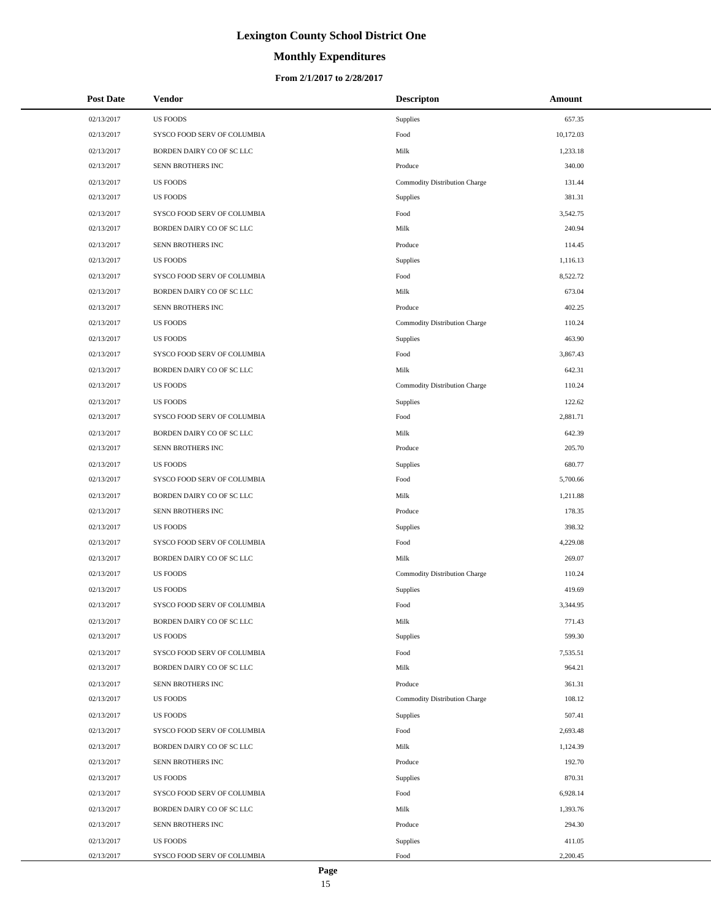# **Monthly Expenditures**

#### **From 2/1/2017 to 2/28/2017**

| <b>Post Date</b> | Vendor                      | <b>Descripton</b>             | Amount    |
|------------------|-----------------------------|-------------------------------|-----------|
| 02/13/2017       | <b>US FOODS</b>             | Supplies                      | 657.35    |
| 02/13/2017       | SYSCO FOOD SERV OF COLUMBIA | Food                          | 10,172.03 |
| 02/13/2017       | BORDEN DAIRY CO OF SC LLC   | Milk                          | 1,233.18  |
| 02/13/2017       | SENN BROTHERS INC           | Produce                       | 340.00    |
| 02/13/2017       | <b>US FOODS</b>             | Commodity Distribution Charge | 131.44    |
| 02/13/2017       | <b>US FOODS</b>             | Supplies                      | 381.31    |
| 02/13/2017       | SYSCO FOOD SERV OF COLUMBIA | Food                          | 3,542.75  |
| 02/13/2017       | BORDEN DAIRY CO OF SC LLC   | Milk                          | 240.94    |
| 02/13/2017       | SENN BROTHERS INC           | Produce                       | 114.45    |
| 02/13/2017       | <b>US FOODS</b>             | Supplies                      | 1,116.13  |
| 02/13/2017       | SYSCO FOOD SERV OF COLUMBIA | Food                          | 8,522.72  |
| 02/13/2017       | BORDEN DAIRY CO OF SC LLC   | Milk                          | 673.04    |
| 02/13/2017       | SENN BROTHERS INC           | Produce                       | 402.25    |
| 02/13/2017       | <b>US FOODS</b>             | Commodity Distribution Charge | 110.24    |
| 02/13/2017       | <b>US FOODS</b>             | Supplies                      | 463.90    |
| 02/13/2017       | SYSCO FOOD SERV OF COLUMBIA | Food                          | 3,867.43  |
| 02/13/2017       | BORDEN DAIRY CO OF SC LLC   | Milk                          | 642.31    |
| 02/13/2017       | <b>US FOODS</b>             | Commodity Distribution Charge | 110.24    |
| 02/13/2017       | <b>US FOODS</b>             | <b>Supplies</b>               | 122.62    |
| 02/13/2017       | SYSCO FOOD SERV OF COLUMBIA | Food                          | 2,881.71  |
| 02/13/2017       | BORDEN DAIRY CO OF SC LLC   | Milk                          | 642.39    |
| 02/13/2017       | SENN BROTHERS INC           | Produce                       | 205.70    |
| 02/13/2017       | <b>US FOODS</b>             | Supplies                      | 680.77    |
| 02/13/2017       | SYSCO FOOD SERV OF COLUMBIA | Food                          | 5,700.66  |
| 02/13/2017       | BORDEN DAIRY CO OF SC LLC   | Milk                          | 1,211.88  |
| 02/13/2017       | SENN BROTHERS INC           | Produce                       | 178.35    |
| 02/13/2017       | <b>US FOODS</b>             | Supplies                      | 398.32    |
| 02/13/2017       | SYSCO FOOD SERV OF COLUMBIA | Food                          | 4,229.08  |
| 02/13/2017       | BORDEN DAIRY CO OF SC LLC   | Milk                          | 269.07    |
| 02/13/2017       | <b>US FOODS</b>             | Commodity Distribution Charge | 110.24    |
| 02/13/2017       | <b>US FOODS</b>             | Supplies                      | 419.69    |
| 02/13/2017       | SYSCO FOOD SERV OF COLUMBIA | Food                          | 3,344.95  |
| 02/13/2017       | BORDEN DAIRY CO OF SC LLC   | Milk                          | 771.43    |
| 02/13/2017       | <b>US FOODS</b>             | Supplies                      | 599.30    |
| 02/13/2017       | SYSCO FOOD SERV OF COLUMBIA | Food                          | 7,535.51  |
| 02/13/2017       | BORDEN DAIRY CO OF SC LLC   | Milk                          | 964.21    |
| 02/13/2017       | SENN BROTHERS INC           | Produce                       | 361.31    |
| 02/13/2017       | <b>US FOODS</b>             | Commodity Distribution Charge | 108.12    |
| 02/13/2017       | <b>US FOODS</b>             | Supplies                      | 507.41    |
| 02/13/2017       | SYSCO FOOD SERV OF COLUMBIA | Food                          | 2,693.48  |
| 02/13/2017       | BORDEN DAIRY CO OF SC LLC   | Milk                          | 1,124.39  |
| 02/13/2017       | SENN BROTHERS INC           | Produce                       | 192.70    |
| 02/13/2017       | <b>US FOODS</b>             | Supplies                      | 870.31    |
| 02/13/2017       | SYSCO FOOD SERV OF COLUMBIA | Food                          | 6,928.14  |
| 02/13/2017       | BORDEN DAIRY CO OF SC LLC   | Milk                          | 1,393.76  |
| 02/13/2017       | SENN BROTHERS INC           | Produce                       | 294.30    |
| 02/13/2017       | <b>US FOODS</b>             | Supplies                      | 411.05    |
| 02/13/2017       | SYSCO FOOD SERV OF COLUMBIA | Food                          | 2,200.45  |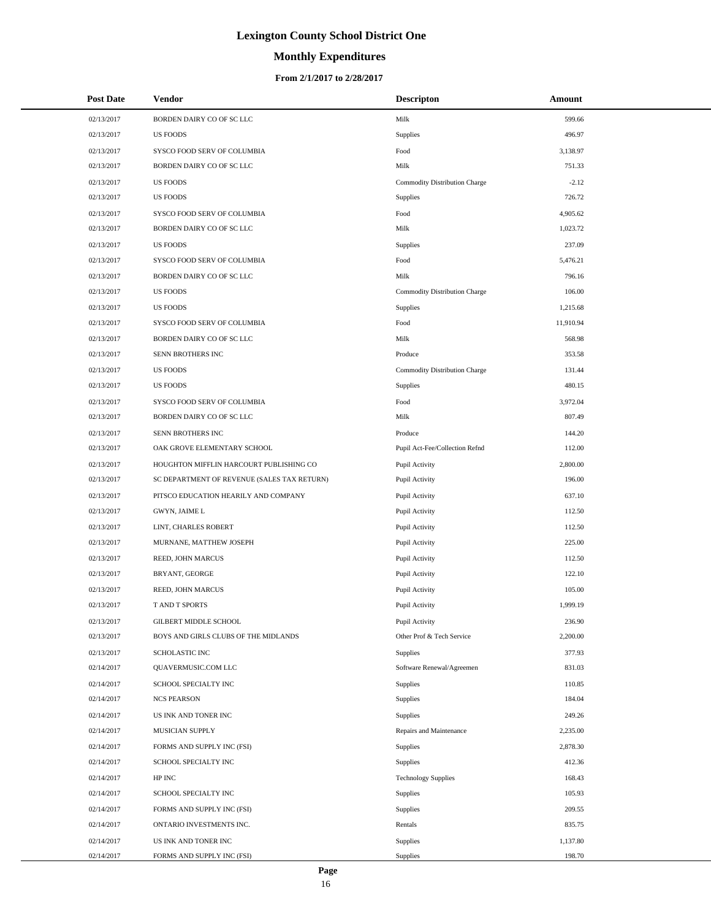# **Monthly Expenditures**

#### **From 2/1/2017 to 2/28/2017**

| <b>Post Date</b> | Vendor                                      | <b>Descripton</b>              | Amount    |
|------------------|---------------------------------------------|--------------------------------|-----------|
| 02/13/2017       | BORDEN DAIRY CO OF SC LLC                   | Milk                           | 599.66    |
| 02/13/2017       | <b>US FOODS</b>                             | Supplies                       | 496.97    |
| 02/13/2017       | SYSCO FOOD SERV OF COLUMBIA                 | Food                           | 3,138.97  |
| 02/13/2017       | BORDEN DAIRY CO OF SC LLC                   | Milk                           | 751.33    |
| 02/13/2017       | <b>US FOODS</b>                             | Commodity Distribution Charge  | $-2.12$   |
| 02/13/2017       | <b>US FOODS</b>                             | Supplies                       | 726.72    |
| 02/13/2017       | SYSCO FOOD SERV OF COLUMBIA                 | Food                           | 4,905.62  |
| 02/13/2017       | BORDEN DAIRY CO OF SC LLC                   | Milk                           | 1,023.72  |
| 02/13/2017       | <b>US FOODS</b>                             | Supplies                       | 237.09    |
| 02/13/2017       | SYSCO FOOD SERV OF COLUMBIA                 | Food                           | 5,476.21  |
| 02/13/2017       | BORDEN DAIRY CO OF SC LLC                   | Milk                           | 796.16    |
| 02/13/2017       | <b>US FOODS</b>                             | Commodity Distribution Charge  | 106.00    |
| 02/13/2017       | <b>US FOODS</b>                             | Supplies                       | 1,215.68  |
| 02/13/2017       | SYSCO FOOD SERV OF COLUMBIA                 | Food                           | 11,910.94 |
| 02/13/2017       | BORDEN DAIRY CO OF SC LLC                   | Milk                           | 568.98    |
| 02/13/2017       | SENN BROTHERS INC                           | Produce                        | 353.58    |
| 02/13/2017       | <b>US FOODS</b>                             | Commodity Distribution Charge  | 131.44    |
| 02/13/2017       | <b>US FOODS</b>                             | Supplies                       | 480.15    |
| 02/13/2017       | SYSCO FOOD SERV OF COLUMBIA                 | Food                           | 3,972.04  |
| 02/13/2017       | BORDEN DAIRY CO OF SC LLC                   | Milk                           | 807.49    |
| 02/13/2017       | SENN BROTHERS INC                           | Produce                        | 144.20    |
| 02/13/2017       | OAK GROVE ELEMENTARY SCHOOL                 | Pupil Act-Fee/Collection Refnd | 112.00    |
| 02/13/2017       | HOUGHTON MIFFLIN HARCOURT PUBLISHING CO     | Pupil Activity                 | 2,800.00  |
| 02/13/2017       | SC DEPARTMENT OF REVENUE (SALES TAX RETURN) | Pupil Activity                 | 196.00    |
| 02/13/2017       | PITSCO EDUCATION HEARILY AND COMPANY        | Pupil Activity                 | 637.10    |
| 02/13/2017       | GWYN, JAIME L                               | Pupil Activity                 | 112.50    |
| 02/13/2017       | LINT, CHARLES ROBERT                        | Pupil Activity                 | 112.50    |
| 02/13/2017       | MURNANE, MATTHEW JOSEPH                     | Pupil Activity                 | 225.00    |
| 02/13/2017       | REED, JOHN MARCUS                           | Pupil Activity                 | 112.50    |
| 02/13/2017       | BRYANT, GEORGE                              | Pupil Activity                 | 122.10    |
| 02/13/2017       | REED, JOHN MARCUS                           | Pupil Activity                 | 105.00    |
| 02/13/2017       | T AND T SPORTS                              | Pupil Activity                 | 1,999.19  |
| 02/13/2017       | <b>GILBERT MIDDLE SCHOOL</b>                | Pupil Activity                 | 236.90    |
| 02/13/2017       | BOYS AND GIRLS CLUBS OF THE MIDLANDS        | Other Prof & Tech Service      | 2,200.00  |
| 02/13/2017       | <b>SCHOLASTIC INC</b>                       | Supplies                       | 377.93    |
| 02/14/2017       | QUAVERMUSIC.COM LLC                         | Software Renewal/Agreemen      | 831.03    |
| 02/14/2017       | SCHOOL SPECIALTY INC                        | Supplies                       | 110.85    |
| 02/14/2017       | <b>NCS PEARSON</b>                          | Supplies                       | 184.04    |
| 02/14/2017       | US INK AND TONER INC                        | Supplies                       | 249.26    |
| 02/14/2017       | MUSICIAN SUPPLY                             | Repairs and Maintenance        | 2,235.00  |
| 02/14/2017       | FORMS AND SUPPLY INC (FSI)                  | Supplies                       | 2,878.30  |
| 02/14/2017       | SCHOOL SPECIALTY INC                        | Supplies                       | 412.36    |
| 02/14/2017       | HP INC                                      | <b>Technology Supplies</b>     | 168.43    |
| 02/14/2017       | SCHOOL SPECIALTY INC                        | Supplies                       | 105.93    |
| 02/14/2017       | FORMS AND SUPPLY INC (FSI)                  | Supplies                       | 209.55    |
| 02/14/2017       | ONTARIO INVESTMENTS INC.                    | Rentals                        | 835.75    |
| 02/14/2017       | US INK AND TONER INC                        | Supplies                       | 1,137.80  |
| 02/14/2017       | FORMS AND SUPPLY INC (FSI)                  | Supplies                       | 198.70    |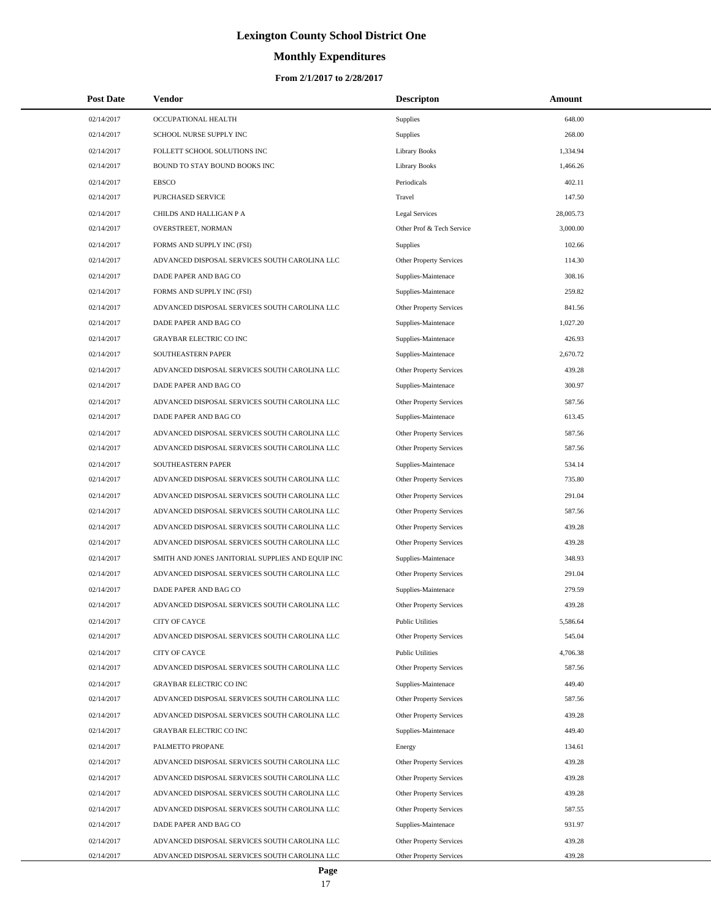# **Monthly Expenditures**

| <b>Post Date</b> | <b>Vendor</b>                                     | <b>Descripton</b>              | Amount    |
|------------------|---------------------------------------------------|--------------------------------|-----------|
| 02/14/2017       | OCCUPATIONAL HEALTH                               | Supplies                       | 648.00    |
| 02/14/2017       | SCHOOL NURSE SUPPLY INC                           | Supplies                       | 268.00    |
| 02/14/2017       | FOLLETT SCHOOL SOLUTIONS INC                      | <b>Library Books</b>           | 1,334.94  |
| 02/14/2017       | BOUND TO STAY BOUND BOOKS INC                     | <b>Library Books</b>           | 1,466.26  |
| 02/14/2017       | <b>EBSCO</b>                                      | Periodicals                    | 402.11    |
| 02/14/2017       | PURCHASED SERVICE                                 | Travel                         | 147.50    |
| 02/14/2017       | CHILDS AND HALLIGAN P A                           | Legal Services                 | 28,005.73 |
| 02/14/2017       | OVERSTREET, NORMAN                                | Other Prof & Tech Service      | 3,000.00  |
| 02/14/2017       | FORMS AND SUPPLY INC (FSI)                        | Supplies                       | 102.66    |
| 02/14/2017       | ADVANCED DISPOSAL SERVICES SOUTH CAROLINA LLC     | Other Property Services        | 114.30    |
| 02/14/2017       | DADE PAPER AND BAG CO                             | Supplies-Maintenace            | 308.16    |
| 02/14/2017       | FORMS AND SUPPLY INC (FSI)                        | Supplies-Maintenace            | 259.82    |
| 02/14/2017       | ADVANCED DISPOSAL SERVICES SOUTH CAROLINA LLC     | Other Property Services        | 841.56    |
| 02/14/2017       | DADE PAPER AND BAG CO                             | Supplies-Maintenace            | 1,027.20  |
| 02/14/2017       | <b>GRAYBAR ELECTRIC CO INC</b>                    | Supplies-Maintenace            | 426.93    |
| 02/14/2017       | SOUTHEASTERN PAPER                                | Supplies-Maintenace            | 2.670.72  |
| 02/14/2017       | ADVANCED DISPOSAL SERVICES SOUTH CAROLINA LLC     | Other Property Services        | 439.28    |
| 02/14/2017       | DADE PAPER AND BAG CO                             | Supplies-Maintenace            | 300.97    |
| 02/14/2017       | ADVANCED DISPOSAL SERVICES SOUTH CAROLINA LLC     | Other Property Services        | 587.56    |
| 02/14/2017       | DADE PAPER AND BAG CO                             | Supplies-Maintenace            | 613.45    |
| 02/14/2017       | ADVANCED DISPOSAL SERVICES SOUTH CAROLINA LLC     | Other Property Services        | 587.56    |
| 02/14/2017       | ADVANCED DISPOSAL SERVICES SOUTH CAROLINA LLC     | Other Property Services        | 587.56    |
| 02/14/2017       | SOUTHEASTERN PAPER                                | Supplies-Maintenace            | 534.14    |
| 02/14/2017       | ADVANCED DISPOSAL SERVICES SOUTH CAROLINA LLC     | Other Property Services        | 735.80    |
| 02/14/2017       | ADVANCED DISPOSAL SERVICES SOUTH CAROLINA LLC     | Other Property Services        | 291.04    |
| 02/14/2017       | ADVANCED DISPOSAL SERVICES SOUTH CAROLINA LLC     | Other Property Services        | 587.56    |
| 02/14/2017       | ADVANCED DISPOSAL SERVICES SOUTH CAROLINA LLC     | Other Property Services        | 439.28    |
| 02/14/2017       | ADVANCED DISPOSAL SERVICES SOUTH CAROLINA LLC     | Other Property Services        | 439.28    |
| 02/14/2017       | SMITH AND JONES JANITORIAL SUPPLIES AND EQUIP INC | Supplies-Maintenace            | 348.93    |
| 02/14/2017       | ADVANCED DISPOSAL SERVICES SOUTH CAROLINA LLC     | Other Property Services        | 291.04    |
| 02/14/2017       | DADE PAPER AND BAG CO                             | Supplies-Maintenace            | 279.59    |
| 02/14/2017       | ADVANCED DISPOSAL SERVICES SOUTH CAROLINA LLC     | <b>Other Property Services</b> | 439.28    |
| 02/14/2017       | CITY OF CAYCE                                     | <b>Public Utilities</b>        | 5,586.64  |
| 02/14/2017       | ADVANCED DISPOSAL SERVICES SOUTH CAROLINA LLC     | Other Property Services        | 545.04    |
| 02/14/2017       | CITY OF CAYCE                                     | <b>Public Utilities</b>        | 4,706.38  |
| 02/14/2017       | ADVANCED DISPOSAL SERVICES SOUTH CAROLINA LLC     | Other Property Services        | 587.56    |
| 02/14/2017       | <b>GRAYBAR ELECTRIC CO INC</b>                    | Supplies-Maintenace            | 449.40    |
| 02/14/2017       | ADVANCED DISPOSAL SERVICES SOUTH CAROLINA LLC     | Other Property Services        | 587.56    |
| 02/14/2017       | ADVANCED DISPOSAL SERVICES SOUTH CAROLINA LLC     | Other Property Services        | 439.28    |
| 02/14/2017       | <b>GRAYBAR ELECTRIC CO INC</b>                    | Supplies-Maintenace            | 449.40    |
| 02/14/2017       | PALMETTO PROPANE                                  | Energy                         | 134.61    |
| 02/14/2017       | ADVANCED DISPOSAL SERVICES SOUTH CAROLINA LLC     | <b>Other Property Services</b> | 439.28    |
| 02/14/2017       | ADVANCED DISPOSAL SERVICES SOUTH CAROLINA LLC     | Other Property Services        | 439.28    |
| 02/14/2017       | ADVANCED DISPOSAL SERVICES SOUTH CAROLINA LLC     | Other Property Services        | 439.28    |
| 02/14/2017       | ADVANCED DISPOSAL SERVICES SOUTH CAROLINA LLC     | Other Property Services        | 587.55    |
| 02/14/2017       | DADE PAPER AND BAG CO                             | Supplies-Maintenace            | 931.97    |
| 02/14/2017       | ADVANCED DISPOSAL SERVICES SOUTH CAROLINA LLC     | Other Property Services        | 439.28    |
| 02/14/2017       | ADVANCED DISPOSAL SERVICES SOUTH CAROLINA LLC     | Other Property Services        | 439.28    |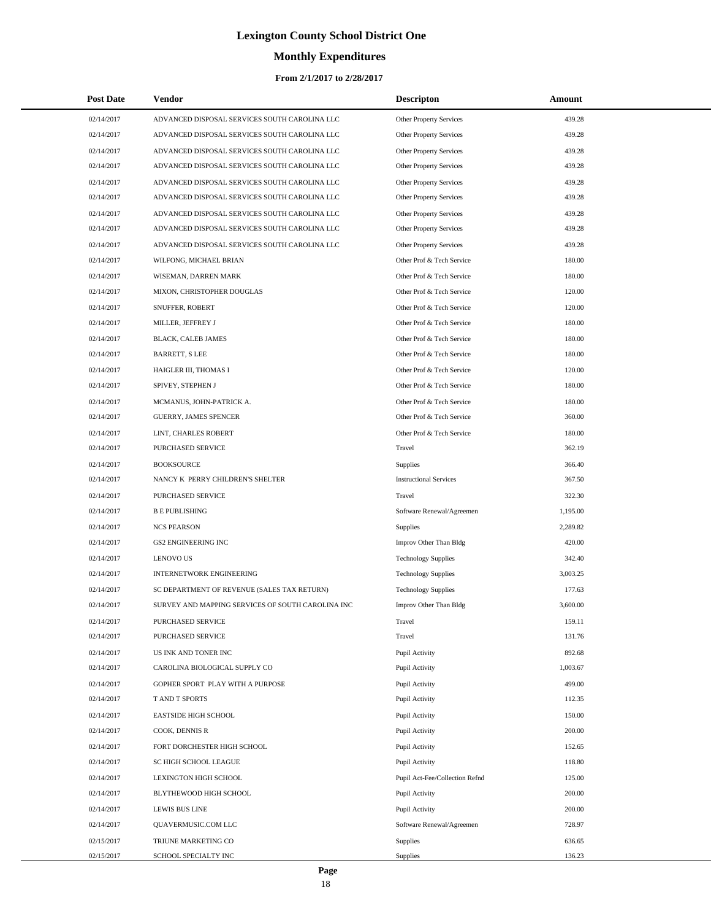# **Monthly Expenditures**

#### **From 2/1/2017 to 2/28/2017**

| <b>Post Date</b> | <b>Vendor</b>                                     | <b>Descripton</b>              | Amount   |
|------------------|---------------------------------------------------|--------------------------------|----------|
| 02/14/2017       | ADVANCED DISPOSAL SERVICES SOUTH CAROLINA LLC     | Other Property Services        | 439.28   |
| 02/14/2017       | ADVANCED DISPOSAL SERVICES SOUTH CAROLINA LLC     | <b>Other Property Services</b> | 439.28   |
| 02/14/2017       | ADVANCED DISPOSAL SERVICES SOUTH CAROLINA LLC     | Other Property Services        | 439.28   |
| 02/14/2017       | ADVANCED DISPOSAL SERVICES SOUTH CAROLINA LLC     | Other Property Services        | 439.28   |
| 02/14/2017       | ADVANCED DISPOSAL SERVICES SOUTH CAROLINA LLC     | Other Property Services        | 439.28   |
| 02/14/2017       | ADVANCED DISPOSAL SERVICES SOUTH CAROLINA LLC     | Other Property Services        | 439.28   |
| 02/14/2017       | ADVANCED DISPOSAL SERVICES SOUTH CAROLINA LLC     | Other Property Services        | 439.28   |
| 02/14/2017       | ADVANCED DISPOSAL SERVICES SOUTH CAROLINA LLC     | Other Property Services        | 439.28   |
| 02/14/2017       | ADVANCED DISPOSAL SERVICES SOUTH CAROLINA LLC     | Other Property Services        | 439.28   |
| 02/14/2017       | WILFONG, MICHAEL BRIAN                            | Other Prof & Tech Service      | 180.00   |
| 02/14/2017       | WISEMAN, DARREN MARK                              | Other Prof & Tech Service      | 180.00   |
| 02/14/2017       | MIXON, CHRISTOPHER DOUGLAS                        | Other Prof & Tech Service      | 120.00   |
| 02/14/2017       | SNUFFER, ROBERT                                   | Other Prof & Tech Service      | 120.00   |
| 02/14/2017       | MILLER, JEFFREY J                                 | Other Prof & Tech Service      | 180.00   |
| 02/14/2017       | <b>BLACK, CALEB JAMES</b>                         | Other Prof & Tech Service      | 180.00   |
| 02/14/2017       | <b>BARRETT, S LEE</b>                             | Other Prof & Tech Service      | 180.00   |
| 02/14/2017       | HAIGLER III, THOMAS I                             | Other Prof & Tech Service      | 120.00   |
| 02/14/2017       | SPIVEY, STEPHEN J                                 | Other Prof & Tech Service      | 180.00   |
| 02/14/2017       | MCMANUS, JOHN-PATRICK A.                          | Other Prof & Tech Service      | 180.00   |
| 02/14/2017       | <b>GUERRY, JAMES SPENCER</b>                      | Other Prof & Tech Service      | 360.00   |
| 02/14/2017       | LINT, CHARLES ROBERT                              | Other Prof & Tech Service      | 180.00   |
| 02/14/2017       | PURCHASED SERVICE                                 | Travel                         | 362.19   |
| 02/14/2017       | <b>BOOKSOURCE</b>                                 | Supplies                       | 366.40   |
| 02/14/2017       | NANCY K PERRY CHILDREN'S SHELTER                  | <b>Instructional Services</b>  | 367.50   |
| 02/14/2017       | PURCHASED SERVICE                                 | Travel                         | 322.30   |
| 02/14/2017       | <b>B E PUBLISHING</b>                             | Software Renewal/Agreemen      | 1,195.00 |
| 02/14/2017       | <b>NCS PEARSON</b>                                | Supplies                       | 2,289.82 |
| 02/14/2017       | <b>GS2 ENGINEERING INC</b>                        | Improv Other Than Bldg         | 420.00   |
| 02/14/2017       | <b>LENOVO US</b>                                  | <b>Technology Supplies</b>     | 342.40   |
| 02/14/2017       | INTERNETWORK ENGINEERING                          | <b>Technology Supplies</b>     | 3,003.25 |
| 02/14/2017       | SC DEPARTMENT OF REVENUE (SALES TAX RETURN)       | <b>Technology Supplies</b>     | 177.63   |
| 02/14/2017       | SURVEY AND MAPPING SERVICES OF SOUTH CAROLINA INC | Improv Other Than Bldg         | 3,600.00 |
| 02/14/2017       | PURCHASED SERVICE                                 | Travel                         | 159.11   |
| 02/14/2017       | PURCHASED SERVICE                                 | Travel                         | 131.76   |
| 02/14/2017       | US INK AND TONER INC                              | Pupil Activity                 | 892.68   |
| 02/14/2017       | CAROLINA BIOLOGICAL SUPPLY CO                     | Pupil Activity                 | 1,003.67 |
| 02/14/2017       | GOPHER SPORT PLAY WITH A PURPOSE                  | Pupil Activity                 | 499.00   |
| 02/14/2017       | T AND T SPORTS                                    | Pupil Activity                 | 112.35   |
| 02/14/2017       | <b>EASTSIDE HIGH SCHOOL</b>                       | Pupil Activity                 | 150.00   |
| 02/14/2017       | COOK, DENNIS R                                    | Pupil Activity                 | 200.00   |
| 02/14/2017       | FORT DORCHESTER HIGH SCHOOL                       | Pupil Activity                 | 152.65   |
| 02/14/2017       | SC HIGH SCHOOL LEAGUE                             | Pupil Activity                 | 118.80   |
| 02/14/2017       | LEXINGTON HIGH SCHOOL                             | Pupil Act-Fee/Collection Refnd | 125.00   |
| 02/14/2017       | BLYTHEWOOD HIGH SCHOOL                            | Pupil Activity                 | 200.00   |
| 02/14/2017       | <b>LEWIS BUS LINE</b>                             | Pupil Activity                 | 200.00   |
| 02/14/2017       | QUAVERMUSIC.COM LLC                               | Software Renewal/Agreemen      | 728.97   |
| 02/15/2017       | TRIUNE MARKETING CO                               | Supplies                       | 636.65   |
| 02/15/2017       | SCHOOL SPECIALTY INC                              | <b>Supplies</b>                | 136.23   |

 $\overline{a}$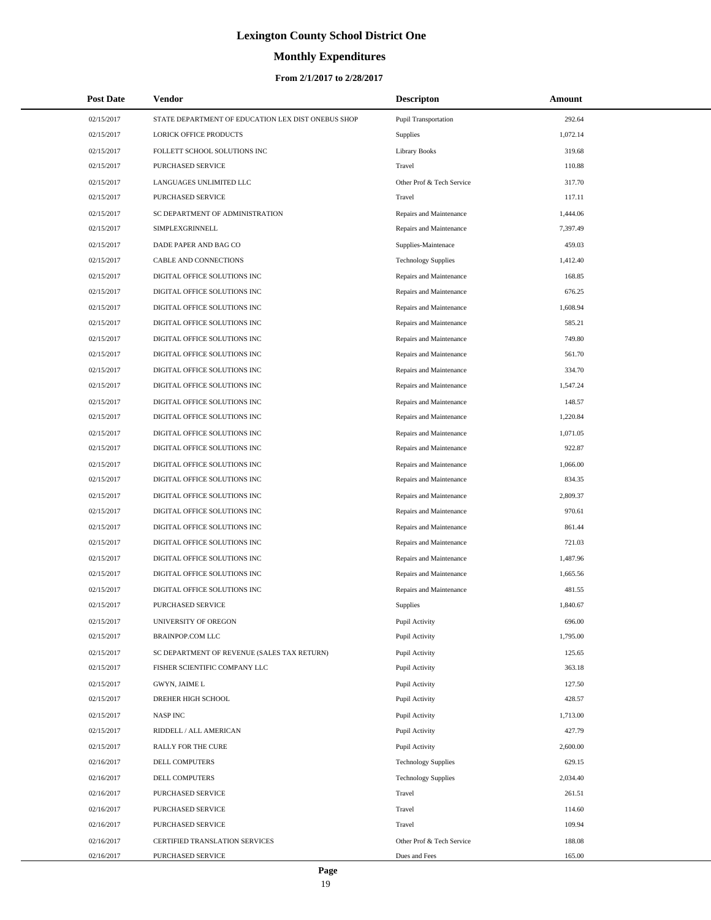# **Monthly Expenditures**

| <b>Post Date</b> | <b>Vendor</b>                                      | <b>Descripton</b>          | Amount   |
|------------------|----------------------------------------------------|----------------------------|----------|
| 02/15/2017       | STATE DEPARTMENT OF EDUCATION LEX DIST ONEBUS SHOP | Pupil Transportation       | 292.64   |
| 02/15/2017       | LORICK OFFICE PRODUCTS                             | <b>Supplies</b>            | 1,072.14 |
| 02/15/2017       | FOLLETT SCHOOL SOLUTIONS INC                       | <b>Library Books</b>       | 319.68   |
| 02/15/2017       | PURCHASED SERVICE                                  | Travel                     | 110.88   |
| 02/15/2017       | LANGUAGES UNLIMITED LLC                            | Other Prof & Tech Service  | 317.70   |
| 02/15/2017       | PURCHASED SERVICE                                  | Travel                     | 117.11   |
| 02/15/2017       | SC DEPARTMENT OF ADMINISTRATION                    | Repairs and Maintenance    | 1,444.06 |
| 02/15/2017       | SIMPLEXGRINNELL                                    | Repairs and Maintenance    | 7,397.49 |
| 02/15/2017       | DADE PAPER AND BAG CO                              | Supplies-Maintenace        | 459.03   |
| 02/15/2017       | CABLE AND CONNECTIONS                              | <b>Technology Supplies</b> | 1,412.40 |
| 02/15/2017       | DIGITAL OFFICE SOLUTIONS INC                       | Repairs and Maintenance    | 168.85   |
| 02/15/2017       | DIGITAL OFFICE SOLUTIONS INC                       | Repairs and Maintenance    | 676.25   |
| 02/15/2017       | DIGITAL OFFICE SOLUTIONS INC                       | Repairs and Maintenance    | 1,608.94 |
| 02/15/2017       | DIGITAL OFFICE SOLUTIONS INC                       | Repairs and Maintenance    | 585.21   |
| 02/15/2017       | DIGITAL OFFICE SOLUTIONS INC                       | Repairs and Maintenance    | 749.80   |
| 02/15/2017       | DIGITAL OFFICE SOLUTIONS INC                       | Repairs and Maintenance    | 561.70   |
| 02/15/2017       | DIGITAL OFFICE SOLUTIONS INC                       | Repairs and Maintenance    | 334.70   |
| 02/15/2017       | DIGITAL OFFICE SOLUTIONS INC                       | Repairs and Maintenance    | 1,547.24 |
| 02/15/2017       | DIGITAL OFFICE SOLUTIONS INC                       | Repairs and Maintenance    | 148.57   |
| 02/15/2017       | DIGITAL OFFICE SOLUTIONS INC                       | Repairs and Maintenance    | 1,220.84 |
| 02/15/2017       | DIGITAL OFFICE SOLUTIONS INC                       | Repairs and Maintenance    | 1,071.05 |
| 02/15/2017       | DIGITAL OFFICE SOLUTIONS INC                       | Repairs and Maintenance    | 922.87   |
| 02/15/2017       | DIGITAL OFFICE SOLUTIONS INC                       | Repairs and Maintenance    | 1,066.00 |
| 02/15/2017       | DIGITAL OFFICE SOLUTIONS INC                       | Repairs and Maintenance    | 834.35   |
| 02/15/2017       | DIGITAL OFFICE SOLUTIONS INC                       | Repairs and Maintenance    | 2,809.37 |
| 02/15/2017       | DIGITAL OFFICE SOLUTIONS INC                       | Repairs and Maintenance    | 970.61   |
| 02/15/2017       | DIGITAL OFFICE SOLUTIONS INC                       | Repairs and Maintenance    | 861.44   |
| 02/15/2017       | DIGITAL OFFICE SOLUTIONS INC                       | Repairs and Maintenance    | 721.03   |
| 02/15/2017       | DIGITAL OFFICE SOLUTIONS INC                       | Repairs and Maintenance    | 1,487.96 |
| 02/15/2017       | DIGITAL OFFICE SOLUTIONS INC                       | Repairs and Maintenance    | 1,665.56 |
| 02/15/2017       | DIGITAL OFFICE SOLUTIONS INC                       | Repairs and Maintenance    | 481.55   |
| 02/15/2017       | PURCHASED SERVICE                                  | Supplies                   | 1,840.67 |
| 02/15/2017       | UNIVERSITY OF OREGON                               | Pupil Activity             | 696.00   |
| 02/15/2017       | <b>BRAINPOP.COM LLC</b>                            | Pupil Activity             | 1,795.00 |
| 02/15/2017       | SC DEPARTMENT OF REVENUE (SALES TAX RETURN)        | Pupil Activity             | 125.65   |
| 02/15/2017       | FISHER SCIENTIFIC COMPANY LLC                      | Pupil Activity             | 363.18   |
| 02/15/2017       | GWYN, JAIME L                                      | Pupil Activity             | 127.50   |
| 02/15/2017       | DREHER HIGH SCHOOL                                 | Pupil Activity             | 428.57   |
| 02/15/2017       | <b>NASP INC</b>                                    | Pupil Activity             | 1,713.00 |
| 02/15/2017       | RIDDELL / ALL AMERICAN                             | Pupil Activity             | 427.79   |
| 02/15/2017       | RALLY FOR THE CURE                                 | Pupil Activity             | 2,600.00 |
| 02/16/2017       | DELL COMPUTERS                                     | <b>Technology Supplies</b> | 629.15   |
| 02/16/2017       | DELL COMPUTERS                                     | <b>Technology Supplies</b> | 2,034.40 |
| 02/16/2017       | PURCHASED SERVICE                                  | Travel                     | 261.51   |
| 02/16/2017       | PURCHASED SERVICE                                  | Travel                     | 114.60   |
| 02/16/2017       | PURCHASED SERVICE                                  | Travel                     | 109.94   |
| 02/16/2017       | CERTIFIED TRANSLATION SERVICES                     | Other Prof & Tech Service  | 188.08   |
| 02/16/2017       | PURCHASED SERVICE                                  | Dues and Fees              | 165.00   |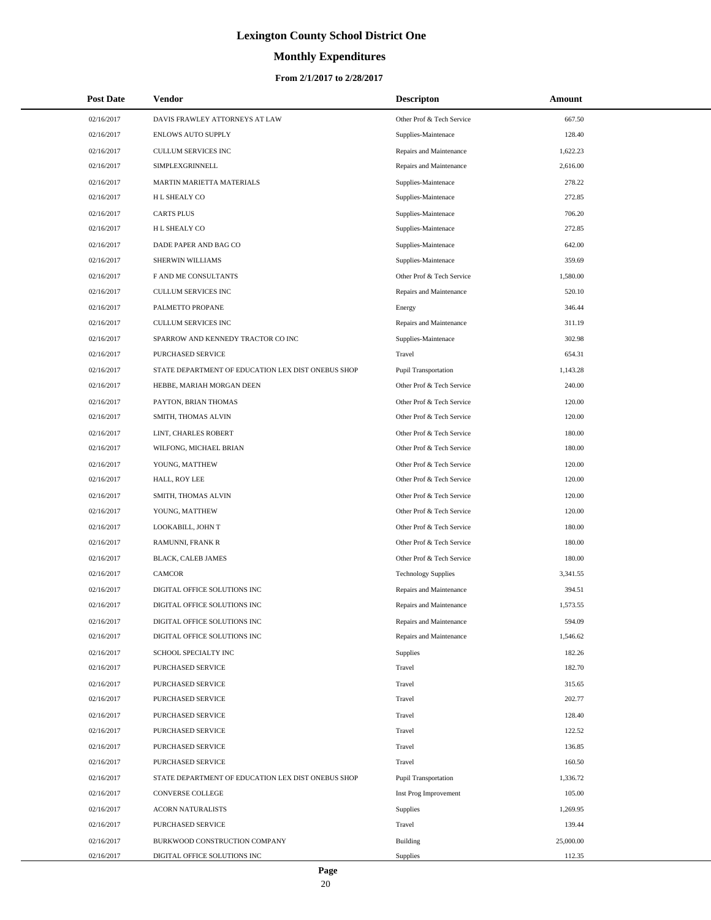# **Monthly Expenditures**

#### **From 2/1/2017 to 2/28/2017**

| <b>Post Date</b> | Vendor                                             | <b>Descripton</b>           | Amount    |
|------------------|----------------------------------------------------|-----------------------------|-----------|
| 02/16/2017       | DAVIS FRAWLEY ATTORNEYS AT LAW                     | Other Prof & Tech Service   | 667.50    |
| 02/16/2017       | <b>ENLOWS AUTO SUPPLY</b>                          | Supplies-Maintenace         | 128.40    |
| 02/16/2017       | <b>CULLUM SERVICES INC</b>                         | Repairs and Maintenance     | 1,622.23  |
| 02/16/2017       | SIMPLEXGRINNELL                                    | Repairs and Maintenance     | 2,616.00  |
| 02/16/2017       | MARTIN MARIETTA MATERIALS                          | Supplies-Maintenace         | 278.22    |
| 02/16/2017       | H L SHEALY CO                                      | Supplies-Maintenace         | 272.85    |
| 02/16/2017       | <b>CARTS PLUS</b>                                  | Supplies-Maintenace         | 706.20    |
| 02/16/2017       | H L SHEALY CO                                      | Supplies-Maintenace         | 272.85    |
| 02/16/2017       | DADE PAPER AND BAG CO                              | Supplies-Maintenace         | 642.00    |
| 02/16/2017       | SHERWIN WILLIAMS                                   | Supplies-Maintenace         | 359.69    |
| 02/16/2017       | F AND ME CONSULTANTS                               | Other Prof & Tech Service   | 1,580.00  |
| 02/16/2017       | CULLUM SERVICES INC                                | Repairs and Maintenance     | 520.10    |
| 02/16/2017       | PALMETTO PROPANE                                   | Energy                      | 346.44    |
| 02/16/2017       | <b>CULLUM SERVICES INC</b>                         | Repairs and Maintenance     | 311.19    |
| 02/16/2017       | SPARROW AND KENNEDY TRACTOR CO INC                 | Supplies-Maintenace         | 302.98    |
| 02/16/2017       | PURCHASED SERVICE                                  | Travel                      | 654.31    |
| 02/16/2017       | STATE DEPARTMENT OF EDUCATION LEX DIST ONEBUS SHOP | <b>Pupil Transportation</b> | 1,143.28  |
| 02/16/2017       | HEBBE, MARIAH MORGAN DEEN                          | Other Prof & Tech Service   | 240.00    |
| 02/16/2017       | PAYTON, BRIAN THOMAS                               | Other Prof & Tech Service   | 120.00    |
| 02/16/2017       | SMITH, THOMAS ALVIN                                | Other Prof & Tech Service   | 120.00    |
| 02/16/2017       | LINT, CHARLES ROBERT                               | Other Prof & Tech Service   | 180.00    |
| 02/16/2017       | WILFONG, MICHAEL BRIAN                             | Other Prof & Tech Service   | 180.00    |
| 02/16/2017       | YOUNG, MATTHEW                                     | Other Prof & Tech Service   | 120.00    |
| 02/16/2017       | HALL, ROY LEE                                      | Other Prof & Tech Service   | 120.00    |
| 02/16/2017       | SMITH, THOMAS ALVIN                                | Other Prof & Tech Service   | 120.00    |
| 02/16/2017       | YOUNG, MATTHEW                                     | Other Prof & Tech Service   | 120.00    |
| 02/16/2017       | LOOKABILL, JOHN T                                  | Other Prof & Tech Service   | 180.00    |
| 02/16/2017       | RAMUNNI, FRANK R                                   | Other Prof & Tech Service   | 180.00    |
| 02/16/2017       | BLACK, CALEB JAMES                                 | Other Prof & Tech Service   | 180.00    |
| 02/16/2017       | <b>CAMCOR</b>                                      | <b>Technology Supplies</b>  | 3,341.55  |
| 02/16/2017       | DIGITAL OFFICE SOLUTIONS INC                       | Repairs and Maintenance     | 394.51    |
| 02/16/2017       | DIGITAL OFFICE SOLUTIONS INC                       | Repairs and Maintenance     | 1,573.55  |
| 02/16/2017       | DIGITAL OFFICE SOLUTIONS INC                       | Repairs and Maintenance     | 594.09    |
| 02/16/2017       | DIGITAL OFFICE SOLUTIONS INC                       | Repairs and Maintenance     | 1,546.62  |
| 02/16/2017       | SCHOOL SPECIALTY INC                               | Supplies                    | 182.26    |
| 02/16/2017       | PURCHASED SERVICE                                  | Travel                      | 182.70    |
| 02/16/2017       | PURCHASED SERVICE                                  | Travel                      | 315.65    |
| 02/16/2017       | PURCHASED SERVICE                                  | Travel                      | 202.77    |
| 02/16/2017       | PURCHASED SERVICE                                  | Travel                      | 128.40    |
| 02/16/2017       | PURCHASED SERVICE                                  | Travel                      | 122.52    |
| 02/16/2017       | PURCHASED SERVICE                                  | Travel                      | 136.85    |
| 02/16/2017       | PURCHASED SERVICE                                  | Travel                      | 160.50    |
| 02/16/2017       | STATE DEPARTMENT OF EDUCATION LEX DIST ONEBUS SHOP | <b>Pupil Transportation</b> | 1,336.72  |
| 02/16/2017       | CONVERSE COLLEGE                                   | Inst Prog Improvement       | 105.00    |
| 02/16/2017       | <b>ACORN NATURALISTS</b>                           | Supplies                    | 1,269.95  |
| 02/16/2017       | PURCHASED SERVICE                                  | Travel                      | 139.44    |
| 02/16/2017       | BURKWOOD CONSTRUCTION COMPANY                      | Building                    | 25,000.00 |
| 02/16/2017       | DIGITAL OFFICE SOLUTIONS INC                       | Supplies                    | 112.35    |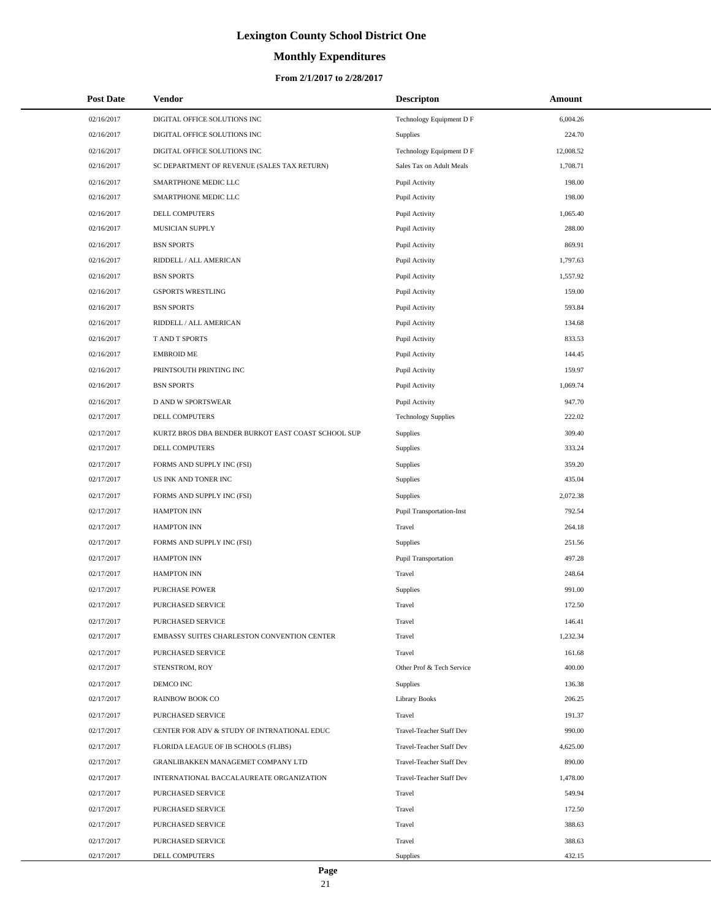# **Monthly Expenditures**

#### **From 2/1/2017 to 2/28/2017**

| <b>Post Date</b> | <b>Vendor</b>                                      | <b>Descripton</b>          | Amount    |
|------------------|----------------------------------------------------|----------------------------|-----------|
| 02/16/2017       | DIGITAL OFFICE SOLUTIONS INC                       | Technology Equipment D F   | 6,004.26  |
| 02/16/2017       | DIGITAL OFFICE SOLUTIONS INC                       | Supplies                   | 224.70    |
| 02/16/2017       | DIGITAL OFFICE SOLUTIONS INC                       | Technology Equipment D F   | 12,008.52 |
| 02/16/2017       | SC DEPARTMENT OF REVENUE (SALES TAX RETURN)        | Sales Tax on Adult Meals   | 1,708.71  |
| 02/16/2017       | SMARTPHONE MEDIC LLC                               | Pupil Activity             | 198.00    |
| 02/16/2017       | SMARTPHONE MEDIC LLC                               | Pupil Activity             | 198.00    |
| 02/16/2017       | DELL COMPUTERS                                     | Pupil Activity             | 1,065.40  |
| 02/16/2017       | MUSICIAN SUPPLY                                    | Pupil Activity             | 288.00    |
| 02/16/2017       | <b>BSN SPORTS</b>                                  | Pupil Activity             | 869.91    |
| 02/16/2017       | RIDDELL / ALL AMERICAN                             | Pupil Activity             | 1,797.63  |
| 02/16/2017       | <b>BSN SPORTS</b>                                  | Pupil Activity             | 1,557.92  |
| 02/16/2017       | <b>GSPORTS WRESTLING</b>                           | Pupil Activity             | 159.00    |
| 02/16/2017       | <b>BSN SPORTS</b>                                  | Pupil Activity             | 593.84    |
| 02/16/2017       | RIDDELL / ALL AMERICAN                             | Pupil Activity             | 134.68    |
| 02/16/2017       | T AND T SPORTS                                     | Pupil Activity             | 833.53    |
| 02/16/2017       | <b>EMBROID ME</b>                                  | Pupil Activity             | 144.45    |
| 02/16/2017       | PRINTSOUTH PRINTING INC                            | Pupil Activity             | 159.97    |
| 02/16/2017       | <b>BSN SPORTS</b>                                  | Pupil Activity             | 1,069.74  |
| 02/16/2017       | <b>D AND W SPORTSWEAR</b>                          | Pupil Activity             | 947.70    |
| 02/17/2017       | DELL COMPUTERS                                     | <b>Technology Supplies</b> | 222.02    |
| 02/17/2017       | KURTZ BROS DBA BENDER BURKOT EAST COAST SCHOOL SUP | Supplies                   | 309.40    |
| 02/17/2017       | DELL COMPUTERS                                     | Supplies                   | 333.24    |
| 02/17/2017       | FORMS AND SUPPLY INC (FSI)                         | Supplies                   | 359.20    |
| 02/17/2017       | US INK AND TONER INC                               | Supplies                   | 435.04    |
| 02/17/2017       | FORMS AND SUPPLY INC (FSI)                         | Supplies                   | 2,072.38  |
| 02/17/2017       | <b>HAMPTON INN</b>                                 | Pupil Transportation-Inst  | 792.54    |
| 02/17/2017       | <b>HAMPTON INN</b>                                 | Travel                     | 264.18    |
| 02/17/2017       | FORMS AND SUPPLY INC (FSI)                         | Supplies                   | 251.56    |
| 02/17/2017       | <b>HAMPTON INN</b>                                 | Pupil Transportation       | 497.28    |
| 02/17/2017       | <b>HAMPTON INN</b>                                 | Travel                     | 248.64    |
| 02/17/2017       | <b>PURCHASE POWER</b>                              | Supplies                   | 991.00    |
| 02/17/2017       | PURCHASED SERVICE                                  | Travel                     | 172.50    |
| 02/17/2017       | PURCHASED SERVICE                                  | Travel                     | 146.41    |
| 02/17/2017       | EMBASSY SUITES CHARLESTON CONVENTION CENTER        | Travel                     | 1,232.34  |
| 02/17/2017       | PURCHASED SERVICE                                  | Travel                     | 161.68    |
| 02/17/2017       | STENSTROM, ROY                                     | Other Prof & Tech Service  | 400.00    |
| 02/17/2017       | DEMCO INC                                          | <b>Supplies</b>            | 136.38    |
| 02/17/2017       | <b>RAINBOW BOOK CO</b>                             | <b>Library Books</b>       | 206.25    |
| 02/17/2017       | PURCHASED SERVICE                                  | Travel                     | 191.37    |
| 02/17/2017       | CENTER FOR ADV & STUDY OF INTRNATIONAL EDUC        | Travel-Teacher Staff Dev   | 990.00    |
| 02/17/2017       | FLORIDA LEAGUE OF IB SCHOOLS (FLIBS)               | Travel-Teacher Staff Dev   | 4,625.00  |
| 02/17/2017       | GRANLIBAKKEN MANAGEMET COMPANY LTD                 | Travel-Teacher Staff Dev   | 890.00    |
| 02/17/2017       | INTERNATIONAL BACCALAUREATE ORGANIZATION           | Travel-Teacher Staff Dev   | 1,478.00  |
| 02/17/2017       | PURCHASED SERVICE                                  | Travel                     | 549.94    |
| 02/17/2017       | PURCHASED SERVICE                                  | Travel                     | 172.50    |
| 02/17/2017       | PURCHASED SERVICE                                  | Travel                     | 388.63    |
| 02/17/2017       | PURCHASED SERVICE                                  | Travel                     | 388.63    |
| 02/17/2017       | DELL COMPUTERS                                     | Supplies                   | 432.15    |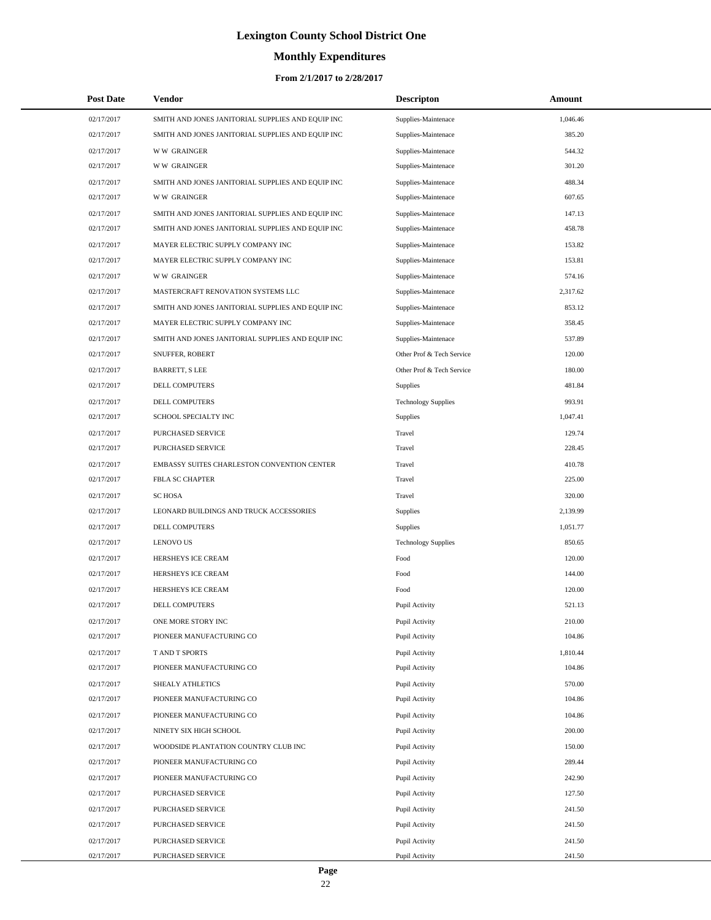# **Monthly Expenditures**

| <b>Post Date</b> | Vendor                                            | <b>Descripton</b>          | Amount   |
|------------------|---------------------------------------------------|----------------------------|----------|
| 02/17/2017       | SMITH AND JONES JANITORIAL SUPPLIES AND EQUIP INC | Supplies-Maintenace        | 1,046.46 |
| 02/17/2017       | SMITH AND JONES JANITORIAL SUPPLIES AND EQUIP INC | Supplies-Maintenace        | 385.20   |
| 02/17/2017       | <b>WW GRAINGER</b>                                | Supplies-Maintenace        | 544.32   |
| 02/17/2017       | <b>WW GRAINGER</b>                                | Supplies-Maintenace        | 301.20   |
| 02/17/2017       | SMITH AND JONES JANITORIAL SUPPLIES AND EQUIP INC | Supplies-Maintenace        | 488.34   |
| 02/17/2017       | <b>WW GRAINGER</b>                                | Supplies-Maintenace        | 607.65   |
| 02/17/2017       | SMITH AND JONES JANITORIAL SUPPLIES AND EQUIP INC | Supplies-Maintenace        | 147.13   |
| 02/17/2017       | SMITH AND JONES JANITORIAL SUPPLIES AND EQUIP INC | Supplies-Maintenace        | 458.78   |
| 02/17/2017       | MAYER ELECTRIC SUPPLY COMPANY INC                 | Supplies-Maintenace        | 153.82   |
| 02/17/2017       | MAYER ELECTRIC SUPPLY COMPANY INC                 | Supplies-Maintenace        | 153.81   |
| 02/17/2017       | <b>WW GRAINGER</b>                                | Supplies-Maintenace        | 574.16   |
| 02/17/2017       | MASTERCRAFT RENOVATION SYSTEMS LLC                | Supplies-Maintenace        | 2,317.62 |
| 02/17/2017       | SMITH AND JONES JANITORIAL SUPPLIES AND EQUIP INC | Supplies-Maintenace        | 853.12   |
| 02/17/2017       | MAYER ELECTRIC SUPPLY COMPANY INC                 | Supplies-Maintenace        | 358.45   |
| 02/17/2017       | SMITH AND JONES JANITORIAL SUPPLIES AND EQUIP INC | Supplies-Maintenace        | 537.89   |
| 02/17/2017       | SNUFFER, ROBERT                                   | Other Prof & Tech Service  | 120.00   |
| 02/17/2017       | <b>BARRETT, S LEE</b>                             | Other Prof & Tech Service  | 180.00   |
| 02/17/2017       | DELL COMPUTERS                                    | Supplies                   | 481.84   |
| 02/17/2017       | <b>DELL COMPUTERS</b>                             | <b>Technology Supplies</b> | 993.91   |
| 02/17/2017       | SCHOOL SPECIALTY INC                              | Supplies                   | 1,047.41 |
| 02/17/2017       | PURCHASED SERVICE                                 | Travel                     | 129.74   |
| 02/17/2017       | PURCHASED SERVICE                                 | Travel                     | 228.45   |
| 02/17/2017       | EMBASSY SUITES CHARLESTON CONVENTION CENTER       | Travel                     | 410.78   |
| 02/17/2017       | FBLA SC CHAPTER                                   | Travel                     | 225.00   |
| 02/17/2017       | <b>SC HOSA</b>                                    | Travel                     | 320.00   |
| 02/17/2017       | LEONARD BUILDINGS AND TRUCK ACCESSORIES           | Supplies                   | 2,139.99 |
| 02/17/2017       | DELL COMPUTERS                                    | Supplies                   | 1,051.77 |
| 02/17/2017       | <b>LENOVO US</b>                                  | <b>Technology Supplies</b> | 850.65   |
| 02/17/2017       | HERSHEYS ICE CREAM                                | Food                       | 120.00   |
| 02/17/2017       | HERSHEYS ICE CREAM                                | Food                       | 144.00   |
| 02/17/2017       | HERSHEYS ICE CREAM                                | Food                       | 120.00   |
| 02/17/2017       | DELL COMPUTERS                                    | Pupil Activity             | 521.13   |
| 02/17/2017       | ONE MORE STORY INC                                | Pupil Activity             | 210.00   |
| 02/17/2017       | PIONEER MANUFACTURING CO                          | Pupil Activity             | 104.86   |
| 02/17/2017       | T AND T SPORTS                                    | Pupil Activity             | 1,810.44 |
| 02/17/2017       | PIONEER MANUFACTURING CO                          | Pupil Activity             | 104.86   |
| 02/17/2017       | SHEALY ATHLETICS                                  | Pupil Activity             | 570.00   |
| 02/17/2017       | PIONEER MANUFACTURING CO                          | Pupil Activity             | 104.86   |
| 02/17/2017       | PIONEER MANUFACTURING CO                          | Pupil Activity             | 104.86   |
| 02/17/2017       | NINETY SIX HIGH SCHOOL                            | Pupil Activity             | 200.00   |
| 02/17/2017       | WOODSIDE PLANTATION COUNTRY CLUB INC              | Pupil Activity             | 150.00   |
| 02/17/2017       | PIONEER MANUFACTURING CO                          | Pupil Activity             | 289.44   |
| 02/17/2017       | PIONEER MANUFACTURING CO                          | Pupil Activity             | 242.90   |
| 02/17/2017       | PURCHASED SERVICE                                 | Pupil Activity             | 127.50   |
| 02/17/2017       | PURCHASED SERVICE                                 | Pupil Activity             | 241.50   |
| 02/17/2017       | PURCHASED SERVICE                                 | Pupil Activity             | 241.50   |
| 02/17/2017       | PURCHASED SERVICE                                 | Pupil Activity             | 241.50   |
| 02/17/2017       | PURCHASED SERVICE                                 | Pupil Activity             | 241.50   |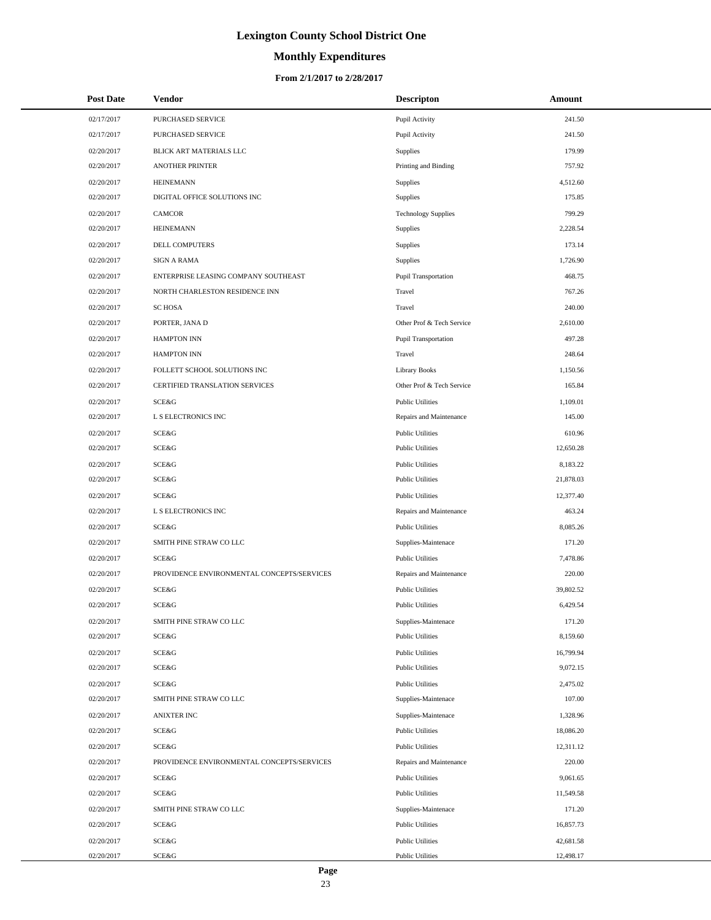# **Monthly Expenditures**

#### **From 2/1/2017 to 2/28/2017**

| <b>Post Date</b> | <b>Vendor</b>                              | <b>Descripton</b>          | Amount    |
|------------------|--------------------------------------------|----------------------------|-----------|
| 02/17/2017       | PURCHASED SERVICE                          | Pupil Activity             | 241.50    |
| 02/17/2017       | PURCHASED SERVICE                          | Pupil Activity             | 241.50    |
| 02/20/2017       | BLICK ART MATERIALS LLC                    | Supplies                   | 179.99    |
| 02/20/2017       | <b>ANOTHER PRINTER</b>                     | Printing and Binding       | 757.92    |
| 02/20/2017       | <b>HEINEMANN</b>                           | Supplies                   | 4,512.60  |
| 02/20/2017       | DIGITAL OFFICE SOLUTIONS INC               | Supplies                   | 175.85    |
| 02/20/2017       | <b>CAMCOR</b>                              | <b>Technology Supplies</b> | 799.29    |
| 02/20/2017       | <b>HEINEMANN</b>                           | Supplies                   | 2,228.54  |
| 02/20/2017       | DELL COMPUTERS                             | Supplies                   | 173.14    |
| 02/20/2017       | <b>SIGN A RAMA</b>                         | Supplies                   | 1,726.90  |
| 02/20/2017       | ENTERPRISE LEASING COMPANY SOUTHEAST       | Pupil Transportation       | 468.75    |
| 02/20/2017       | NORTH CHARLESTON RESIDENCE INN             | Travel                     | 767.26    |
| 02/20/2017       | <b>SC HOSA</b>                             | Travel                     | 240.00    |
| 02/20/2017       | PORTER, JANA D                             | Other Prof & Tech Service  | 2,610.00  |
| 02/20/2017       | <b>HAMPTON INN</b>                         | Pupil Transportation       | 497.28    |
| 02/20/2017       | <b>HAMPTON INN</b>                         | Travel                     | 248.64    |
| 02/20/2017       | FOLLETT SCHOOL SOLUTIONS INC               | <b>Library Books</b>       | 1,150.56  |
| 02/20/2017       | CERTIFIED TRANSLATION SERVICES             | Other Prof & Tech Service  | 165.84    |
| 02/20/2017       | SCE&G                                      | <b>Public Utilities</b>    | 1,109.01  |
| 02/20/2017       | L S ELECTRONICS INC                        | Repairs and Maintenance    | 145.00    |
| 02/20/2017       | SCE&G                                      | <b>Public Utilities</b>    | 610.96    |
| 02/20/2017       | SCE&G                                      | <b>Public Utilities</b>    | 12,650.28 |
| 02/20/2017       | SCE&G                                      | <b>Public Utilities</b>    | 8,183.22  |
| 02/20/2017       | SCE&G                                      | <b>Public Utilities</b>    | 21,878.03 |
| 02/20/2017       | SCE&G                                      | <b>Public Utilities</b>    | 12,377.40 |
| 02/20/2017       | L S ELECTRONICS INC                        | Repairs and Maintenance    | 463.24    |
| 02/20/2017       | SCE&G                                      | <b>Public Utilities</b>    | 8,085.26  |
| 02/20/2017       | SMITH PINE STRAW CO LLC                    | Supplies-Maintenace        | 171.20    |
| 02/20/2017       | SCE&G                                      | <b>Public Utilities</b>    | 7,478.86  |
| 02/20/2017       | PROVIDENCE ENVIRONMENTAL CONCEPTS/SERVICES | Repairs and Maintenance    | 220.00    |
| 02/20/2017       | SCE&G                                      | <b>Public Utilities</b>    | 39,802.52 |
| 02/20/2017       | <b>SCE&amp;G</b>                           | <b>Public Utilities</b>    | 6,429.54  |
| 02/20/2017       | SMITH PINE STRAW CO LLC                    | Supplies-Maintenace        | 171.20    |
| 02/20/2017       | SCE&G                                      | <b>Public Utilities</b>    | 8,159.60  |
| 02/20/2017       | SCE&G                                      | <b>Public Utilities</b>    | 16,799.94 |
| 02/20/2017       | SCE&G                                      | <b>Public Utilities</b>    | 9,072.15  |
| 02/20/2017       | SCE&G                                      | <b>Public Utilities</b>    | 2,475.02  |
| 02/20/2017       | SMITH PINE STRAW CO LLC                    | Supplies-Maintenace        | 107.00    |
| 02/20/2017       | <b>ANIXTER INC</b>                         | Supplies-Maintenace        | 1,328.96  |
| 02/20/2017       | SCE&G                                      | <b>Public Utilities</b>    | 18,086.20 |
| 02/20/2017       | SCE&G                                      | <b>Public Utilities</b>    | 12,311.12 |
| 02/20/2017       | PROVIDENCE ENVIRONMENTAL CONCEPTS/SERVICES | Repairs and Maintenance    | 220.00    |
| 02/20/2017       | SCE&G                                      | <b>Public Utilities</b>    | 9,061.65  |
| 02/20/2017       | SCE&G                                      | <b>Public Utilities</b>    | 11,549.58 |
| 02/20/2017       | SMITH PINE STRAW CO LLC                    | Supplies-Maintenace        | 171.20    |
| 02/20/2017       | SCE&G                                      | <b>Public Utilities</b>    | 16,857.73 |
| 02/20/2017       | SCE&G                                      | <b>Public Utilities</b>    | 42,681.58 |
| 02/20/2017       | SCE&G                                      | <b>Public Utilities</b>    | 12,498.17 |

 $\overline{a}$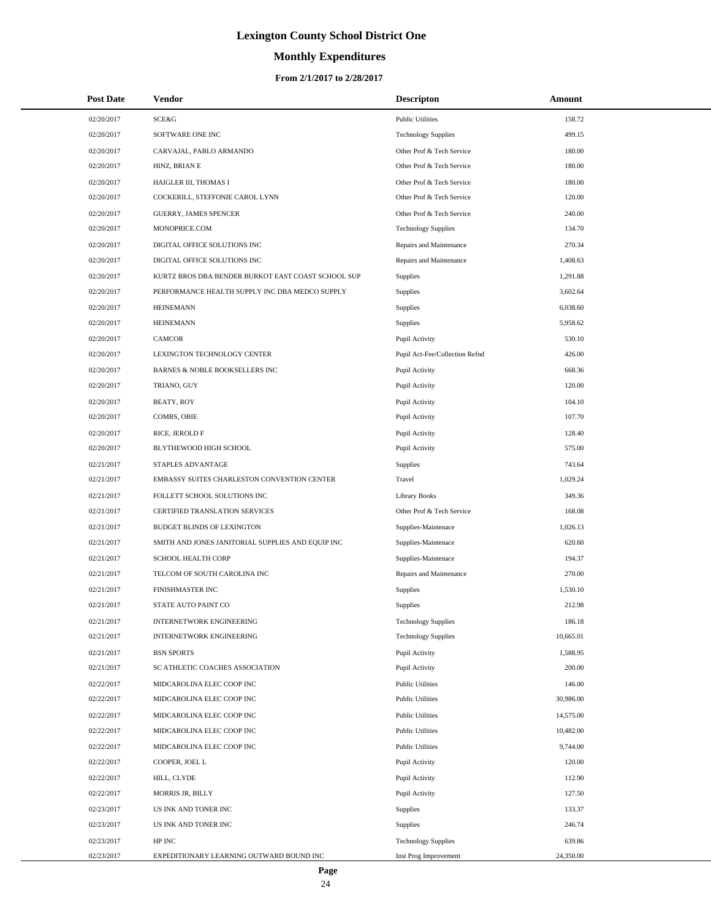# **Monthly Expenditures**

#### **From 2/1/2017 to 2/28/2017**

| <b>Post Date</b> | <b>Vendor</b>                                      | <b>Descripton</b>              | Amount    |
|------------------|----------------------------------------------------|--------------------------------|-----------|
| 02/20/2017       | SCE&G                                              | <b>Public Utilities</b>        | 158.72    |
| 02/20/2017       | SOFTWARE ONE INC                                   | <b>Technology Supplies</b>     | 499.15    |
| 02/20/2017       | CARVAJAL, PABLO ARMANDO                            | Other Prof & Tech Service      | 180.00    |
| 02/20/2017       | HINZ, BRIAN E                                      | Other Prof & Tech Service      | 180.00    |
| 02/20/2017       | HAIGLER III, THOMAS I                              | Other Prof & Tech Service      | 180.00    |
| 02/20/2017       | COCKERILL, STEFFONIE CAROL LYNN                    | Other Prof & Tech Service      | 120.00    |
| 02/20/2017       | <b>GUERRY, JAMES SPENCER</b>                       | Other Prof & Tech Service      | 240.00    |
| 02/20/2017       | MONOPRICE.COM                                      | <b>Technology Supplies</b>     | 134.70    |
| 02/20/2017       | DIGITAL OFFICE SOLUTIONS INC                       | Repairs and Maintenance        | 270.34    |
| 02/20/2017       | DIGITAL OFFICE SOLUTIONS INC                       | Repairs and Maintenance        | 1,408.63  |
| 02/20/2017       | KURTZ BROS DBA BENDER BURKOT EAST COAST SCHOOL SUP | Supplies                       | 1,291.88  |
| 02/20/2017       | PERFORMANCE HEALTH SUPPLY INC DBA MEDCO SUPPLY     | Supplies                       | 3,602.64  |
| 02/20/2017       | <b>HEINEMANN</b>                                   | Supplies                       | 6,038.60  |
| 02/20/2017       | <b>HEINEMANN</b>                                   | <b>Supplies</b>                | 5,958.62  |
| 02/20/2017       | <b>CAMCOR</b>                                      | Pupil Activity                 | 530.10    |
| 02/20/2017       | LEXINGTON TECHNOLOGY CENTER                        | Pupil Act-Fee/Collection Refnd | 426.00    |
| 02/20/2017       | <b>BARNES &amp; NOBLE BOOKSELLERS INC</b>          | Pupil Activity                 | 668.36    |
| 02/20/2017       | TRIANO, GUY                                        | Pupil Activity                 | 120.00    |
| 02/20/2017       | <b>BEATY, ROY</b>                                  | Pupil Activity                 | 104.10    |
| 02/20/2017       | COMBS, OBIE                                        | Pupil Activity                 | 107.70    |
| 02/20/2017       | RICE, JEROLD F                                     | Pupil Activity                 | 128.40    |
| 02/20/2017       | BLYTHEWOOD HIGH SCHOOL                             | Pupil Activity                 | 575.00    |
| 02/21/2017       | STAPLES ADVANTAGE                                  | Supplies                       | 743.64    |
| 02/21/2017       | EMBASSY SUITES CHARLESTON CONVENTION CENTER        | Travel                         | 1,029.24  |
| 02/21/2017       | FOLLETT SCHOOL SOLUTIONS INC                       | <b>Library Books</b>           | 349.36    |
| 02/21/2017       | CERTIFIED TRANSLATION SERVICES                     | Other Prof & Tech Service      | 168.08    |
| 02/21/2017       | <b>BUDGET BLINDS OF LEXINGTON</b>                  | Supplies-Maintenace            | 1,026.13  |
| 02/21/2017       | SMITH AND JONES JANITORIAL SUPPLIES AND EQUIP INC  | Supplies-Maintenace            | 620.60    |
| 02/21/2017       | <b>SCHOOL HEALTH CORP</b>                          | Supplies-Maintenace            | 194.37    |
| 02/21/2017       | TELCOM OF SOUTH CAROLINA INC                       | Repairs and Maintenance        | 270.00    |
| 02/21/2017       | FINISHMASTER INC                                   | Supplies                       | 1,530.10  |
| 02/21/2017       | STATE AUTO PAINT CO                                | Supplies                       | 212.98    |
| 02/21/2017       | <b>INTERNETWORK ENGINEERING</b>                    | <b>Technology Supplies</b>     | 186.18    |
| 02/21/2017       | <b>INTERNETWORK ENGINEERING</b>                    | <b>Technology Supplies</b>     | 10,665.01 |
| 02/21/2017       | <b>BSN SPORTS</b>                                  | Pupil Activity                 | 1,588.95  |
| 02/21/2017       | SC ATHLETIC COACHES ASSOCIATION                    | Pupil Activity                 | 200.00    |
| 02/22/2017       | MIDCAROLINA ELEC COOP INC                          | <b>Public Utilities</b>        | 146.00    |
| 02/22/2017       | MIDCAROLINA ELEC COOP INC                          | <b>Public Utilities</b>        | 30,986.00 |
| 02/22/2017       | MIDCAROLINA ELEC COOP INC                          | <b>Public Utilities</b>        | 14,575.00 |
| 02/22/2017       | MIDCAROLINA ELEC COOP INC                          | <b>Public Utilities</b>        | 10,482.00 |
| 02/22/2017       | MIDCAROLINA ELEC COOP INC                          | <b>Public Utilities</b>        | 9,744.00  |
| 02/22/2017       | COOPER, JOEL L                                     | Pupil Activity                 | 120.00    |
| 02/22/2017       | HILL, CLYDE                                        | Pupil Activity                 | 112.90    |
| 02/22/2017       | MORRIS JR, BILLY                                   | Pupil Activity                 | 127.50    |
| 02/23/2017       | US INK AND TONER INC                               | Supplies                       | 133.37    |
| 02/23/2017       | US INK AND TONER INC                               | Supplies                       | 246.74    |
| 02/23/2017       | HP INC                                             | <b>Technology Supplies</b>     | 639.86    |
| 02/23/2017       | EXPEDITIONARY LEARNING OUTWARD BOUND INC           | Inst Prog Improvement          | 24,350.00 |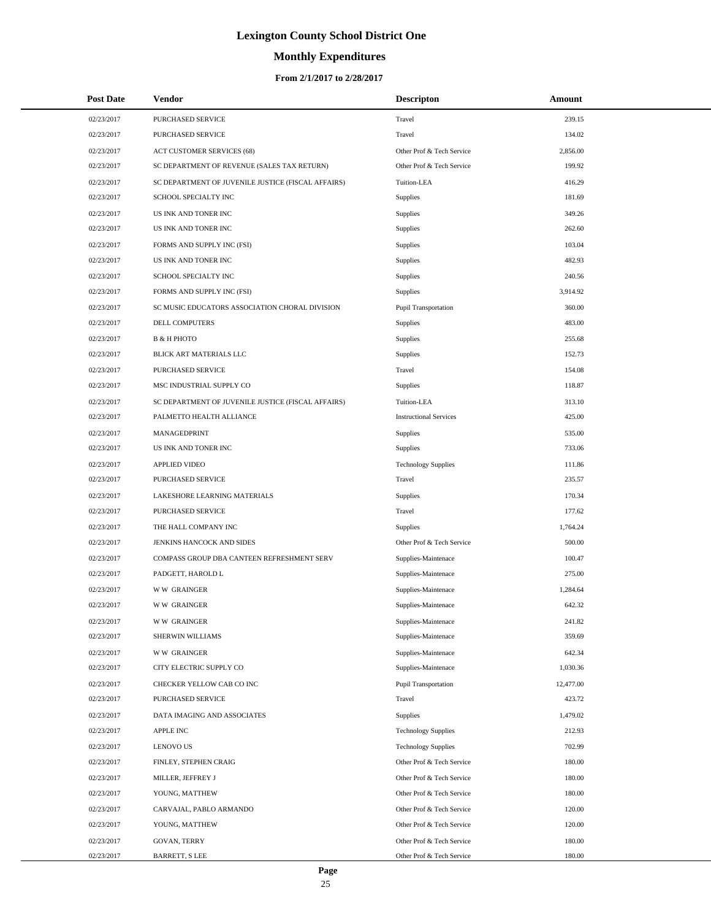# **Monthly Expenditures**

| <b>Post Date</b> | Vendor                                             | <b>Descripton</b>             | Amount    |
|------------------|----------------------------------------------------|-------------------------------|-----------|
| 02/23/2017       | <b>PURCHASED SERVICE</b>                           | Travel                        | 239.15    |
| 02/23/2017       | PURCHASED SERVICE                                  | Travel                        | 134.02    |
| 02/23/2017       | ACT CUSTOMER SERVICES (68)                         | Other Prof & Tech Service     | 2,856.00  |
| 02/23/2017       | SC DEPARTMENT OF REVENUE (SALES TAX RETURN)        | Other Prof & Tech Service     | 199.92    |
| 02/23/2017       | SC DEPARTMENT OF JUVENILE JUSTICE (FISCAL AFFAIRS) | Tuition-LEA                   | 416.29    |
| 02/23/2017       | SCHOOL SPECIALTY INC                               | Supplies                      | 181.69    |
| 02/23/2017       | US INK AND TONER INC                               | Supplies                      | 349.26    |
| 02/23/2017       | US INK AND TONER INC                               | Supplies                      | 262.60    |
| 02/23/2017       | FORMS AND SUPPLY INC (FSI)                         | Supplies                      | 103.04    |
| 02/23/2017       | US INK AND TONER INC                               | Supplies                      | 482.93    |
| 02/23/2017       | SCHOOL SPECIALTY INC                               | Supplies                      | 240.56    |
| 02/23/2017       | FORMS AND SUPPLY INC (FSI)                         | Supplies                      | 3,914.92  |
| 02/23/2017       | SC MUSIC EDUCATORS ASSOCIATION CHORAL DIVISION     | Pupil Transportation          | 360.00    |
| 02/23/2017       | DELL COMPUTERS                                     | Supplies                      | 483.00    |
| 02/23/2017       | <b>B &amp; H PHOTO</b>                             | Supplies                      | 255.68    |
| 02/23/2017       | BLICK ART MATERIALS LLC                            | Supplies                      | 152.73    |
| 02/23/2017       | PURCHASED SERVICE                                  | Travel                        | 154.08    |
| 02/23/2017       | MSC INDUSTRIAL SUPPLY CO                           | Supplies                      | 118.87    |
| 02/23/2017       | SC DEPARTMENT OF JUVENILE JUSTICE (FISCAL AFFAIRS) | Tuition-LEA                   | 313.10    |
| 02/23/2017       | PALMETTO HEALTH ALLIANCE                           | <b>Instructional Services</b> | 425.00    |
| 02/23/2017       | MANAGEDPRINT                                       | Supplies                      | 535.00    |
| 02/23/2017       | US INK AND TONER INC                               | Supplies                      | 733.06    |
| 02/23/2017       | <b>APPLIED VIDEO</b>                               | <b>Technology Supplies</b>    | 111.86    |
| 02/23/2017       | PURCHASED SERVICE                                  | Travel                        | 235.57    |
| 02/23/2017       | LAKESHORE LEARNING MATERIALS                       | Supplies                      | 170.34    |
| 02/23/2017       | PURCHASED SERVICE                                  | Travel                        | 177.62    |
| 02/23/2017       | THE HALL COMPANY INC                               | Supplies                      | 1,764.24  |
| 02/23/2017       | JENKINS HANCOCK AND SIDES                          | Other Prof & Tech Service     | 500.00    |
| 02/23/2017       | COMPASS GROUP DBA CANTEEN REFRESHMENT SERV         | Supplies-Maintenace           | 100.47    |
| 02/23/2017       | PADGETT, HAROLD L                                  | Supplies-Maintenace           | 275.00    |
| 02/23/2017       | <b>WW GRAINGER</b>                                 | Supplies-Maintenace           | 1,284.64  |
| 02/23/2017       | <b>WW GRAINGER</b>                                 | Supplies-Maintenace           | 642.32    |
| 02/23/2017       | <b>WW GRAINGER</b>                                 | Supplies-Maintenace           | 241.82    |
| 02/23/2017       | SHERWIN WILLIAMS                                   | Supplies-Maintenace           | 359.69    |
| 02/23/2017       | <b>WW GRAINGER</b>                                 | Supplies-Maintenace           | 642.34    |
| 02/23/2017       | CITY ELECTRIC SUPPLY CO                            | Supplies-Maintenace           | 1,030.36  |
| 02/23/2017       | CHECKER YELLOW CAB CO INC                          | <b>Pupil Transportation</b>   | 12,477.00 |
| 02/23/2017       | PURCHASED SERVICE                                  | Travel                        | 423.72    |
| 02/23/2017       | DATA IMAGING AND ASSOCIATES                        | Supplies                      | 1,479.02  |
| 02/23/2017       | <b>APPLE INC</b>                                   | <b>Technology Supplies</b>    | 212.93    |
| 02/23/2017       | <b>LENOVO US</b>                                   | <b>Technology Supplies</b>    | 702.99    |
| 02/23/2017       | FINLEY, STEPHEN CRAIG                              | Other Prof & Tech Service     | 180.00    |
| 02/23/2017       | MILLER, JEFFREY J                                  | Other Prof & Tech Service     | 180.00    |
| 02/23/2017       | YOUNG, MATTHEW                                     | Other Prof & Tech Service     | 180.00    |
| 02/23/2017       | CARVAJAL, PABLO ARMANDO                            | Other Prof & Tech Service     | 120.00    |
| 02/23/2017       | YOUNG, MATTHEW                                     | Other Prof & Tech Service     | 120.00    |
| 02/23/2017       | GOVAN, TERRY                                       | Other Prof & Tech Service     | 180.00    |
| 02/23/2017       | <b>BARRETT, S LEE</b>                              | Other Prof & Tech Service     | 180.00    |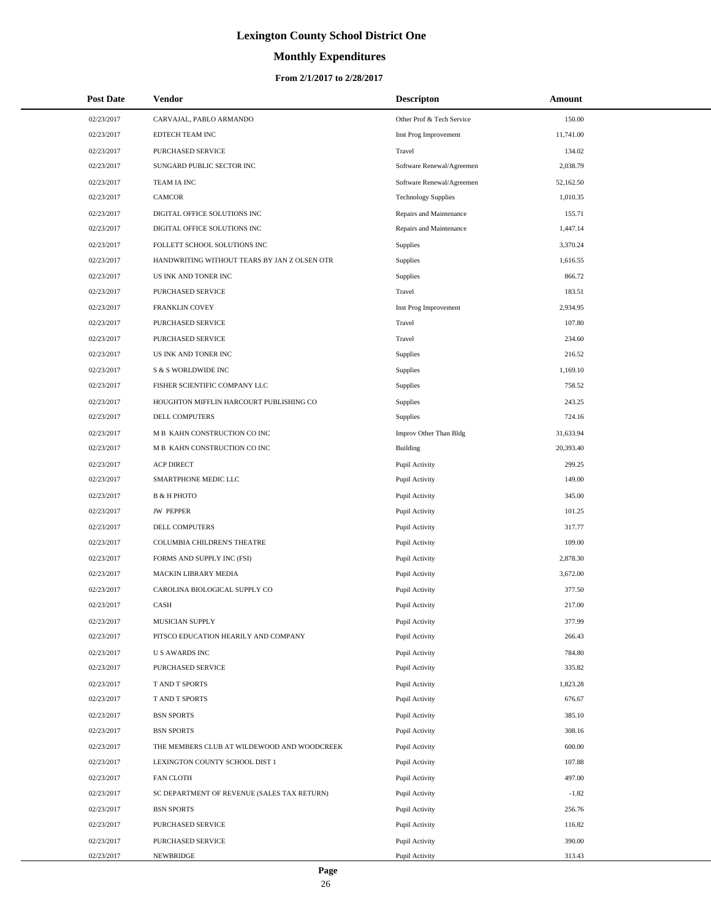# **Monthly Expenditures**

#### **From 2/1/2017 to 2/28/2017**

| <b>Post Date</b> | Vendor                                       | <b>Descripton</b>          | Amount    |
|------------------|----------------------------------------------|----------------------------|-----------|
| 02/23/2017       | CARVAJAL, PABLO ARMANDO                      | Other Prof & Tech Service  | 150.00    |
| 02/23/2017       | EDTECH TEAM INC                              | Inst Prog Improvement      | 11,741.00 |
| 02/23/2017       | PURCHASED SERVICE                            | Travel                     | 134.02    |
| 02/23/2017       | SUNGARD PUBLIC SECTOR INC                    | Software Renewal/Agreemen  | 2,038.79  |
| 02/23/2017       | TEAM IA INC                                  | Software Renewal/Agreemen  | 52,162.50 |
| 02/23/2017       | <b>CAMCOR</b>                                | <b>Technology Supplies</b> | 1,010.35  |
| 02/23/2017       | DIGITAL OFFICE SOLUTIONS INC                 | Repairs and Maintenance    | 155.71    |
| 02/23/2017       | DIGITAL OFFICE SOLUTIONS INC                 | Repairs and Maintenance    | 1,447.14  |
| 02/23/2017       | FOLLETT SCHOOL SOLUTIONS INC                 | <b>Supplies</b>            | 3,370.24  |
| 02/23/2017       | HANDWRITING WITHOUT TEARS BY JAN Z OLSEN OTR | <b>Supplies</b>            | 1,616.55  |
| 02/23/2017       | US INK AND TONER INC                         | Supplies                   | 866.72    |
| 02/23/2017       | PURCHASED SERVICE                            | Travel                     | 183.51    |
| 02/23/2017       | FRANKLIN COVEY                               | Inst Prog Improvement      | 2,934.95  |
| 02/23/2017       | PURCHASED SERVICE                            | Travel                     | 107.80    |
| 02/23/2017       | PURCHASED SERVICE                            | Travel                     | 234.60    |
| 02/23/2017       | US INK AND TONER INC                         | Supplies                   | 216.52    |
| 02/23/2017       | S & S WORLDWIDE INC                          | Supplies                   | 1,169.10  |
| 02/23/2017       | FISHER SCIENTIFIC COMPANY LLC                | Supplies                   | 758.52    |
| 02/23/2017       | HOUGHTON MIFFLIN HARCOURT PUBLISHING CO      | Supplies                   | 243.25    |
| 02/23/2017       | <b>DELL COMPUTERS</b>                        | Supplies                   | 724.16    |
| 02/23/2017       | M B KAHN CONSTRUCTION CO INC                 | Improv Other Than Bldg     | 31,633.94 |
| 02/23/2017       | M B KAHN CONSTRUCTION CO INC                 | <b>Building</b>            | 20,393.40 |
| 02/23/2017       | <b>ACP DIRECT</b>                            | Pupil Activity             | 299.25    |
| 02/23/2017       | SMARTPHONE MEDIC LLC                         | Pupil Activity             | 149.00    |
| 02/23/2017       | <b>B &amp; H PHOTO</b>                       | Pupil Activity             | 345.00    |
| 02/23/2017       | <b>JW PEPPER</b>                             | Pupil Activity             | 101.25    |
| 02/23/2017       | DELL COMPUTERS                               | Pupil Activity             | 317.77    |
| 02/23/2017       | COLUMBIA CHILDREN'S THEATRE                  | Pupil Activity             | 109.00    |
| 02/23/2017       | FORMS AND SUPPLY INC (FSI)                   | Pupil Activity             | 2,878.30  |
| 02/23/2017       | MACKIN LIBRARY MEDIA                         | Pupil Activity             | 3,672.00  |
| 02/23/2017       | CAROLINA BIOLOGICAL SUPPLY CO                | Pupil Activity             | 377.50    |
| 02/23/2017       | CASH                                         | Pupil Activity             | 217.00    |
| 02/23/2017       | MUSICIAN SUPPLY                              | Pupil Activity             | 377.99    |
| 02/23/2017       | PITSCO EDUCATION HEARILY AND COMPANY         | Pupil Activity             | 266.43    |
| 02/23/2017       | <b>US AWARDS INC</b>                         | Pupil Activity             | 784.80    |
| 02/23/2017       | PURCHASED SERVICE                            | Pupil Activity             | 335.82    |
| 02/23/2017       | T AND T SPORTS                               | Pupil Activity             | 1,823.28  |
| 02/23/2017       | T AND T SPORTS                               | Pupil Activity             | 676.67    |
| 02/23/2017       | <b>BSN SPORTS</b>                            | Pupil Activity             | 385.10    |
| 02/23/2017       | <b>BSN SPORTS</b>                            | Pupil Activity             | 308.16    |
| 02/23/2017       | THE MEMBERS CLUB AT WILDEWOOD AND WOODCREEK  | Pupil Activity             | 600.00    |
| 02/23/2017       | LEXINGTON COUNTY SCHOOL DIST 1               | Pupil Activity             | 107.88    |
| 02/23/2017       | <b>FAN CLOTH</b>                             | Pupil Activity             | 497.00    |
| 02/23/2017       | SC DEPARTMENT OF REVENUE (SALES TAX RETURN)  | Pupil Activity             | $-1.82$   |
| 02/23/2017       | <b>BSN SPORTS</b>                            | Pupil Activity             | 256.76    |
| 02/23/2017       | PURCHASED SERVICE                            | Pupil Activity             | 116.82    |
| 02/23/2017       | PURCHASED SERVICE                            | Pupil Activity             | 390.00    |
| 02/23/2017       | NEWBRIDGE                                    | Pupil Activity             | 313.43    |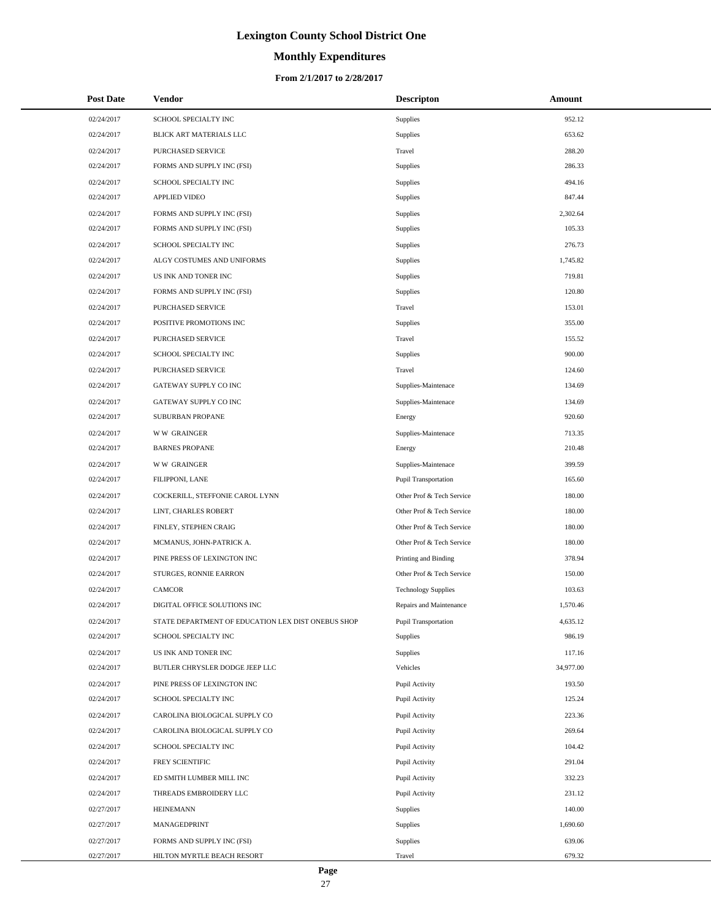# **Monthly Expenditures**

| <b>Post Date</b> | Vendor                                             | <b>Descripton</b>          | Amount    |
|------------------|----------------------------------------------------|----------------------------|-----------|
| 02/24/2017       | SCHOOL SPECIALTY INC                               | <b>Supplies</b>            | 952.12    |
| 02/24/2017       | BLICK ART MATERIALS LLC                            | Supplies                   | 653.62    |
| 02/24/2017       | PURCHASED SERVICE                                  | Travel                     | 288.20    |
| 02/24/2017       | FORMS AND SUPPLY INC (FSI)                         | Supplies                   | 286.33    |
| 02/24/2017       | SCHOOL SPECIALTY INC                               | Supplies                   | 494.16    |
| 02/24/2017       | <b>APPLIED VIDEO</b>                               | Supplies                   | 847.44    |
| 02/24/2017       | FORMS AND SUPPLY INC (FSI)                         | <b>Supplies</b>            | 2,302.64  |
| 02/24/2017       | FORMS AND SUPPLY INC (FSI)                         | <b>Supplies</b>            | 105.33    |
| 02/24/2017       | SCHOOL SPECIALTY INC                               | <b>Supplies</b>            | 276.73    |
| 02/24/2017       | ALGY COSTUMES AND UNIFORMS                         | Supplies                   | 1,745.82  |
| 02/24/2017       | US INK AND TONER INC                               | Supplies                   | 719.81    |
| 02/24/2017       | FORMS AND SUPPLY INC (FSI)                         | Supplies                   | 120.80    |
| 02/24/2017       | PURCHASED SERVICE                                  | Travel                     | 153.01    |
| 02/24/2017       | POSITIVE PROMOTIONS INC                            | Supplies                   | 355.00    |
| 02/24/2017       | PURCHASED SERVICE                                  | Travel                     | 155.52    |
| 02/24/2017       | SCHOOL SPECIALTY INC                               | Supplies                   | 900.00    |
| 02/24/2017       | PURCHASED SERVICE                                  | Travel                     | 124.60    |
| 02/24/2017       | GATEWAY SUPPLY CO INC                              | Supplies-Maintenace        | 134.69    |
| 02/24/2017       | GATEWAY SUPPLY CO INC                              | Supplies-Maintenace        | 134.69    |
| 02/24/2017       | SUBURBAN PROPANE                                   | Energy                     | 920.60    |
| 02/24/2017       | <b>WW GRAINGER</b>                                 | Supplies-Maintenace        | 713.35    |
| 02/24/2017       | <b>BARNES PROPANE</b>                              | Energy                     | 210.48    |
| 02/24/2017       | <b>WW GRAINGER</b>                                 | Supplies-Maintenace        | 399.59    |
| 02/24/2017       | FILIPPONI, LANE                                    | Pupil Transportation       | 165.60    |
| 02/24/2017       | COCKERILL, STEFFONIE CAROL LYNN                    | Other Prof & Tech Service  | 180.00    |
| 02/24/2017       | LINT, CHARLES ROBERT                               | Other Prof & Tech Service  | 180.00    |
| 02/24/2017       | FINLEY, STEPHEN CRAIG                              | Other Prof & Tech Service  | 180.00    |
| 02/24/2017       | MCMANUS, JOHN-PATRICK A.                           | Other Prof & Tech Service  | 180.00    |
| 02/24/2017       | PINE PRESS OF LEXINGTON INC                        | Printing and Binding       | 378.94    |
| 02/24/2017       | STURGES, RONNIE EARRON                             | Other Prof & Tech Service  | 150.00    |
| 02/24/2017       | <b>CAMCOR</b>                                      | <b>Technology Supplies</b> | 103.63    |
| 02/24/2017       | DIGITAL OFFICE SOLUTIONS INC                       | Repairs and Maintenance    | 1,570.46  |
| 02/24/2017       | STATE DEPARTMENT OF EDUCATION LEX DIST ONEBUS SHOP | Pupil Transportation       | 4,635.12  |
| 02/24/2017       | SCHOOL SPECIALTY INC                               | Supplies                   | 986.19    |
| 02/24/2017       | US INK AND TONER INC                               | Supplies                   | 117.16    |
| 02/24/2017       | BUTLER CHRYSLER DODGE JEEP LLC                     | Vehicles                   | 34,977.00 |
| 02/24/2017       | PINE PRESS OF LEXINGTON INC                        | Pupil Activity             | 193.50    |
| 02/24/2017       | SCHOOL SPECIALTY INC                               | Pupil Activity             | 125.24    |
| 02/24/2017       | CAROLINA BIOLOGICAL SUPPLY CO                      | Pupil Activity             | 223.36    |
| 02/24/2017       | CAROLINA BIOLOGICAL SUPPLY CO                      | Pupil Activity             | 269.64    |
| 02/24/2017       | SCHOOL SPECIALTY INC                               | Pupil Activity             | 104.42    |
| 02/24/2017       | FREY SCIENTIFIC                                    | Pupil Activity             | 291.04    |
| 02/24/2017       | ED SMITH LUMBER MILL INC                           | Pupil Activity             | 332.23    |
| 02/24/2017       | THREADS EMBROIDERY LLC                             | Pupil Activity             | 231.12    |
| 02/27/2017       | <b>HEINEMANN</b>                                   | Supplies                   | 140.00    |
| 02/27/2017       | MANAGEDPRINT                                       | Supplies                   | 1,690.60  |
| 02/27/2017       | FORMS AND SUPPLY INC (FSI)                         | <b>Supplies</b>            | 639.06    |
| 02/27/2017       | HILTON MYRTLE BEACH RESORT                         | Travel                     | 679.32    |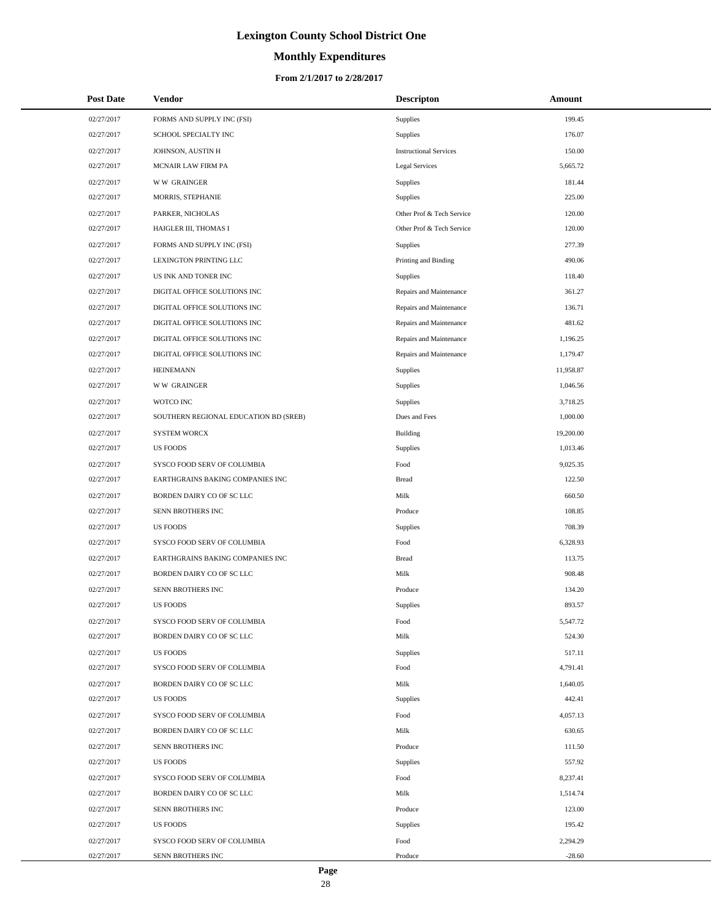# **Monthly Expenditures**

#### **From 2/1/2017 to 2/28/2017**

| <b>Post Date</b> | Vendor                                | <b>Descripton</b>             | Amount    |
|------------------|---------------------------------------|-------------------------------|-----------|
| 02/27/2017       | FORMS AND SUPPLY INC (FSI)            | Supplies                      | 199.45    |
| 02/27/2017       | SCHOOL SPECIALTY INC                  | Supplies                      | 176.07    |
| 02/27/2017       | JOHNSON, AUSTIN H                     | <b>Instructional Services</b> | 150.00    |
| 02/27/2017       | MCNAIR LAW FIRM PA                    | <b>Legal Services</b>         | 5,665.72  |
| 02/27/2017       | <b>WW GRAINGER</b>                    | Supplies                      | 181.44    |
| 02/27/2017       | MORRIS, STEPHANIE                     | Supplies                      | 225.00    |
| 02/27/2017       | PARKER, NICHOLAS                      | Other Prof & Tech Service     | 120.00    |
| 02/27/2017       | HAIGLER III, THOMAS I                 | Other Prof & Tech Service     | 120.00    |
| 02/27/2017       | FORMS AND SUPPLY INC (FSI)            | <b>Supplies</b>               | 277.39    |
| 02/27/2017       | LEXINGTON PRINTING LLC                | Printing and Binding          | 490.06    |
| 02/27/2017       | US INK AND TONER INC                  | Supplies                      | 118.40    |
| 02/27/2017       | DIGITAL OFFICE SOLUTIONS INC          | Repairs and Maintenance       | 361.27    |
| 02/27/2017       | DIGITAL OFFICE SOLUTIONS INC          | Repairs and Maintenance       | 136.71    |
| 02/27/2017       | DIGITAL OFFICE SOLUTIONS INC          | Repairs and Maintenance       | 481.62    |
| 02/27/2017       | DIGITAL OFFICE SOLUTIONS INC          | Repairs and Maintenance       | 1,196.25  |
| 02/27/2017       | DIGITAL OFFICE SOLUTIONS INC          | Repairs and Maintenance       | 1,179.47  |
| 02/27/2017       | <b>HEINEMANN</b>                      | <b>Supplies</b>               | 11,958.87 |
| 02/27/2017       | <b>WW GRAINGER</b>                    | Supplies                      | 1,046.56  |
| 02/27/2017       | WOTCO INC                             | Supplies                      | 3,718.25  |
| 02/27/2017       | SOUTHERN REGIONAL EDUCATION BD (SREB) | Dues and Fees                 | 1,000.00  |
| 02/27/2017       | <b>SYSTEM WORCX</b>                   | <b>Building</b>               | 19,200.00 |
| 02/27/2017       | <b>US FOODS</b>                       | Supplies                      | 1,013.46  |
| 02/27/2017       | SYSCO FOOD SERV OF COLUMBIA           | Food                          | 9,025.35  |
| 02/27/2017       | EARTHGRAINS BAKING COMPANIES INC      | <b>Bread</b>                  | 122.50    |
| 02/27/2017       | BORDEN DAIRY CO OF SC LLC             | Milk                          | 660.50    |
| 02/27/2017       | SENN BROTHERS INC                     | Produce                       | 108.85    |
| 02/27/2017       | <b>US FOODS</b>                       | Supplies                      | 708.39    |
| 02/27/2017       | SYSCO FOOD SERV OF COLUMBIA           | Food                          | 6,328.93  |
| 02/27/2017       | EARTHGRAINS BAKING COMPANIES INC      | <b>Bread</b>                  | 113.75    |
| 02/27/2017       | BORDEN DAIRY CO OF SC LLC             | Milk                          | 908.48    |
| 02/27/2017       | SENN BROTHERS INC                     | Produce                       | 134.20    |
| 02/27/2017       | <b>US FOODS</b>                       | Supplies                      | 893.57    |
| 02/27/2017       | SYSCO FOOD SERV OF COLUMBIA           | Food                          | 5,547.72  |
| 02/27/2017       | BORDEN DAIRY CO OF SC LLC             | Milk                          | 524.30    |
| 02/27/2017       | <b>US FOODS</b>                       | Supplies                      | 517.11    |
| 02/27/2017       | SYSCO FOOD SERV OF COLUMBIA           | Food                          | 4,791.41  |
| 02/27/2017       | BORDEN DAIRY CO OF SC LLC             | Milk                          | 1,640.05  |
| 02/27/2017       | <b>US FOODS</b>                       | Supplies                      | 442.41    |
| 02/27/2017       | SYSCO FOOD SERV OF COLUMBIA           | Food                          | 4,057.13  |
| 02/27/2017       | BORDEN DAIRY CO OF SC LLC             | Milk                          | 630.65    |
| 02/27/2017       | SENN BROTHERS INC                     | Produce                       | 111.50    |
| 02/27/2017       | <b>US FOODS</b>                       | Supplies                      | 557.92    |
| 02/27/2017       | SYSCO FOOD SERV OF COLUMBIA           | Food                          | 8,237.41  |
| 02/27/2017       | BORDEN DAIRY CO OF SC LLC             | Milk                          | 1,514.74  |
| 02/27/2017       | SENN BROTHERS INC                     | Produce                       | 123.00    |
| 02/27/2017       | <b>US FOODS</b>                       | Supplies                      | 195.42    |
| 02/27/2017       | SYSCO FOOD SERV OF COLUMBIA           | Food                          | 2,294.29  |
| 02/27/2017       | SENN BROTHERS INC                     | Produce                       | $-28.60$  |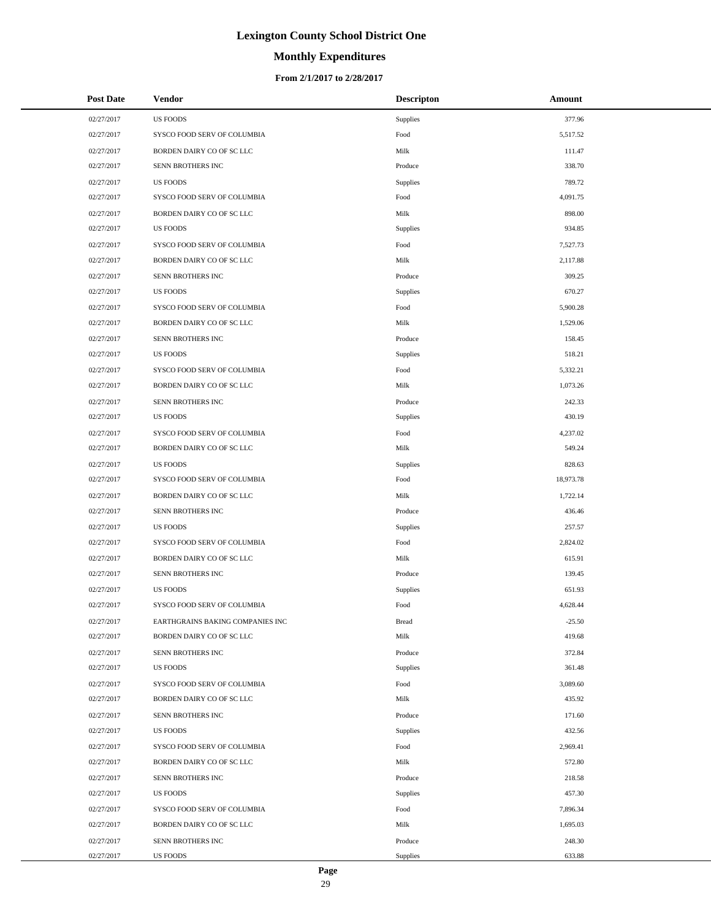# **Monthly Expenditures**

#### **From 2/1/2017 to 2/28/2017**

| <b>Post Date</b> | Vendor                           | <b>Descripton</b> | Amount    |
|------------------|----------------------------------|-------------------|-----------|
| 02/27/2017       | <b>US FOODS</b>                  | Supplies          | 377.96    |
| 02/27/2017       | SYSCO FOOD SERV OF COLUMBIA      | Food              | 5,517.52  |
| 02/27/2017       | BORDEN DAIRY CO OF SC LLC        | Milk              | 111.47    |
| 02/27/2017       | SENN BROTHERS INC                | Produce           | 338.70    |
| 02/27/2017       | <b>US FOODS</b>                  | Supplies          | 789.72    |
| 02/27/2017       | SYSCO FOOD SERV OF COLUMBIA      | Food              | 4,091.75  |
| 02/27/2017       | BORDEN DAIRY CO OF SC LLC        | Milk              | 898.00    |
| 02/27/2017       | <b>US FOODS</b>                  | Supplies          | 934.85    |
| 02/27/2017       | SYSCO FOOD SERV OF COLUMBIA      | Food              | 7,527.73  |
| 02/27/2017       | BORDEN DAIRY CO OF SC LLC        | Milk              | 2,117.88  |
| 02/27/2017       | SENN BROTHERS INC                | Produce           | 309.25    |
| 02/27/2017       | <b>US FOODS</b>                  | <b>Supplies</b>   | 670.27    |
| 02/27/2017       | SYSCO FOOD SERV OF COLUMBIA      | Food              | 5,900.28  |
| 02/27/2017       | BORDEN DAIRY CO OF SC LLC        | Milk              | 1,529.06  |
| 02/27/2017       | SENN BROTHERS INC                | Produce           | 158.45    |
| 02/27/2017       | <b>US FOODS</b>                  | Supplies          | 518.21    |
| 02/27/2017       | SYSCO FOOD SERV OF COLUMBIA      | Food              | 5,332.21  |
| 02/27/2017       | BORDEN DAIRY CO OF SC LLC        | Milk              | 1,073.26  |
| 02/27/2017       | SENN BROTHERS INC                | Produce           | 242.33    |
| 02/27/2017       | <b>US FOODS</b>                  | Supplies          | 430.19    |
| 02/27/2017       | SYSCO FOOD SERV OF COLUMBIA      | Food              | 4,237.02  |
| 02/27/2017       | BORDEN DAIRY CO OF SC LLC        | Milk              | 549.24    |
| 02/27/2017       | <b>US FOODS</b>                  | Supplies          | 828.63    |
| 02/27/2017       | SYSCO FOOD SERV OF COLUMBIA      | Food              | 18,973.78 |
| 02/27/2017       | BORDEN DAIRY CO OF SC LLC        | Milk              | 1,722.14  |
| 02/27/2017       | SENN BROTHERS INC                | Produce           | 436.46    |
| 02/27/2017       | <b>US FOODS</b>                  | Supplies          | 257.57    |
| 02/27/2017       | SYSCO FOOD SERV OF COLUMBIA      | Food              | 2,824.02  |
| 02/27/2017       | BORDEN DAIRY CO OF SC LLC        | Milk              | 615.91    |
| 02/27/2017       | SENN BROTHERS INC                | Produce           | 139.45    |
| 02/27/2017       | <b>US FOODS</b>                  | Supplies          | 651.93    |
| 02/27/2017       | SYSCO FOOD SERV OF COLUMBIA      | Food              | 4,628.44  |
| 02/27/2017       | EARTHGRAINS BAKING COMPANIES INC | <b>Bread</b>      | $-25.50$  |
| 02/27/2017       | BORDEN DAIRY CO OF SC LLC        | Milk              | 419.68    |
| 02/27/2017       | SENN BROTHERS INC                | Produce           | 372.84    |
| 02/27/2017       | US FOODS                         | Supplies          | 361.48    |
| 02/27/2017       | SYSCO FOOD SERV OF COLUMBIA      | Food              | 3,089.60  |
| 02/27/2017       | BORDEN DAIRY CO OF SC LLC        | Milk              | 435.92    |
| 02/27/2017       | SENN BROTHERS INC                | Produce           | 171.60    |
| 02/27/2017       | US FOODS                         | Supplies          | 432.56    |
| 02/27/2017       | SYSCO FOOD SERV OF COLUMBIA      | Food              | 2,969.41  |
| 02/27/2017       | BORDEN DAIRY CO OF SC LLC        | Milk              | 572.80    |
| 02/27/2017       | SENN BROTHERS INC                | Produce           | 218.58    |
| 02/27/2017       | US FOODS                         | Supplies          | 457.30    |
| 02/27/2017       | SYSCO FOOD SERV OF COLUMBIA      | Food              | 7,896.34  |
| 02/27/2017       | BORDEN DAIRY CO OF SC LLC        | Milk              | 1,695.03  |
| 02/27/2017       | SENN BROTHERS INC                | Produce           | 248.30    |
| 02/27/2017       | US FOODS                         | Supplies          | 633.88    |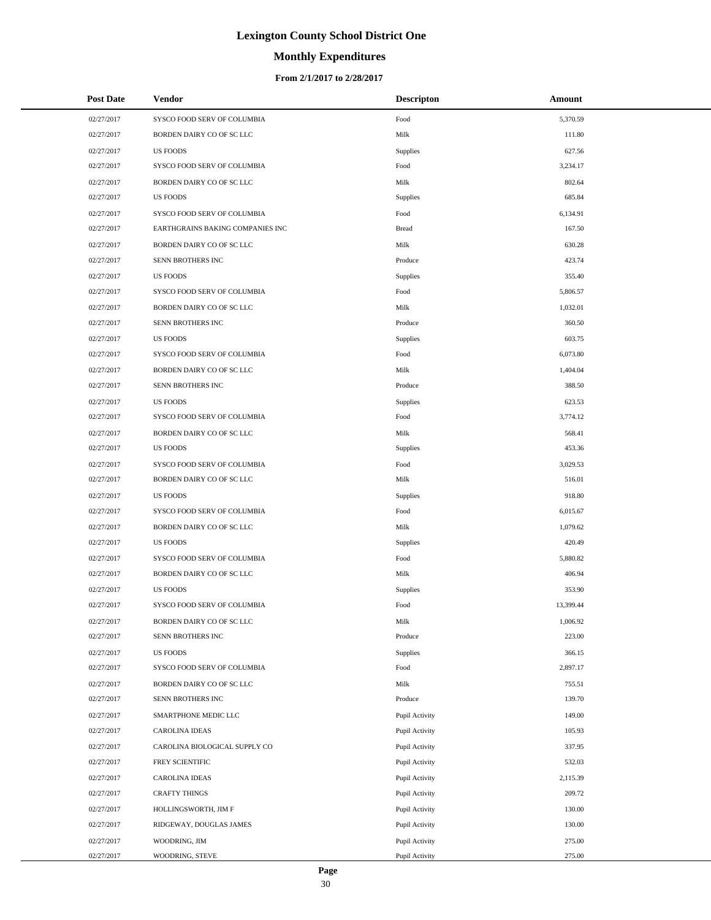# **Monthly Expenditures**

| <b>Post Date</b> | Vendor                           | <b>Descripton</b> | Amount    |
|------------------|----------------------------------|-------------------|-----------|
| 02/27/2017       | SYSCO FOOD SERV OF COLUMBIA      | Food              | 5,370.59  |
| 02/27/2017       | BORDEN DAIRY CO OF SC LLC        | Milk              | 111.80    |
| 02/27/2017       | <b>US FOODS</b>                  | Supplies          | 627.56    |
| 02/27/2017       | SYSCO FOOD SERV OF COLUMBIA      | Food              | 3,234.17  |
| 02/27/2017       | BORDEN DAIRY CO OF SC LLC        | Milk              | 802.64    |
| 02/27/2017       | <b>US FOODS</b>                  | Supplies          | 685.84    |
| 02/27/2017       | SYSCO FOOD SERV OF COLUMBIA      | Food              | 6,134.91  |
| 02/27/2017       | EARTHGRAINS BAKING COMPANIES INC | <b>Bread</b>      | 167.50    |
| 02/27/2017       | BORDEN DAIRY CO OF SC LLC        | Milk              | 630.28    |
| 02/27/2017       | SENN BROTHERS INC                | Produce           | 423.74    |
| 02/27/2017       | <b>US FOODS</b>                  | Supplies          | 355.40    |
| 02/27/2017       | SYSCO FOOD SERV OF COLUMBIA      | Food              | 5,806.57  |
| 02/27/2017       | BORDEN DAIRY CO OF SC LLC        | Milk              | 1,032.01  |
| 02/27/2017       | SENN BROTHERS INC                | Produce           | 360.50    |
| 02/27/2017       | <b>US FOODS</b>                  | Supplies          | 603.75    |
| 02/27/2017       | SYSCO FOOD SERV OF COLUMBIA      | Food              | 6,073.80  |
| 02/27/2017       | BORDEN DAIRY CO OF SC LLC        | Milk              | 1,404.04  |
| 02/27/2017       | SENN BROTHERS INC                | Produce           | 388.50    |
| 02/27/2017       | <b>US FOODS</b>                  | Supplies          | 623.53    |
| 02/27/2017       | SYSCO FOOD SERV OF COLUMBIA      | Food              | 3,774.12  |
| 02/27/2017       | BORDEN DAIRY CO OF SC LLC        | Milk              | 568.41    |
| 02/27/2017       | <b>US FOODS</b>                  | Supplies          | 453.36    |
| 02/27/2017       | SYSCO FOOD SERV OF COLUMBIA      | Food              | 3,029.53  |
| 02/27/2017       | BORDEN DAIRY CO OF SC LLC        | Milk              | 516.01    |
| 02/27/2017       | <b>US FOODS</b>                  | Supplies          | 918.80    |
| 02/27/2017       | SYSCO FOOD SERV OF COLUMBIA      | Food              | 6,015.67  |
| 02/27/2017       | BORDEN DAIRY CO OF SC LLC        | Milk              | 1,079.62  |
| 02/27/2017       | <b>US FOODS</b>                  | Supplies          | 420.49    |
| 02/27/2017       | SYSCO FOOD SERV OF COLUMBIA      | Food              | 5,880.82  |
| 02/27/2017       | BORDEN DAIRY CO OF SC LLC        | Milk              | 406.94    |
| 02/27/2017       | <b>US FOODS</b>                  | Supplies          | 353.90    |
| 02/27/2017       | SYSCO FOOD SERV OF COLUMBIA      | Food              | 13,399.44 |
| 02/27/2017       | BORDEN DAIRY CO OF SC LLC        | Milk              | 1,006.92  |
| 02/27/2017       | SENN BROTHERS INC                | Produce           | 223.00    |
| 02/27/2017       | <b>US FOODS</b>                  | Supplies          | 366.15    |
| 02/27/2017       | SYSCO FOOD SERV OF COLUMBIA      | Food              | 2,897.17  |
| 02/27/2017       | BORDEN DAIRY CO OF SC LLC        | Milk              | 755.51    |
| 02/27/2017       | SENN BROTHERS INC                | Produce           | 139.70    |
| 02/27/2017       | SMARTPHONE MEDIC LLC             | Pupil Activity    | 149.00    |
| 02/27/2017       | CAROLINA IDEAS                   | Pupil Activity    | 105.93    |
| 02/27/2017       | CAROLINA BIOLOGICAL SUPPLY CO    | Pupil Activity    | 337.95    |
| 02/27/2017       | FREY SCIENTIFIC                  | Pupil Activity    | 532.03    |
| 02/27/2017       | CAROLINA IDEAS                   | Pupil Activity    | 2,115.39  |
| 02/27/2017       | <b>CRAFTY THINGS</b>             | Pupil Activity    | 209.72    |
| 02/27/2017       | HOLLINGSWORTH, JIM F             | Pupil Activity    | 130.00    |
| 02/27/2017       | RIDGEWAY, DOUGLAS JAMES          | Pupil Activity    | 130.00    |
| 02/27/2017       | WOODRING, JIM                    | Pupil Activity    | 275.00    |
| 02/27/2017       | WOODRING, STEVE                  | Pupil Activity    | 275.00    |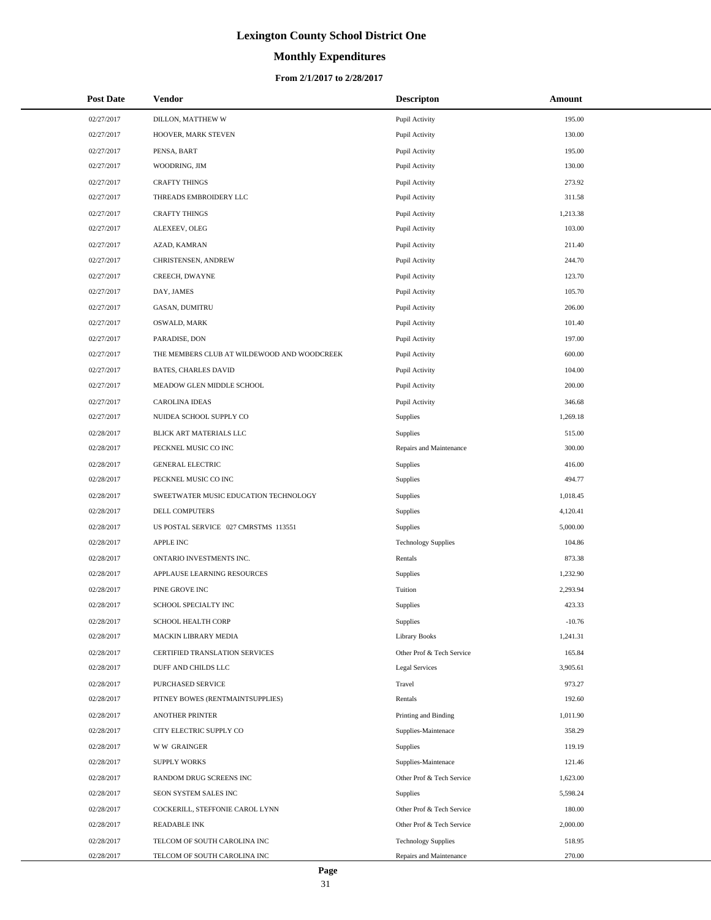# **Monthly Expenditures**

| <b>Post Date</b> | <b>Vendor</b>                               | <b>Descripton</b>          | Amount   |
|------------------|---------------------------------------------|----------------------------|----------|
| 02/27/2017       | DILLON, MATTHEW W                           | Pupil Activity             | 195.00   |
| 02/27/2017       | HOOVER, MARK STEVEN                         | Pupil Activity             | 130.00   |
| 02/27/2017       | PENSA, BART                                 | Pupil Activity             | 195.00   |
| 02/27/2017       | WOODRING, JIM                               | Pupil Activity             | 130.00   |
| 02/27/2017       | <b>CRAFTY THINGS</b>                        | Pupil Activity             | 273.92   |
| 02/27/2017       | THREADS EMBROIDERY LLC                      | Pupil Activity             | 311.58   |
| 02/27/2017       | <b>CRAFTY THINGS</b>                        | Pupil Activity             | 1,213.38 |
| 02/27/2017       | ALEXEEV, OLEG                               | Pupil Activity             | 103.00   |
| 02/27/2017       | AZAD, KAMRAN                                | Pupil Activity             | 211.40   |
| 02/27/2017       | CHRISTENSEN, ANDREW                         | Pupil Activity             | 244.70   |
| 02/27/2017       | CREECH, DWAYNE                              | Pupil Activity             | 123.70   |
| 02/27/2017       | DAY, JAMES                                  | Pupil Activity             | 105.70   |
| 02/27/2017       | <b>GASAN, DUMITRU</b>                       | Pupil Activity             | 206.00   |
| 02/27/2017       | OSWALD, MARK                                | Pupil Activity             | 101.40   |
| 02/27/2017       | PARADISE, DON                               | Pupil Activity             | 197.00   |
| 02/27/2017       | THE MEMBERS CLUB AT WILDEWOOD AND WOODCREEK | Pupil Activity             | 600.00   |
| 02/27/2017       | BATES, CHARLES DAVID                        | Pupil Activity             | 104.00   |
| 02/27/2017       | MEADOW GLEN MIDDLE SCHOOL                   | Pupil Activity             | 200.00   |
| 02/27/2017       | <b>CAROLINA IDEAS</b>                       | Pupil Activity             | 346.68   |
| 02/27/2017       | NUIDEA SCHOOL SUPPLY CO                     | Supplies                   | 1,269.18 |
| 02/28/2017       | BLICK ART MATERIALS LLC                     | Supplies                   | 515.00   |
| 02/28/2017       | PECKNEL MUSIC CO INC                        | Repairs and Maintenance    | 300.00   |
| 02/28/2017       | <b>GENERAL ELECTRIC</b>                     | Supplies                   | 416.00   |
| 02/28/2017       | PECKNEL MUSIC CO INC                        | Supplies                   | 494.77   |
| 02/28/2017       | SWEETWATER MUSIC EDUCATION TECHNOLOGY       | Supplies                   | 1,018.45 |
| 02/28/2017       | DELL COMPUTERS                              | Supplies                   | 4,120.41 |
| 02/28/2017       | US POSTAL SERVICE 027 CMRSTMS 113551        | Supplies                   | 5,000.00 |
| 02/28/2017       | APPLE INC                                   | <b>Technology Supplies</b> | 104.86   |
| 02/28/2017       | ONTARIO INVESTMENTS INC.                    | Rentals                    | 873.38   |
| 02/28/2017       | APPLAUSE LEARNING RESOURCES                 | Supplies                   | 1,232.90 |
| 02/28/2017       | PINE GROVE INC                              | Tuition                    | 2,293.94 |
| 02/28/2017       | SCHOOL SPECIALTY INC                        | Supplies                   | 423.33   |
| 02/28/2017       | <b>SCHOOL HEALTH CORP</b>                   | Supplies                   | $-10.76$ |
| 02/28/2017       | MACKIN LIBRARY MEDIA                        | <b>Library Books</b>       | 1,241.31 |
| 02/28/2017       | CERTIFIED TRANSLATION SERVICES              | Other Prof & Tech Service  | 165.84   |
| 02/28/2017       | DUFF AND CHILDS LLC                         | Legal Services             | 3,905.61 |
| 02/28/2017       | PURCHASED SERVICE                           | Travel                     | 973.27   |
| 02/28/2017       | PITNEY BOWES (RENTMAINTSUPPLIES)            | Rentals                    | 192.60   |
| 02/28/2017       | <b>ANOTHER PRINTER</b>                      | Printing and Binding       | 1,011.90 |
| 02/28/2017       | CITY ELECTRIC SUPPLY CO                     | Supplies-Maintenace        | 358.29   |
| 02/28/2017       | <b>WW GRAINGER</b>                          | Supplies                   | 119.19   |
| 02/28/2017       | <b>SUPPLY WORKS</b>                         | Supplies-Maintenace        | 121.46   |
| 02/28/2017       | RANDOM DRUG SCREENS INC                     | Other Prof & Tech Service  | 1,623.00 |
| 02/28/2017       | SEON SYSTEM SALES INC                       | Supplies                   | 5,598.24 |
| 02/28/2017       | COCKERILL, STEFFONIE CAROL LYNN             | Other Prof & Tech Service  | 180.00   |
| 02/28/2017       | READABLE INK                                | Other Prof & Tech Service  | 2,000.00 |
| 02/28/2017       | TELCOM OF SOUTH CAROLINA INC                | <b>Technology Supplies</b> | 518.95   |
| 02/28/2017       | TELCOM OF SOUTH CAROLINA INC                | Repairs and Maintenance    | 270.00   |